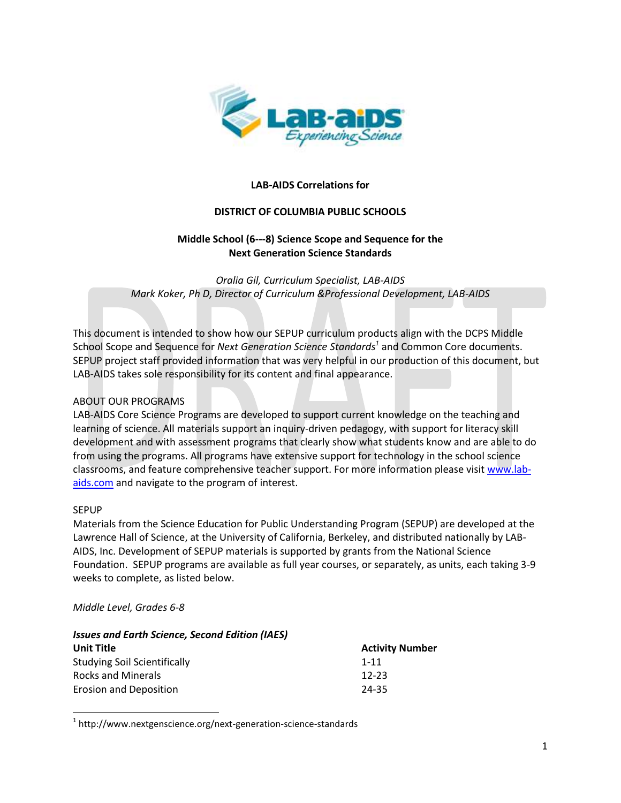

#### **LAB-AIDS Correlations for**

#### **DISTRICT OF COLUMBIA PUBLIC SCHOOLS**

#### **Middle School (6-8) Science Scope and Sequence for the Next Generation Science Standards**

*Oralia Gil, Curriculum Specialist, LAB-AIDS Mark Koker, Ph D, Director of Curriculum &Professional Development, LAB-AIDS*

This document is intended to show how our SEPUP curriculum products align with the DCPS Middle School Scope and Sequence for *Next Generation Science Standards<sup>1</sup>* and Common Core documents. SEPUP project staff provided information that was very helpful in our production of this document, but LAB-AIDS takes sole responsibility for its content and final appearance.

#### ABOUT OUR PROGRAMS

LAB-AIDS Core Science Programs are developed to support current knowledge on the teaching and learning of science. All materials support an inquiry-driven pedagogy, with support for literacy skill development and with assessment programs that clearly show what students know and are able to do from using the programs. All programs have extensive support for technology in the school science classrooms, and feature comprehensive teacher support. For more information please visi[t www.lab](http://www.lab-aids.com/)[aids.com](http://www.lab-aids.com/) and navigate to the program of interest.

#### SEPUP

 $\overline{\phantom{a}}$ 

Materials from the Science Education for Public Understanding Program (SEPUP) are developed at the Lawrence Hall of Science, at the University of California, Berkeley, and distributed nationally by LAB-AIDS, Inc. Development of SEPUP materials is supported by grants from the National Science Foundation. SEPUP programs are available as full year courses, or separately, as units, each taking 3-9 weeks to complete, as listed below.

#### *Middle Level, Grades 6-8*

| <b>Issues and Earth Science, Second Edition (IAES)</b> |                        |  |  |  |  |  |
|--------------------------------------------------------|------------------------|--|--|--|--|--|
| Unit Title                                             | <b>Activity Number</b> |  |  |  |  |  |
| <b>Studying Soil Scientifically</b>                    | $1 - 11$               |  |  |  |  |  |
| Rocks and Minerals                                     | $12 - 23$              |  |  |  |  |  |
| <b>Erosion and Deposition</b>                          | 24-35                  |  |  |  |  |  |

 $^{1}$  http://www.nextgenscience.org/next-generation-science-standards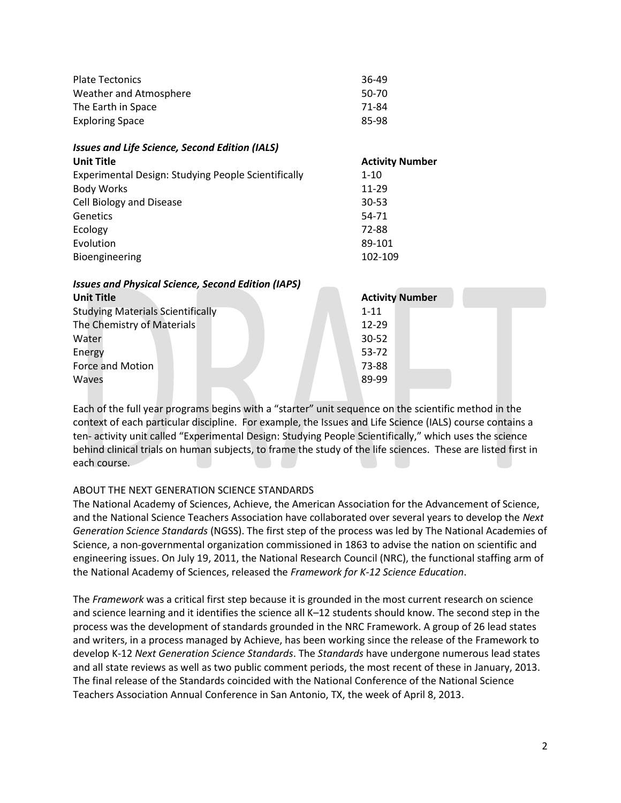| <b>Plate Tectonics</b>                                    | 36-49                  |
|-----------------------------------------------------------|------------------------|
| Weather and Atmosphere                                    | 50-70                  |
| The Earth in Space                                        | 71-84                  |
| <b>Exploring Space</b>                                    | 85-98                  |
| <b>Issues and Life Science, Second Edition (IALS)</b>     |                        |
| <b>Unit Title</b>                                         | <b>Activity Number</b> |
| Experimental Design: Studying People Scientifically       | $1 - 10$               |
| <b>Body Works</b>                                         | 11-29                  |
| Cell Biology and Disease                                  | $30 - 53$              |
| Genetics                                                  | 54-71                  |
| Ecology                                                   | 72-88                  |
| Evolution                                                 | 89-101                 |
| Bioengineering                                            | 102-109                |
| <b>Issues and Physical Science, Second Edition (IAPS)</b> |                        |
| <b>Unit Title</b>                                         | <b>Activity Number</b> |
| <b>Studying Materials Scientifically</b>                  | $1 - 11$               |
| The Chemistry of Materials                                | 12-29                  |
| Water                                                     | $30 - 52$              |
| Energy                                                    | 53-72                  |
| Force and Motion                                          | 73-88                  |
| Waves                                                     | 89-99                  |

Each of the full year programs begins with a "starter" unit sequence on the scientific method in the context of each particular discipline. For example, the Issues and Life Science (IALS) course contains a ten- activity unit called "Experimental Design: Studying People Scientifically," which uses the science behind clinical trials on human subjects, to frame the study of the life sciences. These are listed first in each course.

#### ABOUT THE NEXT GENERATION SCIENCE STANDARDS

The National Academy of Sciences, Achieve, the American Association for the Advancement of Science, and the National Science Teachers Association have collaborated over several years to develop the *Next Generation Science Standards* (NGSS). The first step of the process was led by The National Academies of Science, a non-governmental organization commissioned in 1863 to advise the nation on scientific and engineering issues. On July 19, 2011, the National Research Council (NRC), the functional staffing arm of the National Academy of Sciences, released the *Framework for K-12 Science Education*.

The *Framework* was a critical first step because it is grounded in the most current research on science and science learning and it identifies the science all K-12 students should know. The second step in the process was the development of standards grounded in the NRC Framework. A group of 26 lead states and writers, in a process managed by Achieve, has been working since the release of the Framework to develop K-12 *Next Generation Science Standards*. The *Standards* have undergone numerous lead states and all state reviews as well as two public comment periods, the most recent of these in January, 2013. The final release of the Standards coincided with the National Conference of the National Science Teachers Association Annual Conference in San Antonio, TX, the week of April 8, 2013.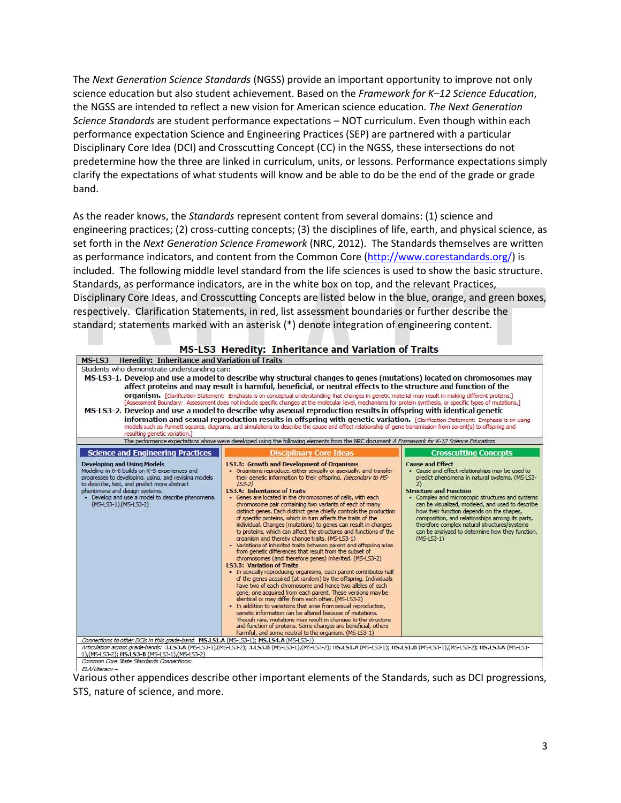The *Next Generation Science Standards* (NGSS) provide an important opportunity to improve not only science education but also student achievement. Based on the *Framework for K–12 Science Education*, the NGSS are intended to reflect a new vision for American science education. *The Next Generation Science Standards* are student performance expectations – NOT curriculum. Even though within each performance expectation Science and Engineering Practices (SEP) are partnered with a particular Disciplinary Core Idea (DCI) and Crosscutting Concept (CC) in the NGSS, these intersections do not predetermine how the three are linked in curriculum, units, or lessons. Performance expectations simply clarify the expectations of what students will know and be able to do be the end of the grade or grade band.

As the reader knows, the *Standards* represent content from several domains: (1) science and engineering practices; (2) cross-cutting concepts; (3) the disciplines of life, earth, and physical science, as set forth in the *Next Generation Science Framework* (NRC, 2012). The Standards themselves are written as performance indicators, and content from the Common Core [\(http://www.corestandards.org/\)](http://www.corestandards.org/) is included. The following middle level standard from the life sciences is used to show the basic structure. Standards, as performance indicators, are in the white box on top, and the relevant Practices, Disciplinary Core Ideas, and Crosscutting Concepts are listed below in the blue, orange, and green boxes, respectively. Clarification Statements, in red, list assessment boundaries or further describe the standard; statements marked with an asterisk (\*) denote integration of engineering content.

|                                                                                                                                                                                                                                                                                                            | MS-LS3 Heredity: Inheritance and Variation of Traits                                                                                                                                                                                                                                                                                                                                                                                                                                                                                                                                                                                                                                                                                                                                                                                                                                                                                                                                                                                                                                                                                                                                                                                                                                                                                                                                                                                                                                                                                                                                           |                                                                                                                                                                                                                                                                                                                                                                                                                                                                                                          |
|------------------------------------------------------------------------------------------------------------------------------------------------------------------------------------------------------------------------------------------------------------------------------------------------------------|------------------------------------------------------------------------------------------------------------------------------------------------------------------------------------------------------------------------------------------------------------------------------------------------------------------------------------------------------------------------------------------------------------------------------------------------------------------------------------------------------------------------------------------------------------------------------------------------------------------------------------------------------------------------------------------------------------------------------------------------------------------------------------------------------------------------------------------------------------------------------------------------------------------------------------------------------------------------------------------------------------------------------------------------------------------------------------------------------------------------------------------------------------------------------------------------------------------------------------------------------------------------------------------------------------------------------------------------------------------------------------------------------------------------------------------------------------------------------------------------------------------------------------------------------------------------------------------------|----------------------------------------------------------------------------------------------------------------------------------------------------------------------------------------------------------------------------------------------------------------------------------------------------------------------------------------------------------------------------------------------------------------------------------------------------------------------------------------------------------|
| <b>Heredity: Inheritance and Variation of Traits</b><br>MS-LS3                                                                                                                                                                                                                                             |                                                                                                                                                                                                                                                                                                                                                                                                                                                                                                                                                                                                                                                                                                                                                                                                                                                                                                                                                                                                                                                                                                                                                                                                                                                                                                                                                                                                                                                                                                                                                                                                |                                                                                                                                                                                                                                                                                                                                                                                                                                                                                                          |
| Students who demonstrate understanding can:<br>resulting genetic variation.]                                                                                                                                                                                                                               | MS-LS3-1, Develop and use a model to describe why structural changes to genes (mutations) located on chromosomes may<br>affect proteins and may result in harmful, beneficial, or neutral effects to the structure and function of the<br><b>organism.</b> [Clarification Statement: Emphasis is on conceptual understanding that changes in genetic material may result in making different proteins.]<br>[Assessment Boundary: Assessment does not include specific changes at the molecular level, mechanisms for protein synthesis, or specific types of mutations.]<br>MS-LS3-2. Develop and use a model to describe why asexual reproduction results in offspring with identical genetic<br>information and sexual reproduction results in offspring with genetic variation. [Clarification Statement: Emphasis is on using<br>models such as Punnett squares, diagrams, and simulations to describe the cause and effect relationship of gene transmission from parent(s) to offspring and                                                                                                                                                                                                                                                                                                                                                                                                                                                                                                                                                                                              |                                                                                                                                                                                                                                                                                                                                                                                                                                                                                                          |
|                                                                                                                                                                                                                                                                                                            | The performance expectations above were developed using the following elements from the NRC document A Framework for K-12 Science Education:                                                                                                                                                                                                                                                                                                                                                                                                                                                                                                                                                                                                                                                                                                                                                                                                                                                                                                                                                                                                                                                                                                                                                                                                                                                                                                                                                                                                                                                   |                                                                                                                                                                                                                                                                                                                                                                                                                                                                                                          |
| <b>Science and Engineering Practices</b>                                                                                                                                                                                                                                                                   | <b>Disciplinary Core Ideas</b>                                                                                                                                                                                                                                                                                                                                                                                                                                                                                                                                                                                                                                                                                                                                                                                                                                                                                                                                                                                                                                                                                                                                                                                                                                                                                                                                                                                                                                                                                                                                                                 | <b>Crosscutting Concepts</b>                                                                                                                                                                                                                                                                                                                                                                                                                                                                             |
| <b>Developing and Using Models</b><br>Modeling in 6-8 builds on K-5 experiences and<br>progresses to developing, using, and revising models<br>to describe, test, and predict more abstract<br>phenomena and design systems.<br>. Develop and use a model to describe phenomena.<br>(MS-LS3-1), (MS-LS3-2) | <b>151.B: Growth and Development of Organisms</b><br>. Organisms reproduce, either sexually or asexually, and transfer<br>their genetic information to their offspring. (secondary to MS-<br>$153 - 21$<br><b>LS3.A: Inheritance of Traits</b><br>• Genes are located in the chromosomes of cells, with each<br>chromosome pair containing two variants of each of many<br>distinct genes. Each distinct gene chiefly controls the production<br>of specific proteins, which in turn affects the traits of the<br>individual. Changes (mutations) to genes can result in changes<br>to proteins, which can affect the structures and functions of the<br>organism and thereby change traits. (MS-LS3-1)<br>• Variations of inherited traits between parent and offspring arise<br>from genetic differences that result from the subset of<br>chromosomes (and therefore genes) inherited. (MS-LS3-2)<br><b>LS3.B: Variation of Traits</b><br>- In sexually reproducing organisms, each parent contributes half<br>of the genes acquired (at random) by the offspring. Individuals<br>have two of each chromosome and hence two alleles of each<br>gene, one acquired from each parent. These versions may be<br>identical or may differ from each other. (MS-LS3-2)<br>· In addition to variations that arise from sexual reproduction,<br>genetic information can be altered because of mutations.<br>Though rare, mutations may result in changes to the structure<br>and function of proteins. Some changes are beneficial, others<br>harmful, and some neutral to the organism. (MS-LS3-1) | <b>Cause and Effect</b><br>. Cause and effect relationships may be used to<br>predict phenomena in natural systems. (MS-LS3-<br>$\mathbf{2}$<br><b>Structure and Function</b><br>• Complex and microscopic structures and systems<br>can be visualized, modeled, and used to describe<br>how their function depends on the shapes,<br>composition, and relationships among its parts,<br>therefore complex natural structures/systems<br>can be analyzed to determine how they function.<br>$(M5-L53-1)$ |
| Connections to other DCIs in this grade-band. MS.LS1.A (MS-LS3-1); MS.LS4.A (MS-LS3-1)<br>1),(MS-LS3-2); HS.LS3-B (MS-LS3-1),(MS-LS3-2)                                                                                                                                                                    | Articulation across grade-bands; 3,LS3,A (MS-LS3-1),(MS-LS3-2); 3,LS3,B (MS-LS3-1),(MS-LS3-2); HS,LS1,A (MS-LS3-1); HS,LS1,B (MS-LS3-1),(MS-LS3-2); HS,LS3,A (MS-LS3-                                                                                                                                                                                                                                                                                                                                                                                                                                                                                                                                                                                                                                                                                                                                                                                                                                                                                                                                                                                                                                                                                                                                                                                                                                                                                                                                                                                                                          |                                                                                                                                                                                                                                                                                                                                                                                                                                                                                                          |
| Common Core State Standards Connections:                                                                                                                                                                                                                                                                   |                                                                                                                                                                                                                                                                                                                                                                                                                                                                                                                                                                                                                                                                                                                                                                                                                                                                                                                                                                                                                                                                                                                                                                                                                                                                                                                                                                                                                                                                                                                                                                                                |                                                                                                                                                                                                                                                                                                                                                                                                                                                                                                          |
| $FIA/I$ iteracy $-$                                                                                                                                                                                                                                                                                        |                                                                                                                                                                                                                                                                                                                                                                                                                                                                                                                                                                                                                                                                                                                                                                                                                                                                                                                                                                                                                                                                                                                                                                                                                                                                                                                                                                                                                                                                                                                                                                                                |                                                                                                                                                                                                                                                                                                                                                                                                                                                                                                          |

Various other appendices describe other important elements of the Standards, such as DCI progressions, STS, nature of science, and more.

3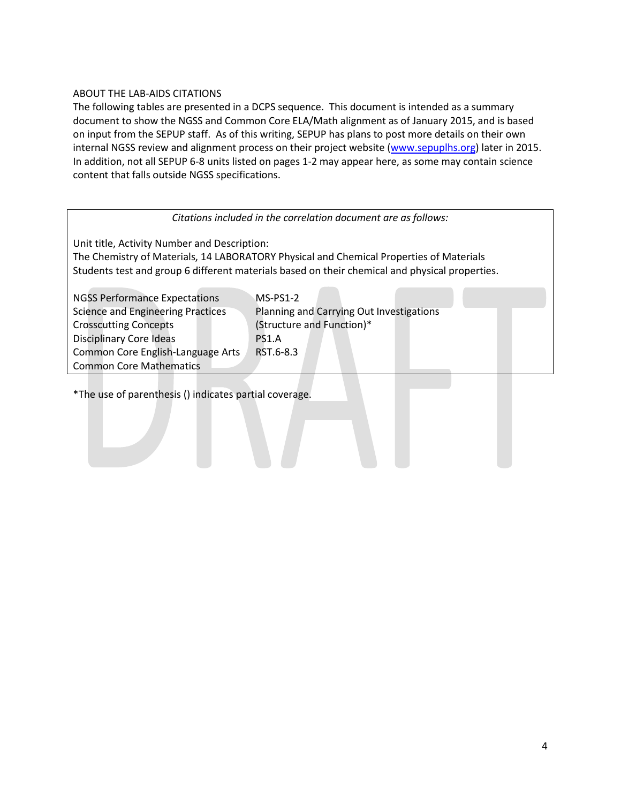#### ABOUT THE LAB-AIDS CITATIONS

The following tables are presented in a DCPS sequence. This document is intended as a summary document to show the NGSS and Common Core ELA/Math alignment as of January 2015, and is based on input from the SEPUP staff. As of this writing, SEPUP has plans to post more details on their own internal NGSS review and alignment process on their project website [\(www.sepuplhs.org\)](http://www.sepuplhs.org/) later in 2015. In addition, not all SEPUP 6-8 units listed on pages 1-2 may appear here, as some may contain science content that falls outside NGSS specifications.

#### *Citations included in the correlation document are as follows:*

Unit title, Activity Number and Description:

The Chemistry of Materials, 14 LABORATORY Physical and Chemical Properties of Materials Students test and group 6 different materials based on their chemical and physical properties.

NGSS Performance Expectations MS-PS1-2 Crosscutting Concepts (Structure and Function)\* Disciplinary Core Ideas PS1.A Common Core English-Language Arts RST.6-8.3 Common Core Mathematics

Science and Engineering Practices Planning and Carrying Out Investigations

\*The use of parenthesis () indicates partial coverage.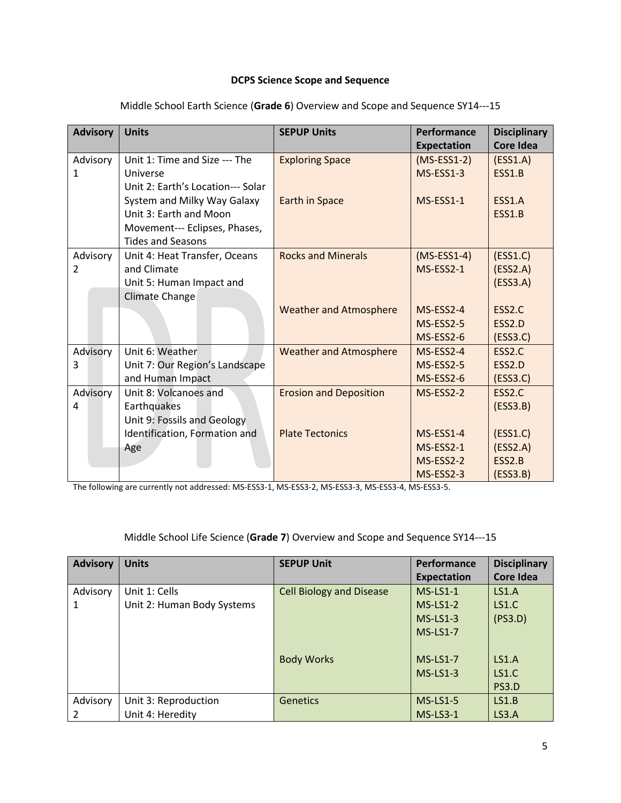#### **DCPS Science Scope and Sequence**

| <b>Advisory</b> | <b>Units</b>                      | <b>SEPUP Units</b>            | Performance        | <b>Disciplinary</b> |
|-----------------|-----------------------------------|-------------------------------|--------------------|---------------------|
|                 |                                   |                               | <b>Expectation</b> | <b>Core Idea</b>    |
| Advisory        | Unit 1: Time and Size --- The     | <b>Exploring Space</b>        | $(MS-ESS1-2)$      | (ESS1.A)            |
| 1               | Universe                          |                               | MS-ESS1-3          | ESS1.B              |
|                 | Unit 2: Earth's Location--- Solar |                               |                    |                     |
|                 | System and Milky Way Galaxy       | <b>Earth in Space</b>         | MS-ESS1-1          | ESS1.A              |
|                 | Unit 3: Earth and Moon            |                               |                    | ESS1.B              |
|                 | Movement--- Eclipses, Phases,     |                               |                    |                     |
|                 | <b>Tides and Seasons</b>          |                               |                    |                     |
| Advisory        | Unit 4: Heat Transfer, Oceans     | <b>Rocks and Minerals</b>     | $(MS-ESS1-4)$      | (ESS1.C)            |
| 2               | and Climate                       |                               | MS-ESS2-1          | (ESS2.A)            |
|                 | Unit 5: Human Impact and          |                               |                    | (ESS3.A)            |
|                 | <b>Climate Change</b>             |                               |                    |                     |
|                 |                                   | <b>Weather and Atmosphere</b> | MS-ESS2-4          | ESS2.C              |
|                 |                                   |                               | MS-ESS2-5          | ESS2.D              |
|                 |                                   |                               | MS-ESS2-6          | (ESS3.C)            |
| Advisory        | Unit 6: Weather                   | <b>Weather and Atmosphere</b> | MS-ESS2-4          | ESS2.C              |
| 3               | Unit 7: Our Region's Landscape    |                               | MS-ESS2-5          | ESS2.D              |
|                 | and Human Impact                  |                               | MS-ESS2-6          | (ESS3.C)            |
| Advisory        | Unit 8: Volcanoes and             | <b>Erosion and Deposition</b> | MS-ESS2-2          | ESS2.C              |
| 4               | Earthquakes                       |                               |                    | (ESS3.B)            |
|                 | Unit 9: Fossils and Geology       |                               |                    |                     |
|                 | Identification, Formation and     | <b>Plate Tectonics</b>        | MS-ESS1-4          | (ESS1.C)            |
|                 | Age                               |                               | MS-ESS2-1          | (ESS2.A)            |
|                 |                                   |                               | MS-ESS2-2          | ESS2.B              |
|                 |                                   |                               | MS-ESS2-3          | (ESS3.B)            |

Middle School Earth Science (Grade 6) Overview and Scope and Sequence SY14---15

The following are currently not addressed: MS-ESS3-1, MS-ESS3-2, MS-ESS3-3, MS-ESS3-4, MS-ESS3-5.

#### Middle School Life Science (Grade 7) Overview and Scope and Sequence SY14---15

| <b>Advisory</b> | <b>Units</b>               | <b>SEPUP Unit</b>               | Performance        | <b>Disciplinary</b> |
|-----------------|----------------------------|---------------------------------|--------------------|---------------------|
|                 |                            |                                 | <b>Expectation</b> | Core Idea           |
| Advisory        | Unit 1: Cells              | <b>Cell Biology and Disease</b> | $MS-LS1-1$         | LS1.A               |
| 1               | Unit 2: Human Body Systems |                                 | $MS-LS1-2$         | LS1.C               |
|                 |                            |                                 | $MS-LS1-3$         | (PS3.D)             |
|                 |                            |                                 | $MS-LS1-7$         |                     |
|                 |                            |                                 |                    |                     |
|                 |                            | <b>Body Works</b>               | $MS-LS1-7$         | LS1.A               |
|                 |                            |                                 | $MS-LS1-3$         | LS1.C               |
|                 |                            |                                 |                    | PS3.D               |
| Advisory        | Unit 3: Reproduction       | <b>Genetics</b>                 | $MS-LS1-5$         | LS1.B               |
| 2               | Unit 4: Heredity           |                                 | <b>MS-LS3-1</b>    | LS3.A               |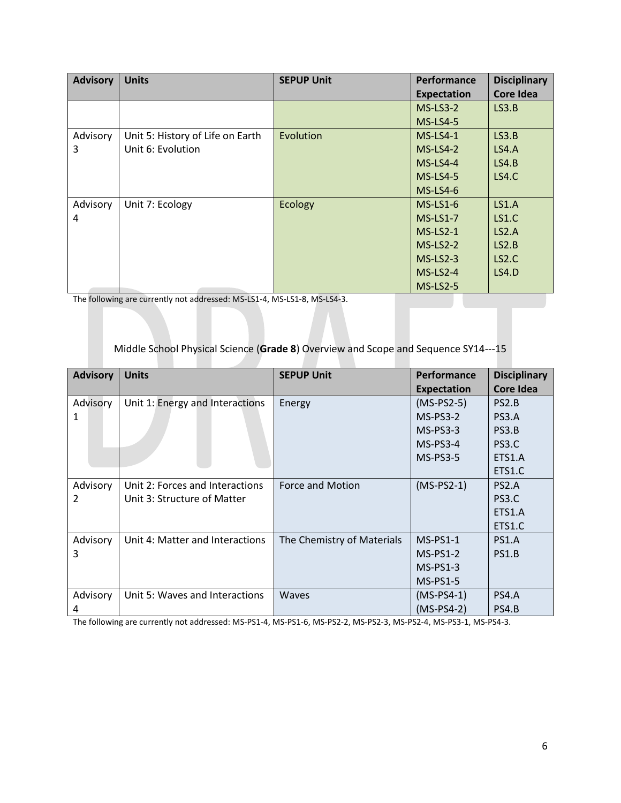| <b>Advisory</b> | <b>Units</b>                     | <b>SEPUP Unit</b> | Performance        | <b>Disciplinary</b> |
|-----------------|----------------------------------|-------------------|--------------------|---------------------|
|                 |                                  |                   | <b>Expectation</b> | Core Idea           |
|                 |                                  |                   | $MS-LS3-2$         | LS3.B               |
|                 |                                  |                   | <b>MS-LS4-5</b>    |                     |
| Advisory        | Unit 5: History of Life on Earth | Evolution         | $MS-LS4-1$         | LS3.B               |
| 3               | Unit 6: Evolution                |                   | $MS-LS4-2$         | LS4.A               |
|                 |                                  |                   | $MS-LS4-4$         | LS4.B               |
|                 |                                  |                   | $MS-LS4-5$         | <b>LS4.C</b>        |
|                 |                                  |                   | $MS-LS4-6$         |                     |
| Advisory        | Unit 7: Ecology                  | Ecology           | $MS-LS1-6$         | LS1.A               |
| 4               |                                  |                   | $MS-LS1-7$         | LS1.C               |
|                 |                                  |                   | $MS-LS2-1$         | LS2.A               |
|                 |                                  |                   | $MS-LS2-2$         | LS2.B               |
|                 |                                  |                   | $MS-LS2-3$         | LS <sub>2</sub> .C  |
|                 |                                  |                   | $MS-LS2-4$         | LS4.D               |
|                 |                                  |                   | <b>MS-LS2-5</b>    |                     |

The following are currently not addressed: MS-LS1-4, MS-LS1-8, MS-LS4-3.

#### Middle School Physical Science (**Grade 8**) Overview and Scope and Sequence SY14-15

| <b>Advisory</b> | <b>Units</b>                    | <b>SEPUP Unit</b>          | Performance        | <b>Disciplinary</b> |
|-----------------|---------------------------------|----------------------------|--------------------|---------------------|
|                 |                                 |                            | <b>Expectation</b> | <b>Core Idea</b>    |
| Advisory        | Unit 1: Energy and Interactions | Energy                     | $(MS-PS2-5)$       | PS <sub>2</sub> .B  |
| 1               |                                 |                            | $MS-PS3-2$         | PS3.A               |
|                 |                                 |                            | $MS-PS3-3$         | PS3.B               |
|                 |                                 |                            | $MS-PS3-4$         | PS3.C               |
|                 |                                 |                            | $MS-PS3-5$         | ETS1.A              |
|                 |                                 |                            |                    | ETS1.C              |
| Advisory        | Unit 2: Forces and Interactions | Force and Motion           | $(MS-PS2-1)$       | PS <sub>2</sub> .A  |
| 2               | Unit 3: Structure of Matter     |                            |                    | PS3.C               |
|                 |                                 |                            |                    | ETS1.A              |
|                 |                                 |                            |                    | ETS1.C              |
| Advisory        | Unit 4: Matter and Interactions | The Chemistry of Materials | $MS-PS1-1$         | PS1.A               |
| 3               |                                 |                            | $MS-PS1-2$         | PS1.B               |
|                 |                                 |                            | $MS-PS1-3$         |                     |
|                 |                                 |                            | $MS-PS1-5$         |                     |
| Advisory        | Unit 5: Waves and Interactions  | <b>Waves</b>               | $(MS-PS4-1)$       | <b>PS4.A</b>        |
| 4               |                                 |                            | $(MS-PS4-2)$       | PS4.B               |

The following are currently not addressed: MS-PS1-4, MS-PS1-6, MS-PS2-2, MS-PS2-3, MS-PS2-4, MS-PS3-1, MS-PS4-3.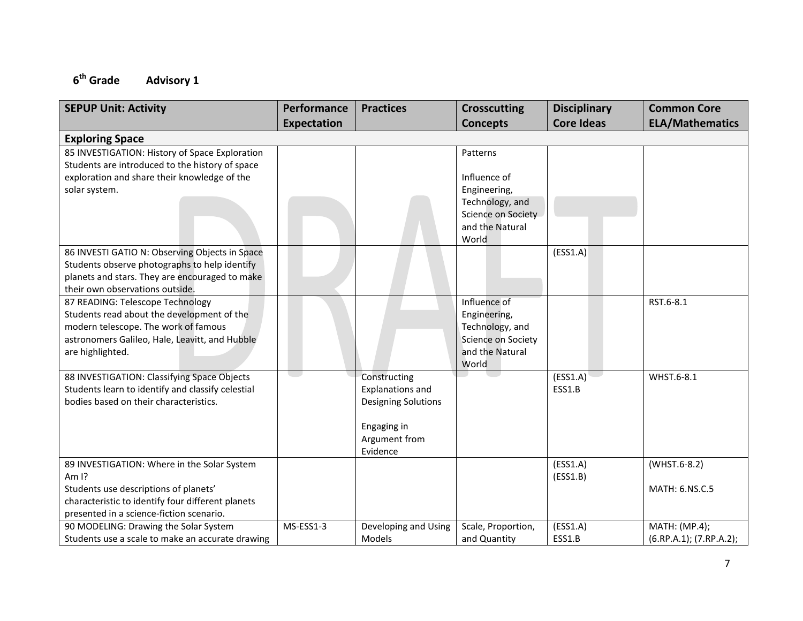#### **6 Advisory 1**

| <b>SEPUP Unit: Activity</b>                       | Performance        | <b>Practices</b>           | <b>Crosscutting</b>                          | <b>Disciplinary</b> | <b>Common Core</b>      |
|---------------------------------------------------|--------------------|----------------------------|----------------------------------------------|---------------------|-------------------------|
|                                                   | <b>Expectation</b> |                            | <b>Concepts</b>                              | <b>Core Ideas</b>   | <b>ELA/Mathematics</b>  |
| <b>Exploring Space</b>                            |                    |                            |                                              |                     |                         |
| 85 INVESTIGATION: History of Space Exploration    |                    |                            | Patterns                                     |                     |                         |
| Students are introduced to the history of space   |                    |                            |                                              |                     |                         |
| exploration and share their knowledge of the      |                    |                            | Influence of                                 |                     |                         |
| solar system.                                     |                    |                            | Engineering,                                 |                     |                         |
|                                                   |                    |                            | Technology, and                              |                     |                         |
|                                                   |                    |                            | Science on Society                           |                     |                         |
|                                                   |                    |                            | and the Natural                              |                     |                         |
|                                                   |                    |                            | World                                        |                     |                         |
| 86 INVESTI GATIO N: Observing Objects in Space    |                    |                            |                                              | (ESS1.A)            |                         |
| Students observe photographs to help identify     |                    |                            |                                              |                     |                         |
| planets and stars. They are encouraged to make    |                    |                            |                                              |                     |                         |
| their own observations outside.                   |                    |                            |                                              |                     |                         |
| 87 READING: Telescope Technology                  |                    |                            | Influence of                                 |                     | RST.6-8.1               |
| Students read about the development of the        |                    |                            | Engineering,                                 |                     |                         |
| modern telescope. The work of famous              |                    |                            | Technology, and                              |                     |                         |
| astronomers Galileo, Hale, Leavitt, and Hubble    |                    |                            | <b>Science on Society</b><br>and the Natural |                     |                         |
| are highlighted.                                  |                    |                            | World                                        |                     |                         |
| 88 INVESTIGATION: Classifying Space Objects       |                    | Constructing               |                                              | (ESS1.A)            | WHST.6-8.1              |
| Students learn to identify and classify celestial |                    | <b>Explanations and</b>    |                                              | ESS1.B              |                         |
| bodies based on their characteristics.            |                    | <b>Designing Solutions</b> |                                              |                     |                         |
|                                                   |                    |                            |                                              |                     |                         |
|                                                   |                    | Engaging in                |                                              |                     |                         |
|                                                   |                    | Argument from              |                                              |                     |                         |
|                                                   |                    | Evidence                   |                                              |                     |                         |
| 89 INVESTIGATION: Where in the Solar System       |                    |                            |                                              | (ESS1.A)            | (WHST.6-8.2)            |
| Am $1$ ?                                          |                    |                            |                                              | (ESS1.B)            |                         |
| Students use descriptions of planets'             |                    |                            |                                              |                     | MATH: 6.NS.C.5          |
| characteristic to identify four different planets |                    |                            |                                              |                     |                         |
| presented in a science-fiction scenario.          |                    |                            |                                              |                     |                         |
| 90 MODELING: Drawing the Solar System             | MS-ESS1-3          | Developing and Using       | Scale, Proportion,                           | (ESS1.A)            | MATH: (MP.4);           |
| Students use a scale to make an accurate drawing  |                    | Models                     | and Quantity                                 | ESS1.B              | (6.RP.A.1); (7.RP.A.2); |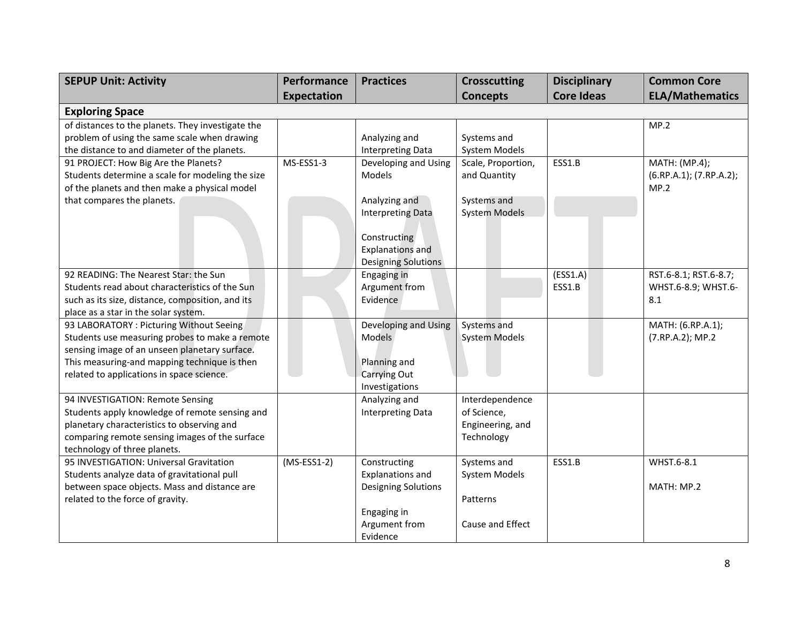| <b>SEPUP Unit: Activity</b>                       | Performance        | <b>Practices</b>         | <b>Crosscutting</b>  | <b>Disciplinary</b> | <b>Common Core</b>      |
|---------------------------------------------------|--------------------|--------------------------|----------------------|---------------------|-------------------------|
|                                                   | <b>Expectation</b> |                          | <b>Concepts</b>      | <b>Core Ideas</b>   | <b>ELA/Mathematics</b>  |
| <b>Exploring Space</b>                            |                    |                          |                      |                     |                         |
| of distances to the planets. They investigate the |                    |                          |                      |                     | MP.2                    |
| problem of using the same scale when drawing      |                    | Analyzing and            | Systems and          |                     |                         |
| the distance to and diameter of the planets.      |                    | <b>Interpreting Data</b> | <b>System Models</b> |                     |                         |
| 91 PROJECT: How Big Are the Planets?              | MS-ESS1-3          | Developing and Using     | Scale, Proportion,   | ESS1.B              | MATH: (MP.4);           |
| Students determine a scale for modeling the size  |                    | Models                   | and Quantity         |                     | (6.RP.A.1); (7.RP.A.2); |
| of the planets and then make a physical model     |                    |                          |                      |                     | MP.2                    |
| that compares the planets.                        |                    | Analyzing and            | Systems and          |                     |                         |
|                                                   |                    | <b>Interpreting Data</b> | <b>System Models</b> |                     |                         |
|                                                   |                    |                          |                      |                     |                         |
|                                                   |                    | Constructing             |                      |                     |                         |
|                                                   |                    | <b>Explanations and</b>  |                      |                     |                         |
|                                                   |                    | Designing Solutions      |                      |                     |                         |
| 92 READING: The Nearest Star: the Sun             |                    | Engaging in              |                      | (ESS1.A)            | RST.6-8.1; RST.6-8.7;   |
| Students read about characteristics of the Sun    |                    | Argument from            |                      | ESS1.B              | WHST.6-8.9; WHST.6-     |
| such as its size, distance, composition, and its  |                    | Evidence                 |                      |                     | 8.1                     |
| place as a star in the solar system.              |                    |                          |                      |                     |                         |
| 93 LABORATORY: Picturing Without Seeing           |                    | Developing and Using     | Systems and          |                     | MATH: (6.RP.A.1);       |
| Students use measuring probes to make a remote    |                    | <b>Models</b>            | <b>System Models</b> |                     | (7.RP.A.2); MP.2        |
| sensing image of an unseen planetary surface.     |                    |                          |                      |                     |                         |
| This measuring-and mapping technique is then      |                    | Planning and             |                      |                     |                         |
| related to applications in space science.         |                    | Carrying Out             |                      |                     |                         |
|                                                   |                    | Investigations           |                      |                     |                         |
| 94 INVESTIGATION: Remote Sensing                  |                    | Analyzing and            | Interdependence      |                     |                         |
| Students apply knowledge of remote sensing and    |                    | <b>Interpreting Data</b> | of Science,          |                     |                         |
| planetary characteristics to observing and        |                    |                          | Engineering, and     |                     |                         |
| comparing remote sensing images of the surface    |                    |                          | Technology           |                     |                         |
| technology of three planets.                      |                    |                          |                      |                     |                         |
| 95 INVESTIGATION: Universal Gravitation           | $(MS-ESS1-2)$      | Constructing             | Systems and          | ESS1.B              | WHST.6-8.1              |
| Students analyze data of gravitational pull       |                    | <b>Explanations and</b>  | <b>System Models</b> |                     |                         |
| between space objects. Mass and distance are      |                    | Designing Solutions      |                      |                     | MATH: MP.2              |
| related to the force of gravity.                  |                    |                          | Patterns             |                     |                         |
|                                                   |                    | Engaging in              |                      |                     |                         |
|                                                   |                    | Argument from            | Cause and Effect     |                     |                         |
|                                                   |                    | Evidence                 |                      |                     |                         |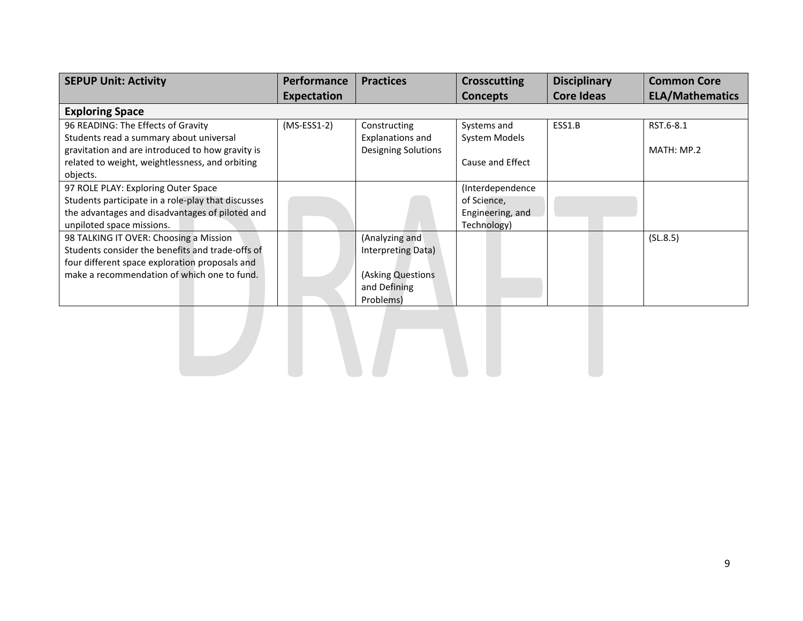| <b>SEPUP Unit: Activity</b>                        | <b>Performance</b> | <b>Practices</b>        | <b>Crosscutting</b> | <b>Disciplinary</b> | <b>Common Core</b>     |
|----------------------------------------------------|--------------------|-------------------------|---------------------|---------------------|------------------------|
|                                                    | <b>Expectation</b> |                         | <b>Concepts</b>     | <b>Core Ideas</b>   | <b>ELA/Mathematics</b> |
| <b>Exploring Space</b>                             |                    |                         |                     |                     |                        |
| 96 READING: The Effects of Gravity                 | $(MS-ESS1-2)$      | Constructing            | Systems and         | ESS1.B              | RST.6-8.1              |
| Students read a summary about universal            |                    | <b>Explanations and</b> | System Models       |                     |                        |
| gravitation and are introduced to how gravity is   |                    | Designing Solutions     |                     |                     | MATH: MP.2             |
| related to weight, weightlessness, and orbiting    |                    |                         | Cause and Effect    |                     |                        |
| objects.                                           |                    |                         |                     |                     |                        |
| 97 ROLE PLAY: Exploring Outer Space                |                    |                         | (Interdependence    |                     |                        |
| Students participate in a role-play that discusses |                    |                         | of Science,         |                     |                        |
| the advantages and disadvantages of piloted and    |                    |                         | Engineering, and    |                     |                        |
| unpiloted space missions.                          |                    |                         | Technology)         |                     |                        |
| 98 TALKING IT OVER: Choosing a Mission             |                    | (Analyzing and          |                     |                     | (SL.8.5)               |
| Students consider the benefits and trade-offs of   |                    | Interpreting Data)      |                     |                     |                        |
| four different space exploration proposals and     |                    |                         |                     |                     |                        |
| make a recommendation of which one to fund.        |                    | (Asking Questions       |                     |                     |                        |
|                                                    |                    | and Defining            |                     |                     |                        |
|                                                    |                    | Problems)               |                     |                     |                        |
|                                                    |                    |                         |                     |                     |                        |
|                                                    |                    |                         |                     |                     |                        |
|                                                    |                    |                         |                     |                     |                        |
|                                                    |                    |                         |                     |                     |                        |
|                                                    |                    |                         |                     |                     |                        |
|                                                    |                    |                         |                     |                     |                        |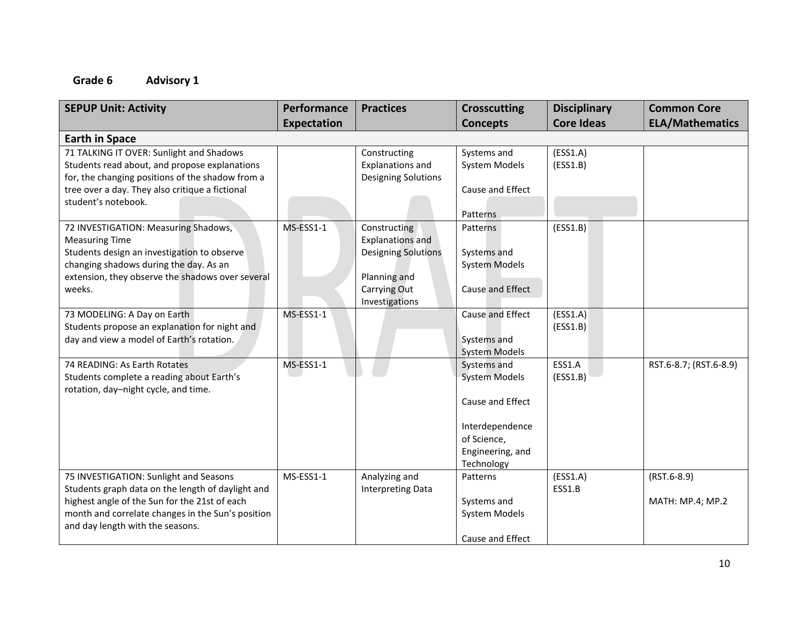| <b>SEPUP Unit: Activity</b>                                                  | Performance | <b>Practices</b>           | <b>Crosscutting</b>  | <b>Disciplinary</b>  | <b>Common Core</b>     |
|------------------------------------------------------------------------------|-------------|----------------------------|----------------------|----------------------|------------------------|
|                                                                              | Expectation |                            | <b>Concepts</b>      | <b>Core Ideas</b>    | <b>ELA/Mathematics</b> |
| <b>Earth in Space</b>                                                        |             |                            |                      |                      |                        |
| 71 TALKING IT OVER: Sunlight and Shadows                                     |             | Constructing               | Systems and          | (ESS1.A)             |                        |
| Students read about, and propose explanations                                |             | <b>Explanations and</b>    | <b>System Models</b> | (ESS1.B)             |                        |
| for, the changing positions of the shadow from a                             |             | <b>Designing Solutions</b> |                      |                      |                        |
| tree over a day. They also critique a fictional                              |             |                            | Cause and Effect     |                      |                        |
| student's notebook.                                                          |             |                            |                      |                      |                        |
|                                                                              |             |                            | Patterns             |                      |                        |
| 72 INVESTIGATION: Measuring Shadows,                                         | MS-ESS1-1   | Constructing               | Patterns             | (ESS1.B)             |                        |
| <b>Measuring Time</b>                                                        |             | <b>Explanations and</b>    |                      |                      |                        |
| Students design an investigation to observe                                  |             | <b>Designing Solutions</b> | Systems and          |                      |                        |
| changing shadows during the day. As an                                       |             |                            | <b>System Models</b> |                      |                        |
| extension, they observe the shadows over several                             |             | Planning and               |                      |                      |                        |
| weeks.                                                                       |             | Carrying Out               | Cause and Effect     |                      |                        |
|                                                                              | MS-ESS1-1   | Investigations             | Cause and Effect     |                      |                        |
| 73 MODELING: A Day on Earth<br>Students propose an explanation for night and |             |                            |                      | (ESS1.A)<br>(ESS1.B) |                        |
| day and view a model of Earth's rotation.                                    |             |                            | Systems and          |                      |                        |
|                                                                              |             |                            | <b>System Models</b> |                      |                        |
| 74 READING: As Earth Rotates                                                 | MS-ESS1-1   |                            | Systems and          | ESS1.A               | RST.6-8.7; (RST.6-8.9) |
| Students complete a reading about Earth's                                    |             |                            | <b>System Models</b> | (ESS1.B)             |                        |
| rotation, day-night cycle, and time.                                         |             |                            |                      |                      |                        |
|                                                                              |             |                            | Cause and Effect     |                      |                        |
|                                                                              |             |                            |                      |                      |                        |
|                                                                              |             |                            | Interdependence      |                      |                        |
|                                                                              |             |                            | of Science,          |                      |                        |
|                                                                              |             |                            | Engineering, and     |                      |                        |
|                                                                              |             |                            | Technology           |                      |                        |
| 75 INVESTIGATION: Sunlight and Seasons                                       | MS-ESS1-1   | Analyzing and              | Patterns             | (ESS1.A)             | $(RST.6-8.9)$          |
| Students graph data on the length of daylight and                            |             | <b>Interpreting Data</b>   |                      | ESS1.B               |                        |
| highest angle of the Sun for the 21st of each                                |             |                            | Systems and          |                      | MATH: MP.4; MP.2       |
| month and correlate changes in the Sun's position                            |             |                            | System Models        |                      |                        |
| and day length with the seasons.                                             |             |                            |                      |                      |                        |
|                                                                              |             |                            | Cause and Effect     |                      |                        |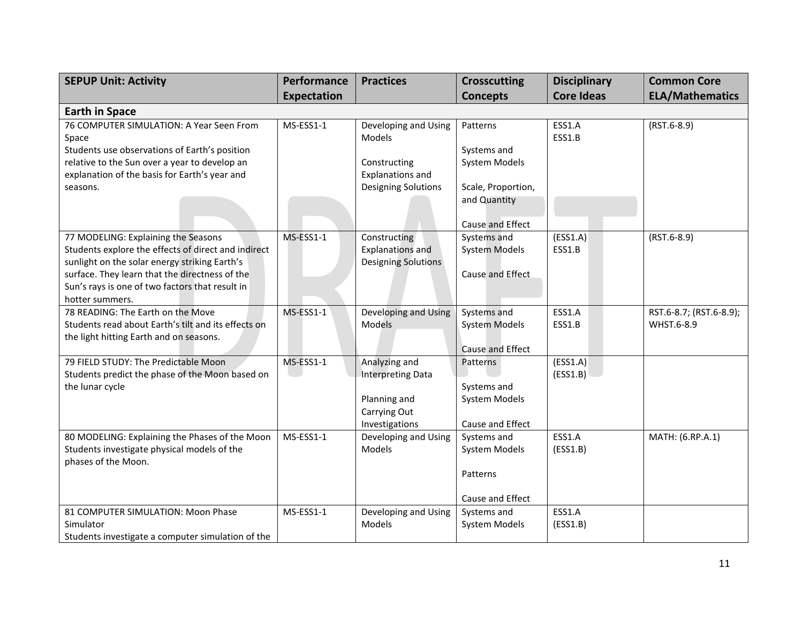| <b>SEPUP Unit: Activity</b>                                                                    | Performance        | <b>Practices</b>               | <b>Crosscutting</b>  | <b>Disciplinary</b> | <b>Common Core</b>                    |
|------------------------------------------------------------------------------------------------|--------------------|--------------------------------|----------------------|---------------------|---------------------------------------|
|                                                                                                | <b>Expectation</b> |                                | <b>Concepts</b>      | <b>Core Ideas</b>   | <b>ELA/Mathematics</b>                |
| <b>Earth in Space</b>                                                                          |                    |                                |                      |                     |                                       |
| 76 COMPUTER SIMULATION: A Year Seen From<br>Space                                              | MS-ESS1-1          | Developing and Using<br>Models | Patterns             | ESS1.A<br>ESS1.B    | $(RST.6-8.9)$                         |
| Students use observations of Earth's position                                                  |                    |                                | Systems and          |                     |                                       |
| relative to the Sun over a year to develop an                                                  |                    | Constructing                   | <b>System Models</b> |                     |                                       |
| explanation of the basis for Earth's year and                                                  |                    | <b>Explanations and</b>        |                      |                     |                                       |
| seasons.                                                                                       |                    | <b>Designing Solutions</b>     | Scale, Proportion,   |                     |                                       |
|                                                                                                |                    |                                | and Quantity         |                     |                                       |
|                                                                                                |                    |                                | Cause and Effect     |                     |                                       |
| 77 MODELING: Explaining the Seasons                                                            | MS-ESS1-1          | Constructing                   | Systems and          | (ESS1.A)            | $(RST.6-8.9)$                         |
| Students explore the effects of direct and indirect                                            |                    | <b>Explanations and</b>        | <b>System Models</b> | ESS1.B              |                                       |
| sunlight on the solar energy striking Earth's                                                  |                    | Designing Solutions            |                      |                     |                                       |
| surface. They learn that the directness of the                                                 |                    |                                | Cause and Effect     |                     |                                       |
| Sun's rays is one of two factors that result in                                                |                    |                                |                      |                     |                                       |
| hotter summers.                                                                                |                    |                                |                      |                     |                                       |
| 78 READING: The Earth on the Move                                                              | MS-ESS1-1          | Developing and Using           | Systems and          | ESS1.A              | RST.6-8.7; (RST.6-8.9);<br>WHST.6-8.9 |
| Students read about Earth's tilt and its effects on<br>the light hitting Earth and on seasons. |                    | <b>Models</b>                  | <b>System Models</b> | ESS1.B              |                                       |
|                                                                                                |                    |                                | Cause and Effect     |                     |                                       |
| 79 FIELD STUDY: The Predictable Moon                                                           | MS-ESS1-1          | Analyzing and                  | Patterns             | (ESS1.A)            |                                       |
| Students predict the phase of the Moon based on                                                |                    | <b>Interpreting Data</b>       |                      | (ESS1.B)            |                                       |
| the lunar cycle                                                                                |                    |                                | Systems and          |                     |                                       |
|                                                                                                |                    | Planning and                   | <b>System Models</b> |                     |                                       |
|                                                                                                |                    | Carrying Out                   |                      |                     |                                       |
|                                                                                                |                    | Investigations                 | Cause and Effect     |                     |                                       |
| 80 MODELING: Explaining the Phases of the Moon                                                 | MS-ESS1-1          | Developing and Using           | Systems and          | ESS1.A              | MATH: (6.RP.A.1)                      |
| Students investigate physical models of the                                                    |                    | Models                         | <b>System Models</b> | (ESS1.B)            |                                       |
| phases of the Moon.                                                                            |                    |                                | Patterns             |                     |                                       |
|                                                                                                |                    |                                |                      |                     |                                       |
|                                                                                                |                    |                                | Cause and Effect     |                     |                                       |
| 81 COMPUTER SIMULATION: Moon Phase                                                             | MS-ESS1-1          | Developing and Using           | Systems and          | ESS1.A              |                                       |
| Simulator                                                                                      |                    | Models                         | <b>System Models</b> | (ESS1.B)            |                                       |
| Students investigate a computer simulation of the                                              |                    |                                |                      |                     |                                       |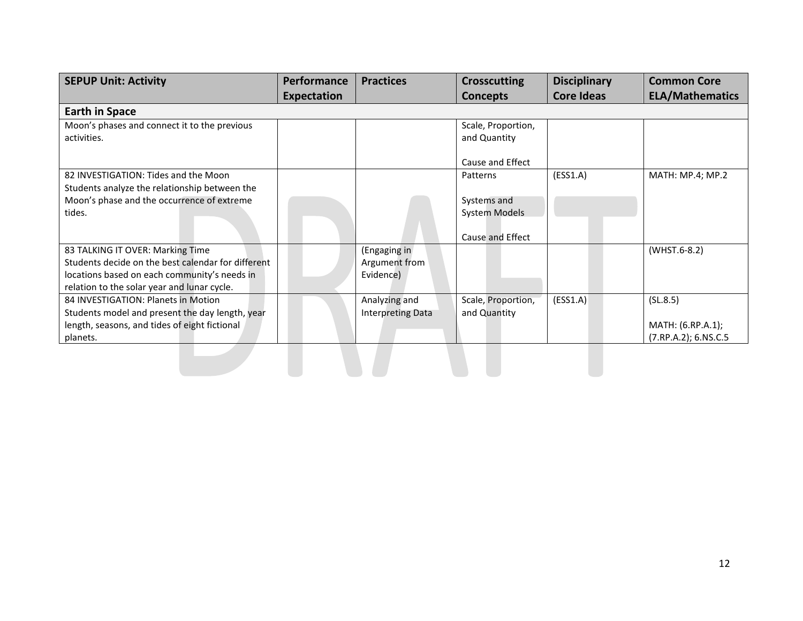| <b>SEPUP Unit: Activity</b>                        | <b>Performance</b> | <b>Practices</b>         | <b>Crosscutting</b>  | <b>Disciplinary</b> | <b>Common Core</b>     |
|----------------------------------------------------|--------------------|--------------------------|----------------------|---------------------|------------------------|
|                                                    | <b>Expectation</b> |                          | <b>Concepts</b>      | <b>Core Ideas</b>   | <b>ELA/Mathematics</b> |
| <b>Earth in Space</b>                              |                    |                          |                      |                     |                        |
| Moon's phases and connect it to the previous       |                    |                          | Scale, Proportion,   |                     |                        |
| activities.                                        |                    |                          | and Quantity         |                     |                        |
|                                                    |                    |                          | Cause and Effect     |                     |                        |
| 82 INVESTIGATION: Tides and the Moon               |                    |                          | Patterns             | (ESS1.A)            | MATH: MP.4; MP.2       |
| Students analyze the relationship between the      |                    |                          |                      |                     |                        |
| Moon's phase and the occurrence of extreme         |                    |                          | Systems and          |                     |                        |
| tides.                                             |                    |                          | <b>System Models</b> |                     |                        |
|                                                    |                    |                          | Cause and Effect     |                     |                        |
| 83 TALKING IT OVER: Marking Time                   |                    | (Engaging in             |                      |                     | (WHST.6-8.2)           |
| Students decide on the best calendar for different |                    | Argument from            |                      |                     |                        |
| locations based on each community's needs in       |                    | Evidence)                |                      |                     |                        |
| relation to the solar year and lunar cycle.        |                    |                          |                      |                     |                        |
| 84 INVESTIGATION: Planets in Motion                |                    | Analyzing and            | Scale, Proportion,   | (ESS1.A)            | (SL.8.5)               |
| Students model and present the day length, year    |                    | <b>Interpreting Data</b> | and Quantity         |                     |                        |
| length, seasons, and tides of eight fictional      |                    |                          |                      |                     | MATH: (6.RP.A.1);      |
| planets.                                           |                    |                          |                      |                     | (7.RP.A.2); 6.NS.C.5   |
|                                                    |                    |                          |                      |                     |                        |
|                                                    |                    |                          |                      |                     |                        |
|                                                    |                    |                          |                      |                     |                        |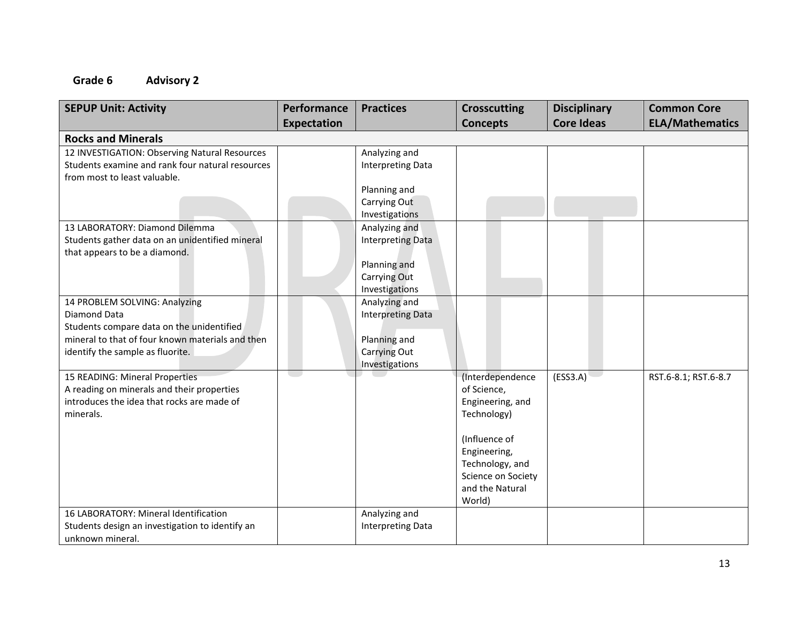| <b>SEPUP Unit: Activity</b>                      | Performance        | <b>Practices</b>                          | <b>Crosscutting</b> | <b>Disciplinary</b> | <b>Common Core</b>     |
|--------------------------------------------------|--------------------|-------------------------------------------|---------------------|---------------------|------------------------|
|                                                  | <b>Expectation</b> |                                           | <b>Concepts</b>     | <b>Core Ideas</b>   | <b>ELA/Mathematics</b> |
| <b>Rocks and Minerals</b>                        |                    |                                           |                     |                     |                        |
| 12 INVESTIGATION: Observing Natural Resources    |                    | Analyzing and                             |                     |                     |                        |
| Students examine and rank four natural resources |                    | <b>Interpreting Data</b>                  |                     |                     |                        |
| from most to least valuable.                     |                    |                                           |                     |                     |                        |
|                                                  |                    | Planning and                              |                     |                     |                        |
|                                                  |                    | Carrying Out                              |                     |                     |                        |
|                                                  |                    | Investigations                            |                     |                     |                        |
| 13 LABORATORY: Diamond Dilemma                   |                    | Analyzing and                             |                     |                     |                        |
| Students gather data on an unidentified mineral  |                    | <b>Interpreting Data</b>                  |                     |                     |                        |
| that appears to be a diamond.                    |                    |                                           |                     |                     |                        |
|                                                  |                    | Planning and<br>Carrying Out              |                     |                     |                        |
|                                                  |                    | Investigations                            |                     |                     |                        |
| 14 PROBLEM SOLVING: Analyzing                    |                    | Analyzing and                             |                     |                     |                        |
| Diamond Data                                     |                    | <b>Interpreting Data</b>                  |                     |                     |                        |
| Students compare data on the unidentified        |                    |                                           |                     |                     |                        |
| mineral to that of four known materials and then |                    | Planning and                              |                     |                     |                        |
| identify the sample as fluorite.                 |                    | Carrying Out                              |                     |                     |                        |
|                                                  |                    | Investigations                            |                     |                     |                        |
| 15 READING: Mineral Properties                   | e e s              |                                           | (Interdependence    | (ESS3.A)            | RST.6-8.1; RST.6-8.7   |
| A reading on minerals and their properties       |                    |                                           | of Science,         |                     |                        |
| introduces the idea that rocks are made of       |                    |                                           | Engineering, and    |                     |                        |
| minerals.                                        |                    |                                           | Technology)         |                     |                        |
|                                                  |                    |                                           |                     |                     |                        |
|                                                  |                    |                                           | (Influence of       |                     |                        |
|                                                  |                    |                                           | Engineering,        |                     |                        |
|                                                  |                    |                                           | Technology, and     |                     |                        |
|                                                  |                    |                                           | Science on Society  |                     |                        |
|                                                  |                    |                                           | and the Natural     |                     |                        |
| 16 LABORATORY: Mineral Identification            |                    |                                           | World)              |                     |                        |
| Students design an investigation to identify an  |                    | Analyzing and<br><b>Interpreting Data</b> |                     |                     |                        |
| unknown mineral.                                 |                    |                                           |                     |                     |                        |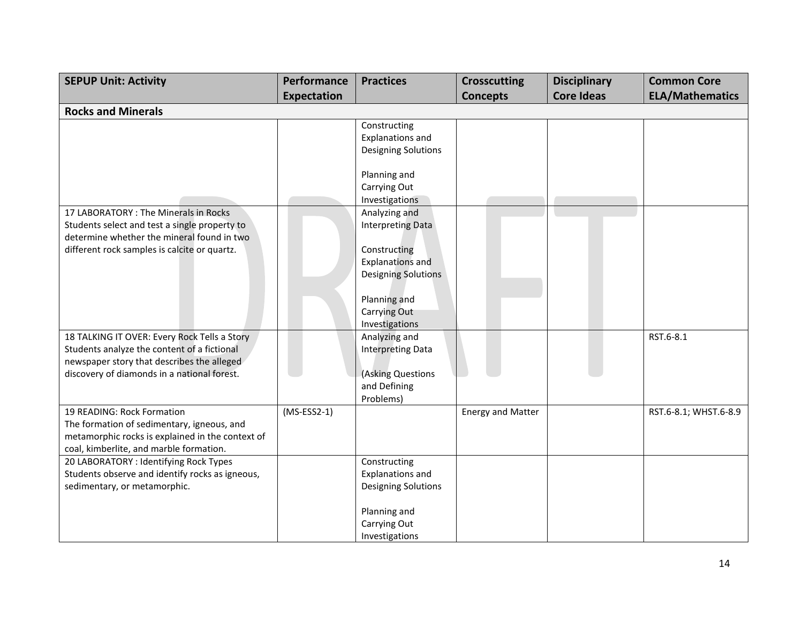| <b>SEPUP Unit: Activity</b>                      | Performance   | <b>Practices</b>           | <b>Crosscutting</b>      | <b>Disciplinary</b> | <b>Common Core</b>     |
|--------------------------------------------------|---------------|----------------------------|--------------------------|---------------------|------------------------|
|                                                  | Expectation   |                            | <b>Concepts</b>          | <b>Core Ideas</b>   | <b>ELA/Mathematics</b> |
| <b>Rocks and Minerals</b>                        |               |                            |                          |                     |                        |
|                                                  |               | Constructing               |                          |                     |                        |
|                                                  |               | <b>Explanations and</b>    |                          |                     |                        |
|                                                  |               | Designing Solutions        |                          |                     |                        |
|                                                  |               | Planning and               |                          |                     |                        |
|                                                  |               | Carrying Out               |                          |                     |                        |
|                                                  |               | Investigations             |                          |                     |                        |
| 17 LABORATORY: The Minerals in Rocks             |               | Analyzing and              |                          |                     |                        |
| Students select and test a single property to    |               | Interpreting Data          |                          |                     |                        |
| determine whether the mineral found in two       |               |                            |                          |                     |                        |
| different rock samples is calcite or quartz.     |               | Constructing               |                          |                     |                        |
|                                                  |               | <b>Explanations and</b>    |                          |                     |                        |
|                                                  |               | <b>Designing Solutions</b> |                          |                     |                        |
|                                                  |               |                            |                          |                     |                        |
|                                                  |               | Planning and               |                          |                     |                        |
|                                                  |               | Carrying Out               |                          |                     |                        |
|                                                  |               | Investigations             |                          |                     |                        |
| 18 TALKING IT OVER: Every Rock Tells a Story     |               | Analyzing and              |                          |                     | RST.6-8.1              |
| Students analyze the content of a fictional      |               | <b>Interpreting Data</b>   |                          |                     |                        |
| newspaper story that describes the alleged       |               |                            |                          |                     |                        |
| discovery of diamonds in a national forest.      |               | (Asking Questions          |                          |                     |                        |
|                                                  |               | and Defining               |                          |                     |                        |
|                                                  |               | Problems)                  |                          |                     |                        |
| 19 READING: Rock Formation                       | $(MS-ESS2-1)$ |                            | <b>Energy and Matter</b> |                     | RST.6-8.1; WHST.6-8.9  |
| The formation of sedimentary, igneous, and       |               |                            |                          |                     |                        |
| metamorphic rocks is explained in the context of |               |                            |                          |                     |                        |
| coal, kimberlite, and marble formation.          |               |                            |                          |                     |                        |
| 20 LABORATORY : Identifying Rock Types           |               | Constructing               |                          |                     |                        |
| Students observe and identify rocks as igneous,  |               | <b>Explanations and</b>    |                          |                     |                        |
| sedimentary, or metamorphic.                     |               | Designing Solutions        |                          |                     |                        |
|                                                  |               | Planning and               |                          |                     |                        |
|                                                  |               | Carrying Out               |                          |                     |                        |
|                                                  |               | Investigations             |                          |                     |                        |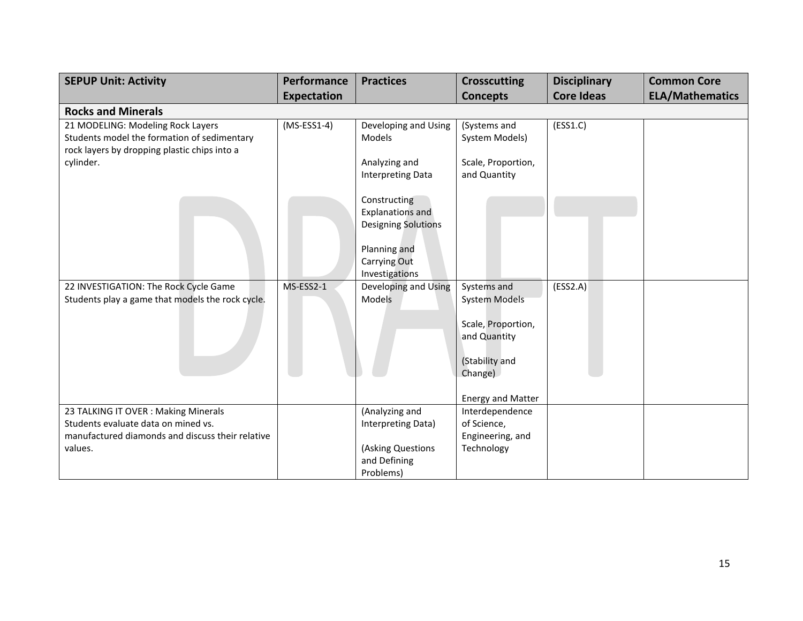| <b>SEPUP Unit: Activity</b>                                                                                                                   | <b>Performance</b> | <b>Practices</b>                                                                                                                             | <b>Crosscutting</b>                                                                                                                | <b>Disciplinary</b> | <b>Common Core</b>     |
|-----------------------------------------------------------------------------------------------------------------------------------------------|--------------------|----------------------------------------------------------------------------------------------------------------------------------------------|------------------------------------------------------------------------------------------------------------------------------------|---------------------|------------------------|
|                                                                                                                                               | <b>Expectation</b> |                                                                                                                                              | <b>Concepts</b>                                                                                                                    | <b>Core Ideas</b>   | <b>ELA/Mathematics</b> |
| <b>Rocks and Minerals</b>                                                                                                                     |                    |                                                                                                                                              |                                                                                                                                    |                     |                        |
| 21 MODELING: Modeling Rock Layers<br>Students model the formation of sedimentary<br>rock layers by dropping plastic chips into a<br>cylinder. | $(MS-ESS1-4)$      | Developing and Using<br>Models<br>Analyzing and                                                                                              | (Systems and<br>System Models)<br>Scale, Proportion,                                                                               | (ESS1.C)            |                        |
|                                                                                                                                               |                    | <b>Interpreting Data</b><br>Constructing<br><b>Explanations and</b><br>Designing Solutions<br>Planning and<br>Carrying Out<br>Investigations | and Quantity                                                                                                                       |                     |                        |
| 22 INVESTIGATION: The Rock Cycle Game<br>Students play a game that models the rock cycle.                                                     | MS-ESS2-1          | Developing and Using<br>Models                                                                                                               | Systems and<br><b>System Models</b><br>Scale, Proportion,<br>and Quantity<br>(Stability and<br>Change)<br><b>Energy and Matter</b> | (ESS2.A)            |                        |
| 23 TALKING IT OVER: Making Minerals<br>Students evaluate data on mined vs.<br>manufactured diamonds and discuss their relative<br>values.     |                    | (Analyzing and<br>Interpreting Data)<br>(Asking Questions<br>and Defining<br>Problems)                                                       | Interdependence<br>of Science,<br>Engineering, and<br>Technology                                                                   |                     |                        |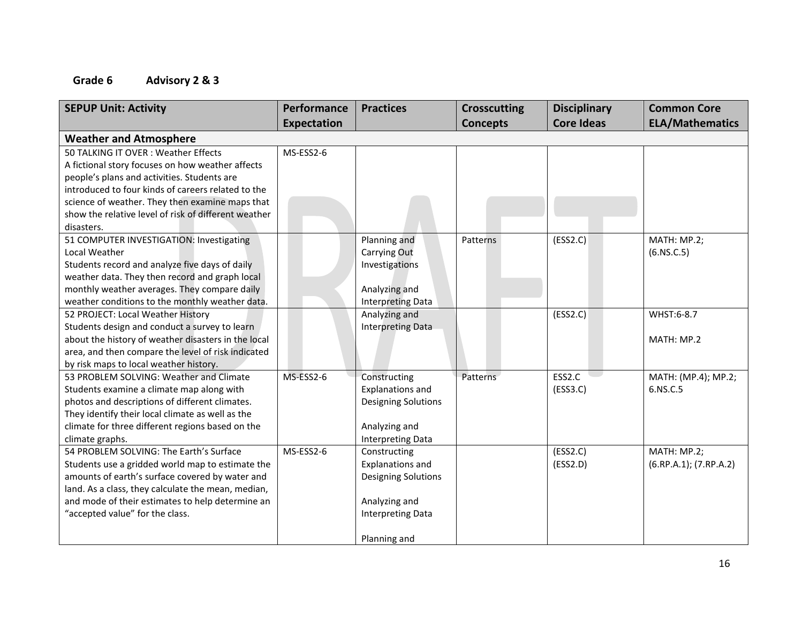# **Grade 6 Advisory 2 & 3**

| <b>SEPUP Unit: Activity</b>                          | Performance | <b>Practices</b>           | <b>Crosscutting</b> | <b>Disciplinary</b> | <b>Common Core</b>     |
|------------------------------------------------------|-------------|----------------------------|---------------------|---------------------|------------------------|
|                                                      | Expectation |                            | <b>Concepts</b>     | <b>Core Ideas</b>   | <b>ELA/Mathematics</b> |
| <b>Weather and Atmosphere</b>                        |             |                            |                     |                     |                        |
| 50 TALKING IT OVER: Weather Effects                  | MS-ESS2-6   |                            |                     |                     |                        |
| A fictional story focuses on how weather affects     |             |                            |                     |                     |                        |
| people's plans and activities. Students are          |             |                            |                     |                     |                        |
| introduced to four kinds of careers related to the   |             |                            |                     |                     |                        |
| science of weather. They then examine maps that      |             |                            |                     |                     |                        |
| show the relative level of risk of different weather |             |                            |                     |                     |                        |
| disasters.                                           |             |                            |                     |                     |                        |
| 51 COMPUTER INVESTIGATION: Investigating             |             | Planning and               | <b>Patterns</b>     | (ESS2.C)            | MATH: MP.2;            |
| Local Weather                                        |             | <b>Carrying Out</b>        |                     |                     | (6.NS.C.5)             |
| Students record and analyze five days of daily       |             | Investigations             |                     |                     |                        |
| weather data. They then record and graph local       |             |                            |                     |                     |                        |
| monthly weather averages. They compare daily         |             | Analyzing and              |                     |                     |                        |
| weather conditions to the monthly weather data.      |             | <b>Interpreting Data</b>   |                     |                     |                        |
| 52 PROJECT: Local Weather History                    |             | Analyzing and              |                     | (ESS2.C)            | WHST:6-8.7             |
| Students design and conduct a survey to learn        |             | <b>Interpreting Data</b>   |                     |                     |                        |
| about the history of weather disasters in the local  |             |                            |                     |                     | MATH: MP.2             |
| area, and then compare the level of risk indicated   |             |                            |                     |                     |                        |
| by risk maps to local weather history.               |             |                            |                     |                     |                        |
| 53 PROBLEM SOLVING: Weather and Climate              | MS-ESS2-6   | Constructing               | Patterns            | ESS2.C              | MATH: (MP.4); MP.2;    |
| Students examine a climate map along with            |             | Explanations and           |                     | (ESS3.C)            | 6.NS.C.5               |
| photos and descriptions of different climates.       |             | <b>Designing Solutions</b> |                     |                     |                        |
| They identify their local climate as well as the     |             |                            |                     |                     |                        |
| climate for three different regions based on the     |             | Analyzing and              |                     |                     |                        |
| climate graphs.                                      |             | Interpreting Data          |                     |                     |                        |
| 54 PROBLEM SOLVING: The Earth's Surface              | MS-ESS2-6   | Constructing               |                     | (ESS2.C)            | MATH: MP.2;            |
| Students use a gridded world map to estimate the     |             | <b>Explanations and</b>    |                     | (ESS2.D)            | (6.RP.A.1); (7.RP.A.2) |
| amounts of earth's surface covered by water and      |             | <b>Designing Solutions</b> |                     |                     |                        |
| land. As a class, they calculate the mean, median,   |             |                            |                     |                     |                        |
| and mode of their estimates to help determine an     |             | Analyzing and              |                     |                     |                        |
| "accepted value" for the class.                      |             | <b>Interpreting Data</b>   |                     |                     |                        |
|                                                      |             |                            |                     |                     |                        |
|                                                      |             | Planning and               |                     |                     |                        |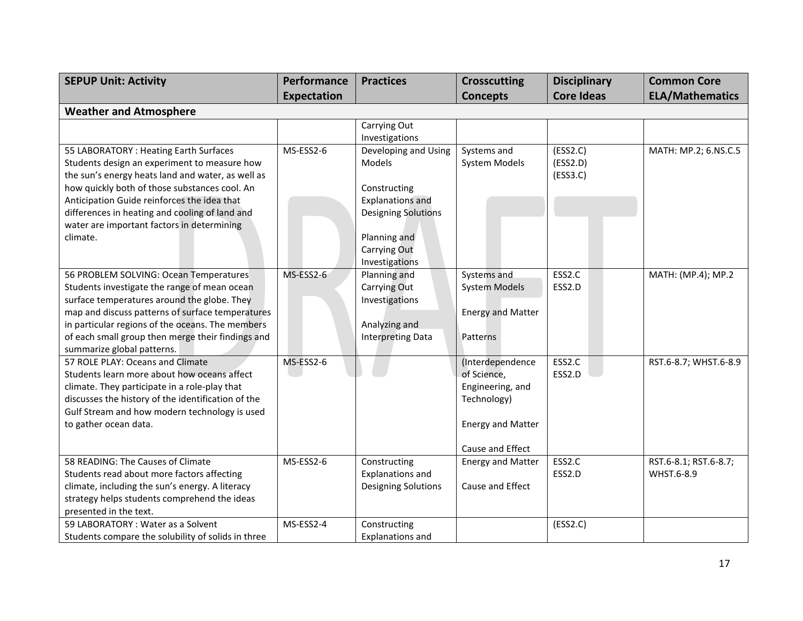| <b>SEPUP Unit: Activity</b>                                                                        | Performance | <b>Practices</b>           | <b>Crosscutting</b>             | <b>Disciplinary</b> | <b>Common Core</b>     |
|----------------------------------------------------------------------------------------------------|-------------|----------------------------|---------------------------------|---------------------|------------------------|
|                                                                                                    | Expectation |                            | <b>Concepts</b>                 | <b>Core Ideas</b>   | <b>ELA/Mathematics</b> |
| <b>Weather and Atmosphere</b>                                                                      |             |                            |                                 |                     |                        |
|                                                                                                    |             | Carrying Out               |                                 |                     |                        |
|                                                                                                    |             | Investigations             |                                 |                     |                        |
| 55 LABORATORY : Heating Earth Surfaces                                                             | MS-ESS2-6   | Developing and Using       | Systems and                     | (ESS2.C)            | MATH: MP.2; 6.NS.C.5   |
| Students design an experiment to measure how                                                       |             | Models                     | System Models                   | (ESS2.D)            |                        |
| the sun's energy heats land and water, as well as<br>how quickly both of those substances cool. An |             | Constructing               |                                 | (ESS3.C)            |                        |
| Anticipation Guide reinforces the idea that                                                        |             | <b>Explanations and</b>    |                                 |                     |                        |
| differences in heating and cooling of land and                                                     |             | <b>Designing Solutions</b> |                                 |                     |                        |
| water are important factors in determining                                                         |             |                            |                                 |                     |                        |
| climate.                                                                                           |             | Planning and               |                                 |                     |                        |
|                                                                                                    |             | Carrying Out               |                                 |                     |                        |
|                                                                                                    |             | Investigations             |                                 |                     |                        |
| 56 PROBLEM SOLVING: Ocean Temperatures                                                             | MS-ESS2-6   | Planning and               | Systems and                     | ESS2.C              | MATH: (MP.4); MP.2     |
| Students investigate the range of mean ocean                                                       |             | Carrying Out               | <b>System Models</b>            | ESS2.D              |                        |
| surface temperatures around the globe. They                                                        |             | Investigations             |                                 |                     |                        |
| map and discuss patterns of surface temperatures                                                   |             |                            | <b>Energy and Matter</b>        |                     |                        |
| in particular regions of the oceans. The members                                                   |             | Analyzing and              |                                 |                     |                        |
| of each small group then merge their findings and                                                  |             | Interpreting Data          | Patterns                        |                     |                        |
| summarize global patterns.<br>57 ROLE PLAY: Oceans and Climate                                     | MS-ESS2-6   |                            |                                 | ESS2.C              |                        |
| Students learn more about how oceans affect                                                        |             |                            | (Interdependence<br>of Science, | ESS2.D              | RST.6-8.7; WHST.6-8.9  |
| climate. They participate in a role-play that                                                      |             |                            | Engineering, and                |                     |                        |
| discusses the history of the identification of the                                                 |             |                            | Technology)                     |                     |                        |
| Gulf Stream and how modern technology is used                                                      |             |                            |                                 |                     |                        |
| to gather ocean data.                                                                              |             |                            | <b>Energy and Matter</b>        |                     |                        |
|                                                                                                    |             |                            |                                 |                     |                        |
|                                                                                                    |             |                            | Cause and Effect                |                     |                        |
| 58 READING: The Causes of Climate                                                                  | MS-ESS2-6   | Constructing               | <b>Energy and Matter</b>        | ESS2.C              | RST.6-8.1; RST.6-8.7;  |
| Students read about more factors affecting                                                         |             | <b>Explanations and</b>    |                                 | ESS2.D              | WHST.6-8.9             |
| climate, including the sun's energy. A literacy                                                    |             | <b>Designing Solutions</b> | Cause and Effect                |                     |                        |
| strategy helps students comprehend the ideas                                                       |             |                            |                                 |                     |                        |
| presented in the text.                                                                             |             |                            |                                 |                     |                        |
| 59 LABORATORY: Water as a Solvent                                                                  | MS-ESS2-4   | Constructing               |                                 | (ESS2.C)            |                        |
| Students compare the solubility of solids in three                                                 |             | <b>Explanations and</b>    |                                 |                     |                        |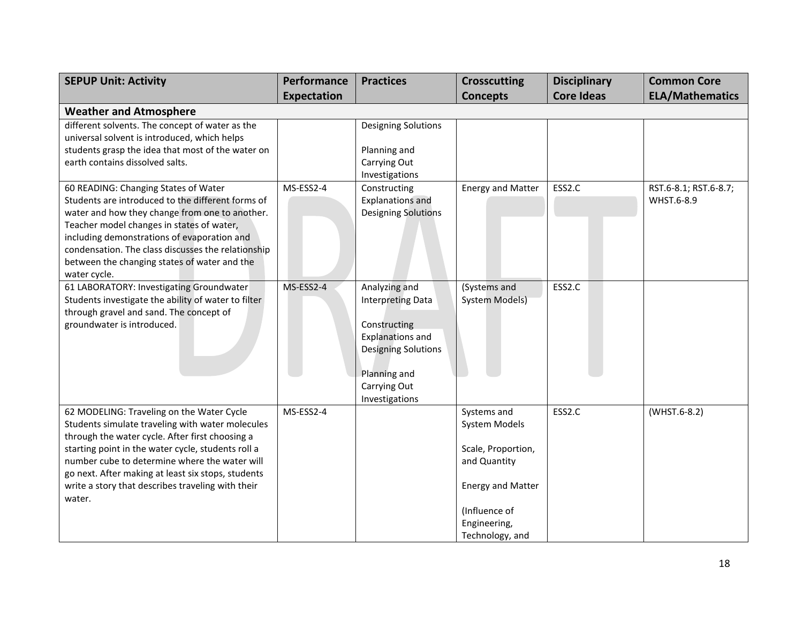| <b>SEPUP Unit: Activity</b>                                                                                                                                                                                                                                                                                                                                                  | Performance | <b>Practices</b>                                                                                                                                                     | <b>Crosscutting</b>                                                                                                                                | <b>Disciplinary</b> | <b>Common Core</b>                  |
|------------------------------------------------------------------------------------------------------------------------------------------------------------------------------------------------------------------------------------------------------------------------------------------------------------------------------------------------------------------------------|-------------|----------------------------------------------------------------------------------------------------------------------------------------------------------------------|----------------------------------------------------------------------------------------------------------------------------------------------------|---------------------|-------------------------------------|
|                                                                                                                                                                                                                                                                                                                                                                              | Expectation |                                                                                                                                                                      | <b>Concepts</b>                                                                                                                                    | <b>Core Ideas</b>   | <b>ELA/Mathematics</b>              |
| <b>Weather and Atmosphere</b>                                                                                                                                                                                                                                                                                                                                                |             |                                                                                                                                                                      |                                                                                                                                                    |                     |                                     |
| different solvents. The concept of water as the<br>universal solvent is introduced, which helps<br>students grasp the idea that most of the water on<br>earth contains dissolved salts.                                                                                                                                                                                      |             | <b>Designing Solutions</b><br>Planning and<br>Carrying Out<br>Investigations                                                                                         |                                                                                                                                                    |                     |                                     |
| 60 READING: Changing States of Water<br>Students are introduced to the different forms of<br>water and how they change from one to another.<br>Teacher model changes in states of water,<br>including demonstrations of evaporation and<br>condensation. The class discusses the relationship<br>between the changing states of water and the<br>water cycle.                | MS-ESS2-4   | Constructing<br><b>Explanations and</b><br><b>Designing Solutions</b>                                                                                                | <b>Energy and Matter</b>                                                                                                                           | ESS2.C              | RST.6-8.1; RST.6-8.7;<br>WHST.6-8.9 |
| 61 LABORATORY: Investigating Groundwater<br>Students investigate the ability of water to filter<br>through gravel and sand. The concept of<br>groundwater is introduced.                                                                                                                                                                                                     | MS-ESS2-4   | Analyzing and<br><b>Interpreting Data</b><br>Constructing<br><b>Explanations and</b><br><b>Designing Solutions</b><br>Planning and<br>Carrying Out<br>Investigations | (Systems and<br><b>System Models)</b>                                                                                                              | ESS2.C              |                                     |
| 62 MODELING: Traveling on the Water Cycle<br>Students simulate traveling with water molecules<br>through the water cycle. After first choosing a<br>starting point in the water cycle, students roll a<br>number cube to determine where the water will<br>go next. After making at least six stops, students<br>write a story that describes traveling with their<br>water. | MS-ESS2-4   |                                                                                                                                                                      | Systems and<br>System Models<br>Scale, Proportion,<br>and Quantity<br><b>Energy and Matter</b><br>(Influence of<br>Engineering,<br>Technology, and | ESS2.C              | (WHST.6-8.2)                        |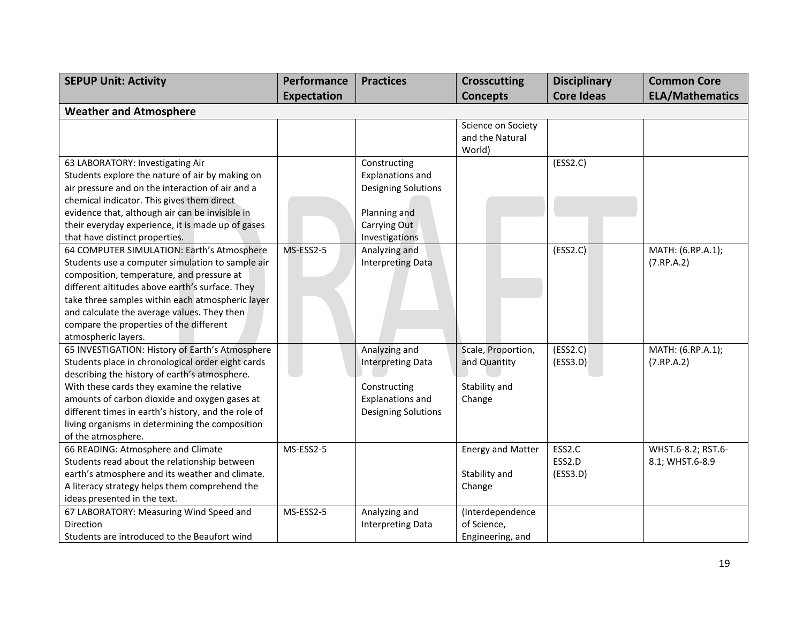| <b>SEPUP Unit: Activity</b>                         | Performance | <b>Practices</b>           | <b>Crosscutting</b>                             | <b>Disciplinary</b> | <b>Common Core</b>     |
|-----------------------------------------------------|-------------|----------------------------|-------------------------------------------------|---------------------|------------------------|
|                                                     | Expectation |                            | <b>Concepts</b>                                 | <b>Core Ideas</b>   | <b>ELA/Mathematics</b> |
| <b>Weather and Atmosphere</b>                       |             |                            |                                                 |                     |                        |
|                                                     |             |                            | Science on Society<br>and the Natural<br>World) |                     |                        |
| 63 LABORATORY: Investigating Air                    |             | Constructing               |                                                 | (ESS2.C)            |                        |
| Students explore the nature of air by making on     |             | <b>Explanations and</b>    |                                                 |                     |                        |
| air pressure and on the interaction of air and a    |             | <b>Designing Solutions</b> |                                                 |                     |                        |
| chemical indicator. This gives them direct          |             |                            |                                                 |                     |                        |
| evidence that, although air can be invisible in     |             | Planning and               |                                                 |                     |                        |
| their everyday experience, it is made up of gases   |             | Carrying Out               |                                                 |                     |                        |
| that have distinct properties.                      |             | Investigations             |                                                 |                     |                        |
| 64 COMPUTER SIMULATION: Earth's Atmosphere          | MS-ESS2-5   | Analyzing and              |                                                 | (ESS2.C)            | MATH: (6.RP.A.1);      |
| Students use a computer simulation to sample air    |             | <b>Interpreting Data</b>   |                                                 |                     | (7.RP.A.2)             |
| composition, temperature, and pressure at           |             |                            |                                                 |                     |                        |
| different altitudes above earth's surface. They     |             |                            |                                                 |                     |                        |
| take three samples within each atmospheric layer    |             |                            |                                                 |                     |                        |
| and calculate the average values. They then         |             |                            |                                                 |                     |                        |
| compare the properties of the different             |             |                            |                                                 |                     |                        |
| atmospheric layers.                                 |             |                            |                                                 |                     |                        |
| 65 INVESTIGATION: History of Earth's Atmosphere     |             | Analyzing and              | Scale, Proportion,                              | (ESS2.C)            | MATH: (6.RP.A.1);      |
| Students place in chronological order eight cards   |             | <b>Interpreting Data</b>   | and Quantity                                    | (ESS3.D)            | (7.RP.A.2)             |
| describing the history of earth's atmosphere.       |             |                            |                                                 |                     |                        |
| With these cards they examine the relative          |             | Constructing               | Stability and                                   |                     |                        |
| amounts of carbon dioxide and oxygen gases at       |             | <b>Explanations and</b>    | Change                                          |                     |                        |
| different times in earth's history, and the role of |             | <b>Designing Solutions</b> |                                                 |                     |                        |
| living organisms in determining the composition     |             |                            |                                                 |                     |                        |
| of the atmosphere.                                  |             |                            |                                                 |                     |                        |
| 66 READING: Atmosphere and Climate                  | MS-ESS2-5   |                            | <b>Energy and Matter</b>                        | ESS2.C              | WHST.6-8.2; RST.6-     |
| Students read about the relationship between        |             |                            |                                                 | ESS2.D              | 8.1; WHST.6-8.9        |
| earth's atmosphere and its weather and climate.     |             |                            | Stability and                                   | (ESS3.D)            |                        |
| A literacy strategy helps them comprehend the       |             |                            | Change                                          |                     |                        |
| ideas presented in the text.                        |             |                            |                                                 |                     |                        |
| 67 LABORATORY: Measuring Wind Speed and             | MS-ESS2-5   | Analyzing and              | (Interdependence                                |                     |                        |
| Direction                                           |             | <b>Interpreting Data</b>   | of Science,                                     |                     |                        |
| Students are introduced to the Beaufort wind        |             |                            | Engineering, and                                |                     |                        |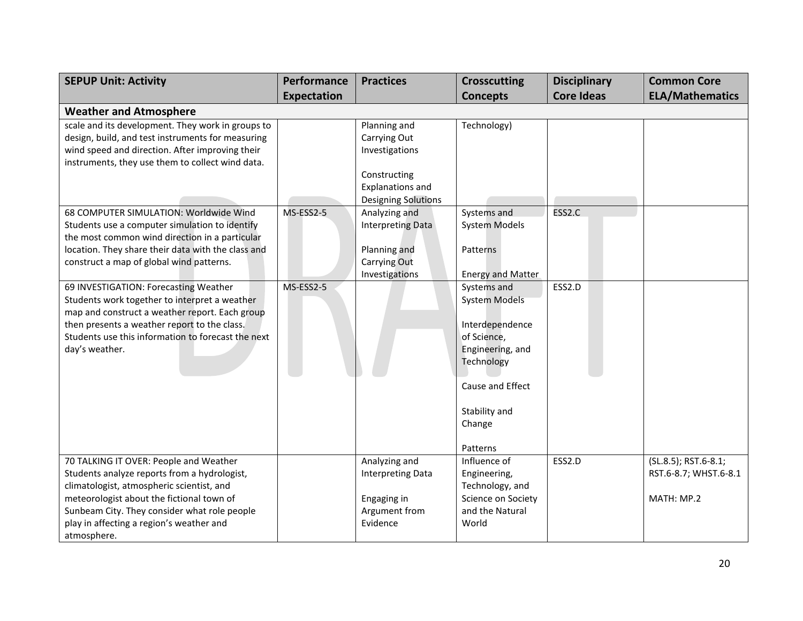| <b>SEPUP Unit: Activity</b>                        | Performance        | <b>Practices</b>           | <b>Crosscutting</b>      | <b>Disciplinary</b> | <b>Common Core</b>     |
|----------------------------------------------------|--------------------|----------------------------|--------------------------|---------------------|------------------------|
|                                                    | <b>Expectation</b> |                            | <b>Concepts</b>          | <b>Core Ideas</b>   | <b>ELA/Mathematics</b> |
| <b>Weather and Atmosphere</b>                      |                    |                            |                          |                     |                        |
| scale and its development. They work in groups to  |                    | Planning and               | Technology)              |                     |                        |
| design, build, and test instruments for measuring  |                    | Carrying Out               |                          |                     |                        |
| wind speed and direction. After improving their    |                    | Investigations             |                          |                     |                        |
| instruments, they use them to collect wind data.   |                    |                            |                          |                     |                        |
|                                                    |                    | Constructing               |                          |                     |                        |
|                                                    |                    | <b>Explanations and</b>    |                          |                     |                        |
|                                                    |                    | <b>Designing Solutions</b> |                          |                     |                        |
| 68 COMPUTER SIMULATION: Worldwide Wind             | MS-ESS2-5          | Analyzing and              | Systems and              | ESS2.C              |                        |
| Students use a computer simulation to identify     |                    | Interpreting Data          | <b>System Models</b>     |                     |                        |
| the most common wind direction in a particular     |                    |                            |                          |                     |                        |
| location. They share their data with the class and |                    | Planning and               | Patterns                 |                     |                        |
| construct a map of global wind patterns.           |                    | Carrying Out               |                          |                     |                        |
|                                                    |                    | Investigations             | <b>Energy and Matter</b> |                     |                        |
| 69 INVESTIGATION: Forecasting Weather              | MS-ESS2-5          |                            | Systems and              | ESS2.D              |                        |
| Students work together to interpret a weather      |                    |                            | <b>System Models</b>     |                     |                        |
| map and construct a weather report. Each group     |                    |                            |                          |                     |                        |
| then presents a weather report to the class.       |                    |                            | Interdependence          |                     |                        |
| Students use this information to forecast the next |                    |                            | of Science,              |                     |                        |
| day's weather.                                     |                    |                            | Engineering, and         |                     |                        |
|                                                    |                    |                            | Technology               |                     |                        |
|                                                    |                    |                            | Cause and Effect         |                     |                        |
|                                                    |                    |                            |                          |                     |                        |
|                                                    |                    |                            | Stability and            |                     |                        |
|                                                    |                    |                            | Change                   |                     |                        |
|                                                    |                    |                            |                          |                     |                        |
|                                                    |                    |                            | Patterns                 |                     |                        |
| 70 TALKING IT OVER: People and Weather             |                    | Analyzing and              | Influence of             | ESS2.D              | (SL.8.5); RST.6-8.1;   |
| Students analyze reports from a hydrologist,       |                    | <b>Interpreting Data</b>   | Engineering,             |                     | RST.6-8.7; WHST.6-8.1  |
| climatologist, atmospheric scientist, and          |                    |                            | Technology, and          |                     |                        |
| meteorologist about the fictional town of          |                    | Engaging in                | Science on Society       |                     | MATH: MP.2             |
| Sunbeam City. They consider what role people       |                    | Argument from              | and the Natural          |                     |                        |
| play in affecting a region's weather and           |                    | Evidence                   | World                    |                     |                        |
| atmosphere.                                        |                    |                            |                          |                     |                        |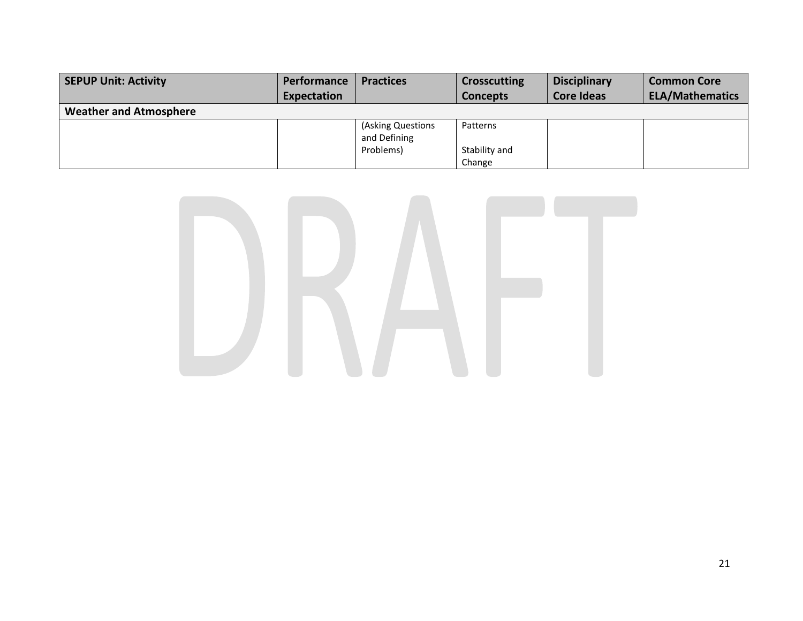| <b>SEPUP Unit: Activity</b>   | <b>Performance</b> | <b>Practices</b>                  | <b>Crosscutting</b>     | <b>Disciplinary</b> | <b>Common Core</b>     |
|-------------------------------|--------------------|-----------------------------------|-------------------------|---------------------|------------------------|
|                               | <b>Expectation</b> |                                   | <b>Concepts</b>         | <b>Core Ideas</b>   | <b>ELA/Mathematics</b> |
| <b>Weather and Atmosphere</b> |                    |                                   |                         |                     |                        |
|                               |                    | (Asking Questions<br>and Defining | Patterns                |                     |                        |
|                               |                    | Problems)                         | Stability and<br>Change |                     |                        |

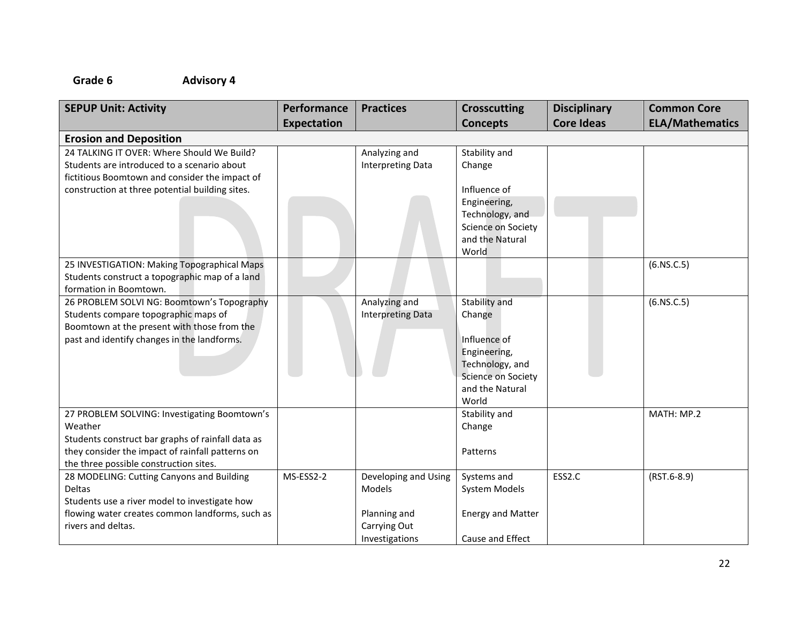| <b>SEPUP Unit: Activity</b>                       | Performance        | <b>Practices</b>         | <b>Crosscutting</b>                          | <b>Disciplinary</b> | <b>Common Core</b>     |
|---------------------------------------------------|--------------------|--------------------------|----------------------------------------------|---------------------|------------------------|
|                                                   | <b>Expectation</b> |                          | <b>Concepts</b>                              | <b>Core Ideas</b>   | <b>ELA/Mathematics</b> |
| <b>Erosion and Deposition</b>                     |                    |                          |                                              |                     |                        |
| 24 TALKING IT OVER: Where Should We Build?        |                    | Analyzing and            | Stability and                                |                     |                        |
| Students are introduced to a scenario about       |                    | <b>Interpreting Data</b> | Change                                       |                     |                        |
| fictitious Boomtown and consider the impact of    |                    |                          |                                              |                     |                        |
| construction at three potential building sites.   |                    |                          | Influence of                                 |                     |                        |
|                                                   |                    |                          | Engineering,                                 |                     |                        |
|                                                   |                    |                          | Technology, and<br><b>Science on Society</b> |                     |                        |
|                                                   |                    |                          | and the Natural                              |                     |                        |
|                                                   |                    |                          | World                                        |                     |                        |
| 25 INVESTIGATION: Making Topographical Maps       |                    |                          |                                              |                     | (6.NS.C.5)             |
| Students construct a topographic map of a land    |                    |                          |                                              |                     |                        |
| formation in Boomtown.                            |                    |                          |                                              |                     |                        |
| 26 PROBLEM SOLVI NG: Boomtown's Topography        |                    | Analyzing and            | Stability and                                |                     | (6.NS.C.5)             |
| Students compare topographic maps of              |                    | <b>Interpreting Data</b> | Change                                       |                     |                        |
| Boomtown at the present with those from the       |                    |                          |                                              |                     |                        |
| past and identify changes in the landforms.       |                    |                          | Influence of                                 |                     |                        |
|                                                   |                    |                          | Engineering,                                 |                     |                        |
|                                                   |                    |                          | Technology, and                              |                     |                        |
|                                                   |                    |                          | Science on Society                           |                     |                        |
|                                                   |                    |                          | and the Natural<br>World                     |                     |                        |
| 27 PROBLEM SOLVING: Investigating Boomtown's      |                    |                          | Stability and                                |                     | MATH: MP.2             |
| Weather                                           |                    |                          | Change                                       |                     |                        |
| Students construct bar graphs of rainfall data as |                    |                          |                                              |                     |                        |
| they consider the impact of rainfall patterns on  |                    |                          | Patterns                                     |                     |                        |
| the three possible construction sites.            |                    |                          |                                              |                     |                        |
| 28 MODELING: Cutting Canyons and Building         | MS-ESS2-2          | Developing and Using     | Systems and                                  | ESS2.C              | $(RST.6-8.9)$          |
| Deltas                                            |                    | Models                   | System Models                                |                     |                        |
| Students use a river model to investigate how     |                    |                          |                                              |                     |                        |
| flowing water creates common landforms, such as   |                    | Planning and             | <b>Energy and Matter</b>                     |                     |                        |
| rivers and deltas.                                |                    | Carrying Out             |                                              |                     |                        |
|                                                   |                    | Investigations           | Cause and Effect                             |                     |                        |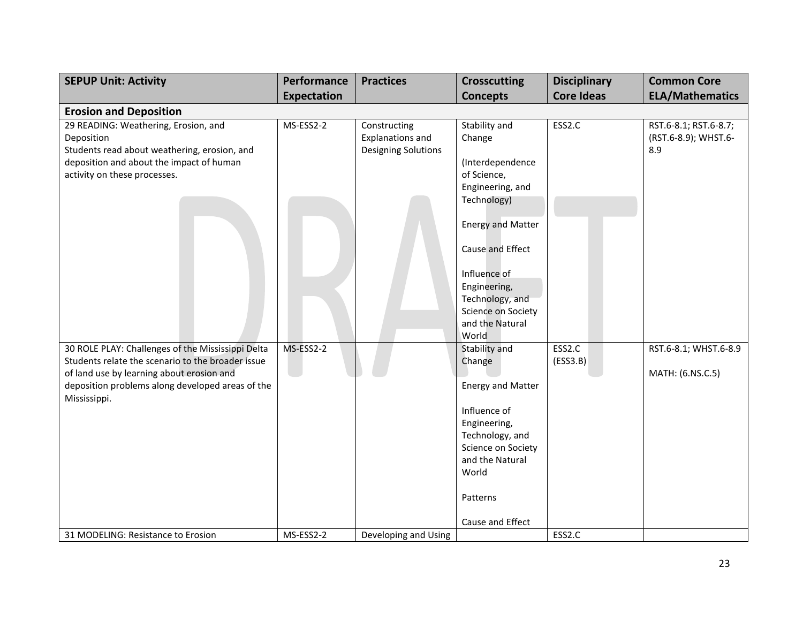| <b>SEPUP Unit: Activity</b>                                                                                                                                                                                             | Performance        | <b>Practices</b>                                                      | <b>Crosscutting</b>                                                                                                                                                                      | <b>Disciplinary</b> | <b>Common Core</b>                                   |
|-------------------------------------------------------------------------------------------------------------------------------------------------------------------------------------------------------------------------|--------------------|-----------------------------------------------------------------------|------------------------------------------------------------------------------------------------------------------------------------------------------------------------------------------|---------------------|------------------------------------------------------|
|                                                                                                                                                                                                                         | <b>Expectation</b> |                                                                       | <b>Concepts</b>                                                                                                                                                                          | <b>Core Ideas</b>   | <b>ELA/Mathematics</b>                               |
| <b>Erosion and Deposition</b>                                                                                                                                                                                           |                    |                                                                       |                                                                                                                                                                                          |                     |                                                      |
| 29 READING: Weathering, Erosion, and<br>Deposition<br>Students read about weathering, erosion, and<br>deposition and about the impact of human<br>activity on these processes.                                          | MS-ESS2-2          | Constructing<br><b>Explanations and</b><br><b>Designing Solutions</b> | Stability and<br>Change<br>(Interdependence<br>of Science,<br>Engineering, and                                                                                                           | ESS2.C              | RST.6-8.1; RST.6-8.7;<br>(RST.6-8.9); WHST.6-<br>8.9 |
|                                                                                                                                                                                                                         |                    |                                                                       | Technology)                                                                                                                                                                              |                     |                                                      |
|                                                                                                                                                                                                                         |                    |                                                                       | <b>Energy and Matter</b><br>Cause and Effect<br>Influence of<br>Engineering,<br>Technology, and<br>Science on Society<br>and the Natural<br>World                                        |                     |                                                      |
| 30 ROLE PLAY: Challenges of the Mississippi Delta<br>Students relate the scenario to the broader issue<br>of land use by learning about erosion and<br>deposition problems along developed areas of the<br>Mississippi. | MS-ESS2-2          |                                                                       | Stability and<br>Change<br><b>Energy and Matter</b><br>Influence of<br>Engineering,<br>Technology, and<br>Science on Society<br>and the Natural<br>World<br>Patterns<br>Cause and Effect | ESS2.C<br>(ESS3.B)  | RST.6-8.1; WHST.6-8.9<br>MATH: (6.NS.C.5)            |
| 31 MODELING: Resistance to Erosion                                                                                                                                                                                      | MS-ESS2-2          | Developing and Using                                                  |                                                                                                                                                                                          | ESS2.C              |                                                      |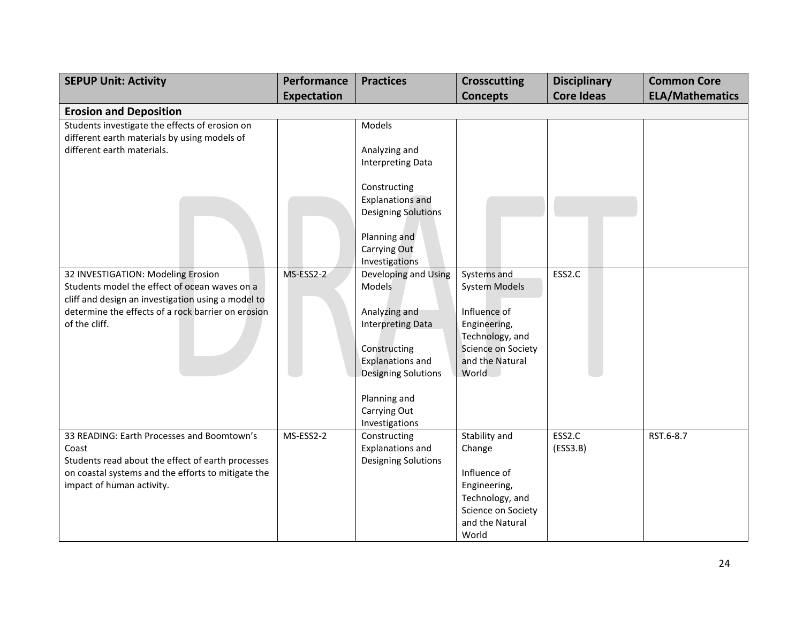| <b>SEPUP Unit: Activity</b>                                                                                                               | Performance        | <b>Practices</b>                                               | <b>Crosscutting</b>                   | <b>Disciplinary</b> | <b>Common Core</b>     |
|-------------------------------------------------------------------------------------------------------------------------------------------|--------------------|----------------------------------------------------------------|---------------------------------------|---------------------|------------------------|
|                                                                                                                                           | <b>Expectation</b> |                                                                | <b>Concepts</b>                       | <b>Core Ideas</b>   | <b>ELA/Mathematics</b> |
| <b>Erosion and Deposition</b>                                                                                                             |                    |                                                                |                                       |                     |                        |
| Students investigate the effects of erosion on<br>different earth materials by using models of                                            |                    | Models                                                         |                                       |                     |                        |
| different earth materials.                                                                                                                |                    | Analyzing and<br><b>Interpreting Data</b>                      |                                       |                     |                        |
|                                                                                                                                           |                    | Constructing                                                   |                                       |                     |                        |
|                                                                                                                                           |                    | <b>Explanations and</b><br><b>Designing Solutions</b>          |                                       |                     |                        |
|                                                                                                                                           |                    | Planning and                                                   |                                       |                     |                        |
|                                                                                                                                           |                    | Carrying Out<br>Investigations                                 |                                       |                     |                        |
| 32 INVESTIGATION: Modeling Erosion<br>Students model the effect of ocean waves on a<br>cliff and design an investigation using a model to | MS-ESS2-2          | Developing and Using<br>Models                                 | Systems and<br><b>System Models</b>   | ESS2.C              |                        |
| determine the effects of a rock barrier on erosion<br>of the cliff.                                                                       |                    | Analyzing and<br><b>Interpreting Data</b>                      | Influence of<br>Engineering,          |                     |                        |
|                                                                                                                                           |                    | Constructing                                                   | Technology, and<br>Science on Society |                     |                        |
|                                                                                                                                           |                    | <b>Explanations and</b><br><b>Designing Solutions</b>          | and the Natural<br><b>World</b>       |                     |                        |
|                                                                                                                                           |                    | Planning and                                                   |                                       |                     |                        |
|                                                                                                                                           |                    | Carrying Out<br>Investigations                                 |                                       |                     |                        |
| 33 READING: Earth Processes and Boomtown's<br>Coast<br>Students read about the effect of earth processes                                  | MS-ESS2-2          | Constructing<br><b>Explanations and</b><br>Designing Solutions | Stability and<br>Change               | ESS2.C<br>(ESS3.B)  | RST.6-8.7              |
| on coastal systems and the efforts to mitigate the<br>impact of human activity.                                                           |                    |                                                                | Influence of                          |                     |                        |
|                                                                                                                                           |                    |                                                                | Engineering,<br>Technology, and       |                     |                        |
|                                                                                                                                           |                    |                                                                | Science on Society<br>and the Natural |                     |                        |
|                                                                                                                                           |                    |                                                                | World                                 |                     |                        |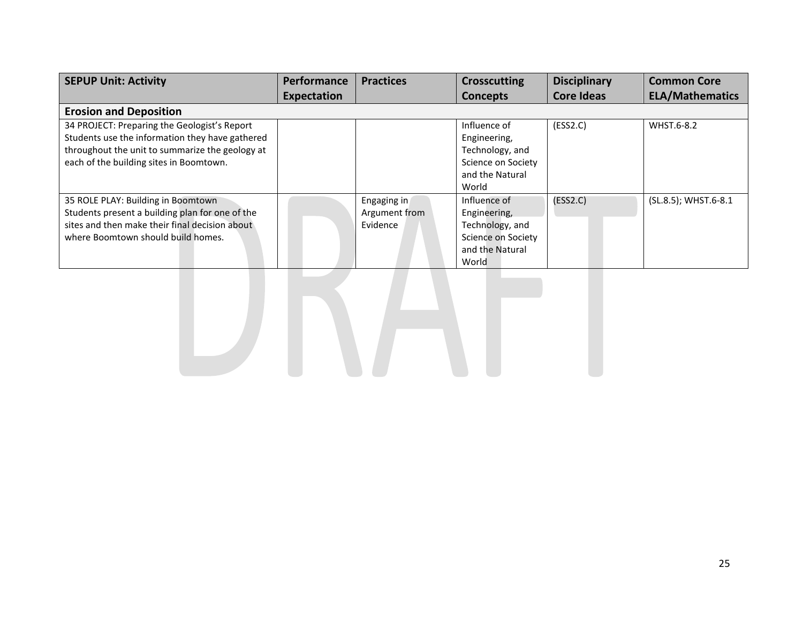| <b>SEPUP Unit: Activity</b>                                                                                                                                                                   | <b>Performance</b> | <b>Practices</b>                         | <b>Crosscutting</b>                                                                               | <b>Disciplinary</b> | <b>Common Core</b>     |
|-----------------------------------------------------------------------------------------------------------------------------------------------------------------------------------------------|--------------------|------------------------------------------|---------------------------------------------------------------------------------------------------|---------------------|------------------------|
|                                                                                                                                                                                               | Expectation        |                                          | <b>Concepts</b>                                                                                   | <b>Core Ideas</b>   | <b>ELA/Mathematics</b> |
| <b>Erosion and Deposition</b>                                                                                                                                                                 |                    |                                          |                                                                                                   |                     |                        |
| 34 PROJECT: Preparing the Geologist's Report<br>Students use the information they have gathered<br>throughout the unit to summarize the geology at<br>each of the building sites in Boomtown. |                    |                                          | Influence of<br>Engineering,<br>Technology, and<br>Science on Society<br>and the Natural<br>World | (ESS2.C)            | WHST.6-8.2             |
| 35 ROLE PLAY: Building in Boomtown<br>Students present a building plan for one of the<br>sites and then make their final decision about<br>where Boomtown should build homes.                 |                    | Engaging in<br>Argument from<br>Evidence | Influence of<br>Engineering,<br>Technology, and<br>Science on Society<br>and the Natural<br>World | (ESS2.C)            | (SL.8.5); WHST.6-8.1   |

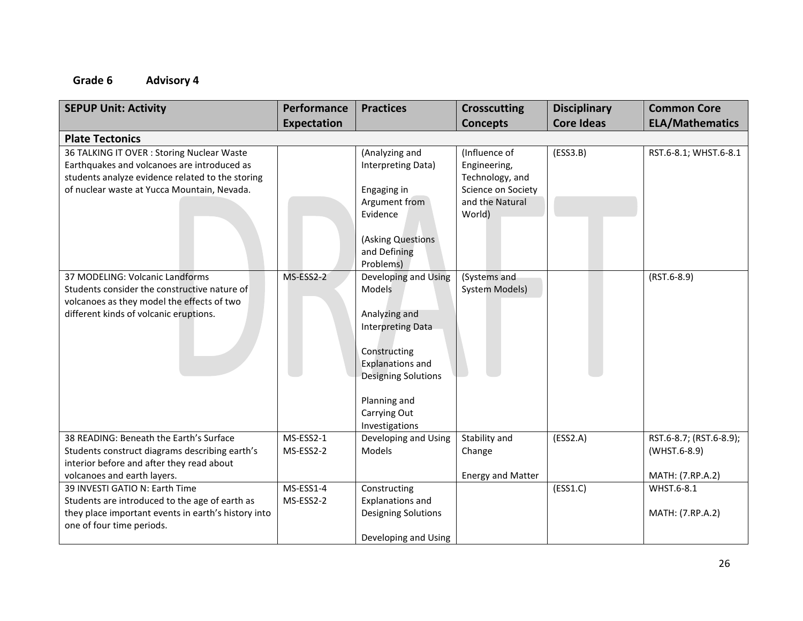| <b>SEPUP Unit: Activity</b>                                                                                                                                                                  | Performance<br><b>Expectation</b> | <b>Practices</b>                                                                                                                                                                                              | <b>Crosscutting</b><br><b>Concepts</b>                                                              | <b>Disciplinary</b><br><b>Core Ideas</b> | <b>Common Core</b><br><b>ELA/Mathematics</b>                |
|----------------------------------------------------------------------------------------------------------------------------------------------------------------------------------------------|-----------------------------------|---------------------------------------------------------------------------------------------------------------------------------------------------------------------------------------------------------------|-----------------------------------------------------------------------------------------------------|------------------------------------------|-------------------------------------------------------------|
| <b>Plate Tectonics</b>                                                                                                                                                                       |                                   |                                                                                                                                                                                                               |                                                                                                     |                                          |                                                             |
| 36 TALKING IT OVER : Storing Nuclear Waste<br>Earthquakes and volcanoes are introduced as<br>students analyze evidence related to the storing<br>of nuclear waste at Yucca Mountain, Nevada. |                                   | (Analyzing and<br>Interpreting Data)<br>Engaging in<br>Argument from<br>Evidence<br>(Asking Questions<br>and Defining<br>Problems)                                                                            | (Influence of<br>Engineering,<br>Technology, and<br>Science on Society<br>and the Natural<br>World) | (ESS3.B)                                 | RST.6-8.1; WHST.6-8.1                                       |
| 37 MODELING: Volcanic Landforms<br>Students consider the constructive nature of<br>volcanoes as they model the effects of two<br>different kinds of volcanic eruptions.                      | MS-ESS2-2                         | Developing and Using<br><b>Models</b><br>Analyzing and<br><b>Interpreting Data</b><br>Constructing<br><b>Explanations and</b><br><b>Designing Solutions</b><br>Planning and<br>Carrying Out<br>Investigations | (Systems and<br><b>System Models)</b>                                                               |                                          | $(RST.6-8.9)$                                               |
| 38 READING: Beneath the Earth's Surface<br>Students construct diagrams describing earth's<br>interior before and after they read about<br>volcanoes and earth layers.                        | MS-ESS2-1<br>MS-ESS2-2            | Developing and Using<br>Models                                                                                                                                                                                | Stability and<br>Change<br><b>Energy and Matter</b>                                                 | (ESS2.A)                                 | RST.6-8.7; (RST.6-8.9);<br>(WHST.6-8.9)<br>MATH: (7.RP.A.2) |
| 39 INVESTI GATIO N: Earth Time<br>Students are introduced to the age of earth as<br>they place important events in earth's history into<br>one of four time periods.                         | MS-ESS1-4<br>MS-ESS2-2            | Constructing<br><b>Explanations and</b><br>Designing Solutions<br>Developing and Using                                                                                                                        |                                                                                                     | (ESS1.C)                                 | WHST.6-8.1<br>MATH: (7.RP.A.2)                              |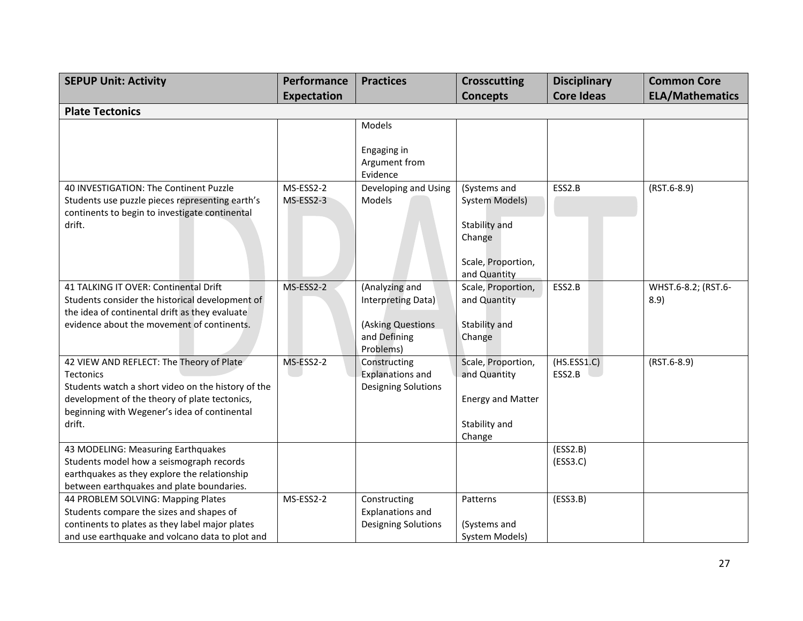| <b>SEPUP Unit: Activity</b>                                                              | Performance        | <b>Practices</b>                     | <b>Crosscutting</b>                | <b>Disciplinary</b> | <b>Common Core</b>          |
|------------------------------------------------------------------------------------------|--------------------|--------------------------------------|------------------------------------|---------------------|-----------------------------|
|                                                                                          | <b>Expectation</b> |                                      | <b>Concepts</b>                    | <b>Core Ideas</b>   | <b>ELA/Mathematics</b>      |
| <b>Plate Tectonics</b>                                                                   |                    |                                      |                                    |                     |                             |
|                                                                                          |                    | Models                               |                                    |                     |                             |
|                                                                                          |                    |                                      |                                    |                     |                             |
|                                                                                          |                    | Engaging in                          |                                    |                     |                             |
|                                                                                          |                    | Argument from<br>Evidence            |                                    |                     |                             |
| 40 INVESTIGATION: The Continent Puzzle                                                   | MS-ESS2-2          | Developing and Using                 | (Systems and                       | ESS2.B              | $(RST.6-8.9)$               |
| Students use puzzle pieces representing earth's                                          | MS-ESS2-3          | Models                               | <b>System Models)</b>              |                     |                             |
| continents to begin to investigate continental                                           |                    |                                      |                                    |                     |                             |
| drift.                                                                                   |                    |                                      | Stability and                      |                     |                             |
|                                                                                          |                    |                                      | Change                             |                     |                             |
|                                                                                          |                    |                                      |                                    |                     |                             |
|                                                                                          |                    |                                      | Scale, Proportion,                 |                     |                             |
|                                                                                          |                    |                                      | and Quantity                       | ESS2.B              |                             |
| 41 TALKING IT OVER: Continental Drift<br>Students consider the historical development of | MS-ESS2-2          | (Analyzing and<br>Interpreting Data) | Scale, Proportion,<br>and Quantity |                     | WHST.6-8.2; (RST.6-<br>8.9) |
| the idea of continental drift as they evaluate                                           |                    |                                      |                                    |                     |                             |
| evidence about the movement of continents.                                               |                    | (Asking Questions                    | Stability and                      |                     |                             |
|                                                                                          |                    | and Defining                         | Change                             |                     |                             |
|                                                                                          |                    | Problems)                            |                                    |                     |                             |
| 42 VIEW AND REFLECT: The Theory of Plate                                                 | MS-ESS2-2          | Constructing                         | Scale, Proportion,                 | (HS.ESS1.C)         | $(RST.6-8.9)$               |
| <b>Tectonics</b>                                                                         |                    | <b>Explanations and</b>              | and Quantity                       | ESS2.B              |                             |
| Students watch a short video on the history of the                                       |                    | <b>Designing Solutions</b>           |                                    |                     |                             |
| development of the theory of plate tectonics,                                            |                    |                                      | <b>Energy and Matter</b>           |                     |                             |
| beginning with Wegener's idea of continental                                             |                    |                                      |                                    |                     |                             |
| drift.                                                                                   |                    |                                      | Stability and<br>Change            |                     |                             |
| 43 MODELING: Measuring Earthquakes                                                       |                    |                                      |                                    | (ESS2.B)            |                             |
| Students model how a seismograph records                                                 |                    |                                      |                                    | (ESS3.C)            |                             |
| earthquakes as they explore the relationship                                             |                    |                                      |                                    |                     |                             |
| between earthquakes and plate boundaries.                                                |                    |                                      |                                    |                     |                             |
| 44 PROBLEM SOLVING: Mapping Plates                                                       | MS-ESS2-2          | Constructing                         | Patterns                           | (ESS3.B)            |                             |
| Students compare the sizes and shapes of                                                 |                    | Explanations and                     |                                    |                     |                             |
| continents to plates as they label major plates                                          |                    | <b>Designing Solutions</b>           | (Systems and                       |                     |                             |
| and use earthquake and volcano data to plot and                                          |                    |                                      | <b>System Models)</b>              |                     |                             |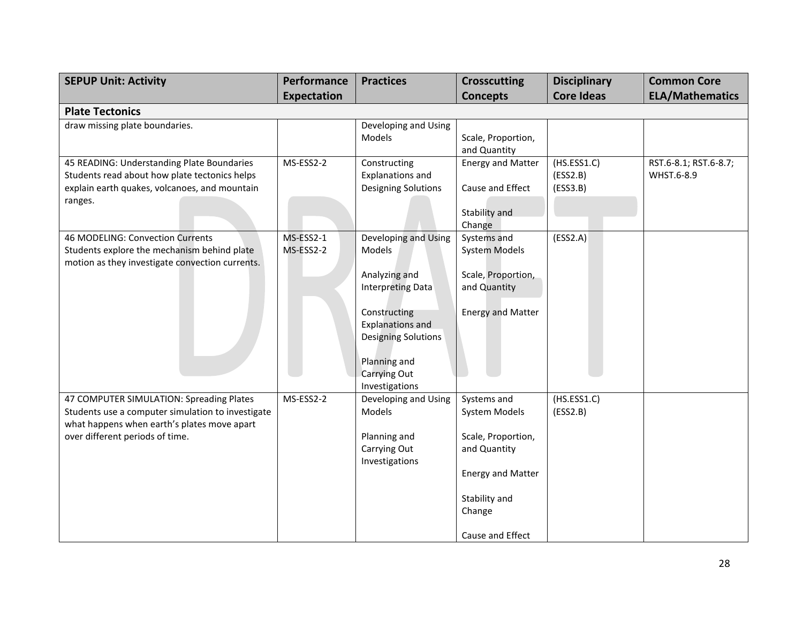| <b>SEPUP Unit: Activity</b>                                                                      | Performance        | <b>Practices</b>                               | <b>Crosscutting</b>      | <b>Disciplinary</b>  | <b>Common Core</b>     |
|--------------------------------------------------------------------------------------------------|--------------------|------------------------------------------------|--------------------------|----------------------|------------------------|
|                                                                                                  | <b>Expectation</b> |                                                | <b>Concepts</b>          | <b>Core Ideas</b>    | <b>ELA/Mathematics</b> |
| <b>Plate Tectonics</b>                                                                           |                    |                                                |                          |                      |                        |
| draw missing plate boundaries.                                                                   |                    | Developing and Using<br>Models                 | Scale, Proportion,       |                      |                        |
|                                                                                                  |                    |                                                | and Quantity             |                      |                        |
| 45 READING: Understanding Plate Boundaries                                                       | MS-ESS2-2          | Constructing                                   | <b>Energy and Matter</b> | (HS.ESS1.C)          | RST.6-8.1; RST.6-8.7;  |
| Students read about how plate tectonics helps<br>explain earth quakes, volcanoes, and mountain   |                    | <b>Explanations and</b><br>Designing Solutions | Cause and Effect         | (ESS2.B)<br>(ESS3.B) | WHST.6-8.9             |
| ranges.                                                                                          |                    |                                                |                          |                      |                        |
|                                                                                                  |                    |                                                | Stability and            |                      |                        |
|                                                                                                  |                    |                                                | Change                   |                      |                        |
| 46 MODELING: Convection Currents                                                                 | MS-ESS2-1          | Developing and Using                           | Systems and              | (ESS2.A)             |                        |
| Students explore the mechanism behind plate<br>motion as they investigate convection currents.   | MS-ESS2-2          | Models                                         | <b>System Models</b>     |                      |                        |
|                                                                                                  |                    | Analyzing and                                  | Scale, Proportion,       |                      |                        |
|                                                                                                  |                    | <b>Interpreting Data</b>                       | and Quantity             |                      |                        |
|                                                                                                  |                    | Constructing                                   | <b>Energy and Matter</b> |                      |                        |
|                                                                                                  |                    | <b>Explanations and</b>                        |                          |                      |                        |
|                                                                                                  |                    | <b>Designing Solutions</b>                     |                          |                      |                        |
|                                                                                                  |                    | Planning and                                   |                          |                      |                        |
|                                                                                                  |                    | Carrying Out                                   |                          |                      |                        |
|                                                                                                  |                    | Investigations                                 |                          |                      |                        |
| 47 COMPUTER SIMULATION: Spreading Plates                                                         | MS-ESS2-2          | Developing and Using                           | Systems and              | (HS.ESS1.C)          |                        |
| Students use a computer simulation to investigate<br>what happens when earth's plates move apart |                    | Models                                         | System Models            | (ESS2.B)             |                        |
| over different periods of time.                                                                  |                    | Planning and                                   | Scale, Proportion,       |                      |                        |
|                                                                                                  |                    | Carrying Out                                   | and Quantity             |                      |                        |
|                                                                                                  |                    | Investigations                                 |                          |                      |                        |
|                                                                                                  |                    |                                                | <b>Energy and Matter</b> |                      |                        |
|                                                                                                  |                    |                                                | Stability and            |                      |                        |
|                                                                                                  |                    |                                                | Change                   |                      |                        |
|                                                                                                  |                    |                                                | Cause and Effect         |                      |                        |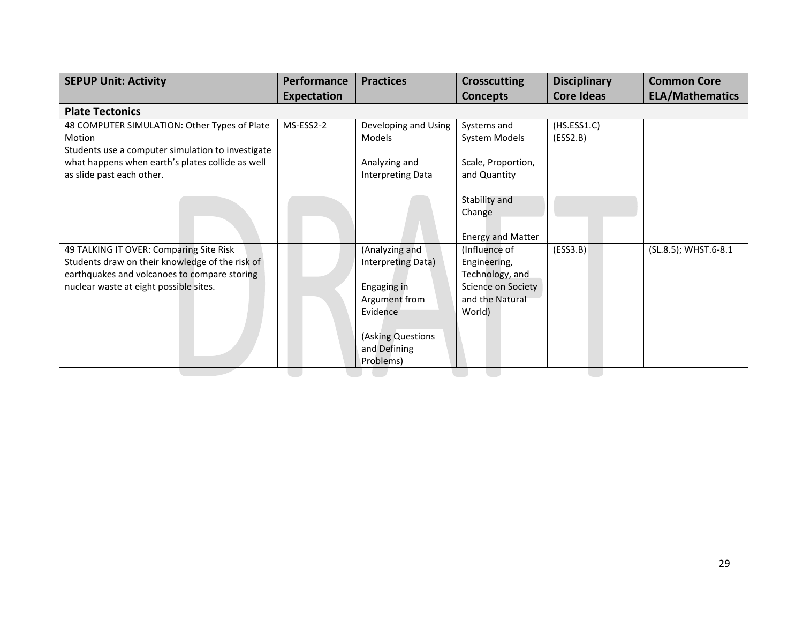| <b>SEPUP Unit: Activity</b>                                                                                                                                                          | <b>Performance</b> | <b>Practices</b>                                    | <b>Crosscutting</b>                                                    | <b>Disciplinary</b>     | <b>Common Core</b>     |
|--------------------------------------------------------------------------------------------------------------------------------------------------------------------------------------|--------------------|-----------------------------------------------------|------------------------------------------------------------------------|-------------------------|------------------------|
|                                                                                                                                                                                      | <b>Expectation</b> |                                                     | <b>Concepts</b>                                                        | <b>Core Ideas</b>       | <b>ELA/Mathematics</b> |
| <b>Plate Tectonics</b>                                                                                                                                                               |                    |                                                     |                                                                        |                         |                        |
| 48 COMPUTER SIMULATION: Other Types of Plate<br>Motion<br>Students use a computer simulation to investigate                                                                          | MS-ESS2-2          | Developing and Using<br>Models                      | Systems and<br>System Models                                           | (HS.ESS1.C)<br>(ESS2.B) |                        |
| what happens when earth's plates collide as well<br>as slide past each other.                                                                                                        |                    | Analyzing and<br><b>Interpreting Data</b>           | Scale, Proportion,<br>and Quantity                                     |                         |                        |
|                                                                                                                                                                                      |                    |                                                     | Stability and<br>Change                                                |                         |                        |
|                                                                                                                                                                                      |                    |                                                     | <b>Energy and Matter</b>                                               |                         |                        |
| 49 TALKING IT OVER: Comparing Site Risk<br>Students draw on their knowledge of the risk of<br>earthquakes and volcanoes to compare storing<br>nuclear waste at eight possible sites. |                    | (Analyzing and<br>Interpreting Data)<br>Engaging in | (Influence of<br>Engineering,<br>Technology, and<br>Science on Society | (ESS3.B)                | (SL.8.5); WHST.6-8.1   |
|                                                                                                                                                                                      |                    | Argument from<br>Evidence                           | and the Natural<br>World)                                              |                         |                        |
|                                                                                                                                                                                      |                    | (Asking Questions<br>and Defining                   |                                                                        |                         |                        |
|                                                                                                                                                                                      |                    | Problems)                                           |                                                                        |                         |                        |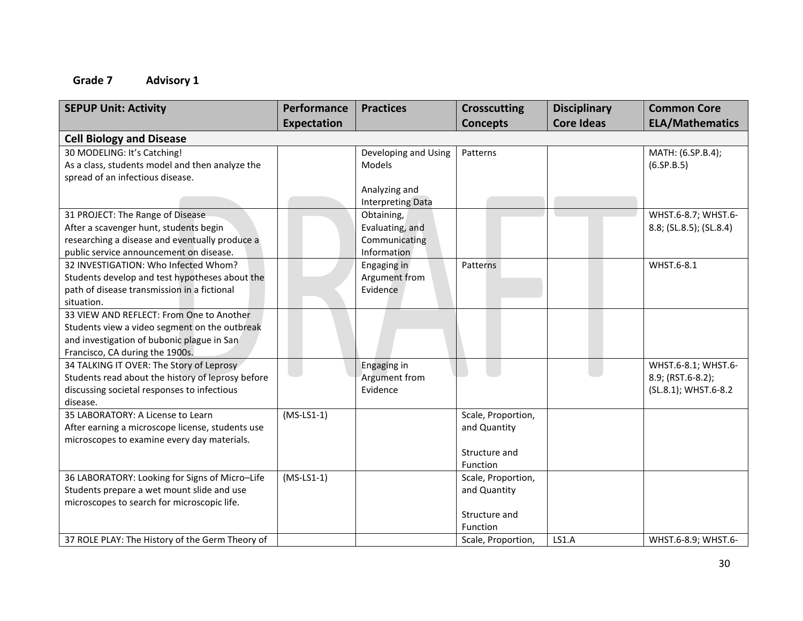|                    | <b>Practices</b>                            | <b>Crosscutting</b>                                                                                                                | <b>Disciplinary</b>                                                                                                                                      | <b>Common Core</b>      |
|--------------------|---------------------------------------------|------------------------------------------------------------------------------------------------------------------------------------|----------------------------------------------------------------------------------------------------------------------------------------------------------|-------------------------|
| <b>Expectation</b> |                                             | <b>Concepts</b>                                                                                                                    | <b>Core Ideas</b>                                                                                                                                        | <b>ELA/Mathematics</b>  |
|                    |                                             |                                                                                                                                    |                                                                                                                                                          |                         |
|                    | Developing and Using                        | Patterns                                                                                                                           |                                                                                                                                                          | MATH: (6.SP.B.4);       |
|                    | Models                                      |                                                                                                                                    |                                                                                                                                                          | (6.5P.B.5)              |
|                    |                                             |                                                                                                                                    |                                                                                                                                                          |                         |
|                    | Analyzing and                               |                                                                                                                                    |                                                                                                                                                          |                         |
|                    | Interpreting Data                           |                                                                                                                                    |                                                                                                                                                          |                         |
|                    |                                             |                                                                                                                                    |                                                                                                                                                          | WHST.6-8.7; WHST.6-     |
|                    | Evaluating, and                             |                                                                                                                                    |                                                                                                                                                          | 8.8; (SL.8.5); (SL.8.4) |
|                    |                                             |                                                                                                                                    |                                                                                                                                                          |                         |
|                    |                                             |                                                                                                                                    |                                                                                                                                                          |                         |
|                    |                                             | Patterns                                                                                                                           |                                                                                                                                                          | WHST.6-8.1              |
|                    |                                             |                                                                                                                                    |                                                                                                                                                          |                         |
|                    |                                             |                                                                                                                                    |                                                                                                                                                          |                         |
|                    |                                             |                                                                                                                                    |                                                                                                                                                          |                         |
|                    |                                             |                                                                                                                                    |                                                                                                                                                          |                         |
|                    |                                             |                                                                                                                                    |                                                                                                                                                          |                         |
|                    |                                             |                                                                                                                                    |                                                                                                                                                          |                         |
|                    |                                             |                                                                                                                                    |                                                                                                                                                          |                         |
|                    |                                             |                                                                                                                                    |                                                                                                                                                          | WHST.6-8.1; WHST.6-     |
|                    |                                             |                                                                                                                                    |                                                                                                                                                          | 8.9; (RST.6-8.2);       |
|                    |                                             |                                                                                                                                    |                                                                                                                                                          | (SL.8.1); WHST.6-8.2    |
|                    |                                             |                                                                                                                                    |                                                                                                                                                          |                         |
|                    |                                             |                                                                                                                                    |                                                                                                                                                          |                         |
|                    |                                             |                                                                                                                                    |                                                                                                                                                          |                         |
|                    |                                             |                                                                                                                                    |                                                                                                                                                          |                         |
|                    |                                             |                                                                                                                                    |                                                                                                                                                          |                         |
|                    |                                             |                                                                                                                                    |                                                                                                                                                          |                         |
|                    |                                             |                                                                                                                                    |                                                                                                                                                          |                         |
|                    |                                             |                                                                                                                                    |                                                                                                                                                          |                         |
|                    |                                             |                                                                                                                                    |                                                                                                                                                          |                         |
|                    |                                             |                                                                                                                                    |                                                                                                                                                          |                         |
|                    |                                             |                                                                                                                                    |                                                                                                                                                          | WHST.6-8.9; WHST.6-     |
|                    | Performance<br>$(MS-LS1-1)$<br>$(MS-LS1-1)$ | Obtaining,<br>Communicating<br>Information<br>Engaging in<br>Argument from<br>Evidence<br>Engaging in<br>Argument from<br>Evidence | Scale, Proportion,<br>and Quantity<br>Structure and<br>Function<br>Scale, Proportion,<br>and Quantity<br>Structure and<br>Function<br>Scale, Proportion, | LS1.A                   |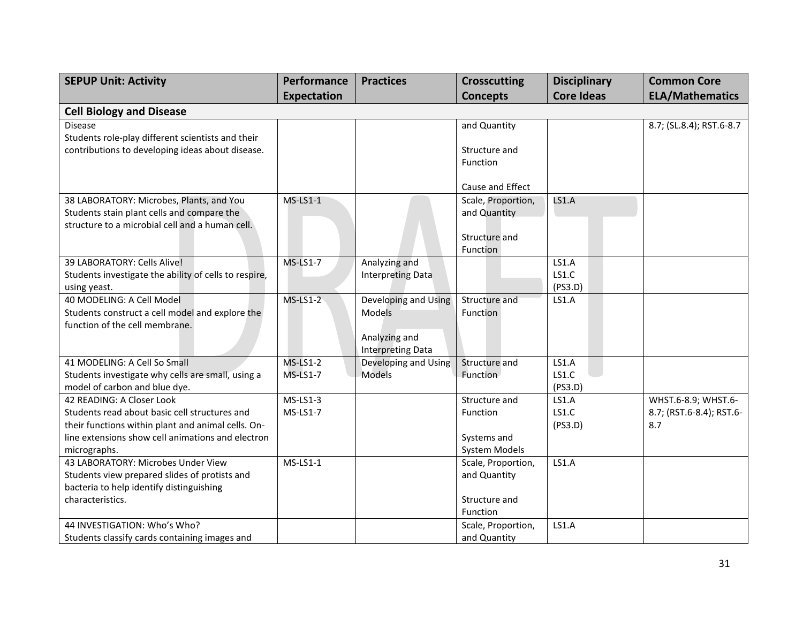| <b>SEPUP Unit: Activity</b>                           | Performance        | <b>Practices</b>                                 | <b>Crosscutting</b> | <b>Disciplinary</b> | <b>Common Core</b>       |
|-------------------------------------------------------|--------------------|--------------------------------------------------|---------------------|---------------------|--------------------------|
|                                                       | <b>Expectation</b> |                                                  | <b>Concepts</b>     | <b>Core Ideas</b>   | <b>ELA/Mathematics</b>   |
| <b>Cell Biology and Disease</b>                       |                    |                                                  |                     |                     |                          |
| <b>Disease</b>                                        |                    |                                                  | and Quantity        |                     | 8.7; (SL.8.4); RST.6-8.7 |
| Students role-play different scientists and their     |                    |                                                  |                     |                     |                          |
| contributions to developing ideas about disease.      |                    |                                                  | Structure and       |                     |                          |
|                                                       |                    |                                                  | Function            |                     |                          |
|                                                       |                    |                                                  | Cause and Effect    |                     |                          |
| 38 LABORATORY: Microbes, Plants, and You              | $MS-LS1-1$         |                                                  | Scale, Proportion,  | LS1.A               |                          |
| Students stain plant cells and compare the            |                    |                                                  | and Quantity        |                     |                          |
| structure to a microbial cell and a human cell.       |                    |                                                  |                     |                     |                          |
|                                                       |                    |                                                  | Structure and       |                     |                          |
|                                                       |                    |                                                  | Function            |                     |                          |
| 39 LABORATORY: Cells Alive!                           | $MS-LS1-7$         | Analyzing and                                    |                     | <b>LS1.A</b>        |                          |
| Students investigate the ability of cells to respire, |                    | <b>Interpreting Data</b>                         |                     | LS1.C               |                          |
| using yeast.                                          |                    |                                                  |                     | (PS3.D)             |                          |
| 40 MODELING: A Cell Model                             | $MS-LS1-2$         | Developing and Using                             | Structure and       | LS1.A               |                          |
| Students construct a cell model and explore the       |                    | <b>Models</b>                                    | Function            |                     |                          |
| function of the cell membrane.                        |                    |                                                  |                     |                     |                          |
|                                                       |                    | Analyzing and                                    |                     |                     |                          |
| 41 MODELING: A Cell So Small                          | $MS-LS1-2$         | <b>Interpreting Data</b><br>Developing and Using | Structure and       | LS1.A               |                          |
| Students investigate why cells are small, using a     | <b>MS-LS1-7</b>    | Models                                           | Function            | LS1.C               |                          |
| model of carbon and blue dye.                         |                    |                                                  |                     | (PS3.D)             |                          |
| 42 READING: A Closer Look                             | $MS-LS1-3$         |                                                  | Structure and       | LS1.A               | WHST.6-8.9; WHST.6-      |
| Students read about basic cell structures and         | <b>MS-LS1-7</b>    |                                                  | Function            | LS1.C               | 8.7; (RST.6-8.4); RST.6- |
| their functions within plant and animal cells. On-    |                    |                                                  |                     | (PS3.D)             | 8.7                      |
| line extensions show cell animations and electron     |                    |                                                  | Systems and         |                     |                          |
| micrographs.                                          |                    |                                                  | System Models       |                     |                          |
| 43 LABORATORY: Microbes Under View                    | $MS-LS1-1$         |                                                  | Scale, Proportion,  | <b>LS1.A</b>        |                          |
| Students view prepared slides of protists and         |                    |                                                  | and Quantity        |                     |                          |
| bacteria to help identify distinguishing              |                    |                                                  |                     |                     |                          |
| characteristics.                                      |                    |                                                  | Structure and       |                     |                          |
|                                                       |                    |                                                  | Function            |                     |                          |
| 44 INVESTIGATION: Who's Who?                          |                    |                                                  | Scale, Proportion,  | <b>LS1.A</b>        |                          |
| Students classify cards containing images and         |                    |                                                  | and Quantity        |                     |                          |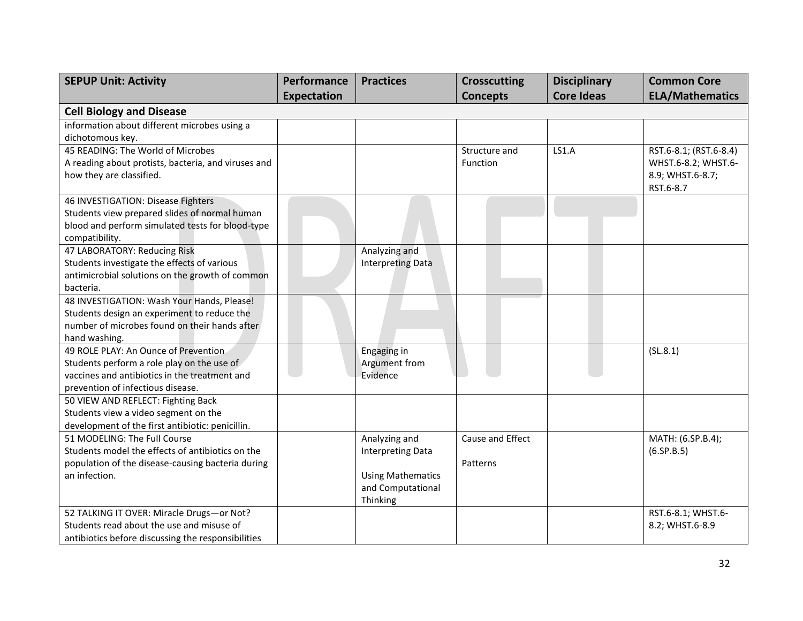| <b>SEPUP Unit: Activity</b>                                                                                                                                                                                                                                                                                                                                                                                                                                                                                                                                       | Performance        | <b>Practices</b>                                                                                                                       | <b>Crosscutting</b>          | <b>Disciplinary</b> | <b>Common Core</b>                                                                   |
|-------------------------------------------------------------------------------------------------------------------------------------------------------------------------------------------------------------------------------------------------------------------------------------------------------------------------------------------------------------------------------------------------------------------------------------------------------------------------------------------------------------------------------------------------------------------|--------------------|----------------------------------------------------------------------------------------------------------------------------------------|------------------------------|---------------------|--------------------------------------------------------------------------------------|
|                                                                                                                                                                                                                                                                                                                                                                                                                                                                                                                                                                   | <b>Expectation</b> |                                                                                                                                        | <b>Concepts</b>              | <b>Core Ideas</b>   | <b>ELA/Mathematics</b>                                                               |
| <b>Cell Biology and Disease</b>                                                                                                                                                                                                                                                                                                                                                                                                                                                                                                                                   |                    |                                                                                                                                        |                              |                     |                                                                                      |
| information about different microbes using a                                                                                                                                                                                                                                                                                                                                                                                                                                                                                                                      |                    |                                                                                                                                        |                              |                     |                                                                                      |
| dichotomous key.                                                                                                                                                                                                                                                                                                                                                                                                                                                                                                                                                  |                    |                                                                                                                                        |                              |                     |                                                                                      |
| 45 READING: The World of Microbes                                                                                                                                                                                                                                                                                                                                                                                                                                                                                                                                 |                    |                                                                                                                                        | Structure and                | LS1.A               | RST.6-8.1; (RST.6-8.4)                                                               |
| A reading about protists, bacteria, and viruses and                                                                                                                                                                                                                                                                                                                                                                                                                                                                                                               |                    |                                                                                                                                        | Function                     |                     | WHST.6-8.2; WHST.6-                                                                  |
| how they are classified.                                                                                                                                                                                                                                                                                                                                                                                                                                                                                                                                          |                    |                                                                                                                                        |                              |                     | 8.9; WHST.6-8.7;<br>RST.6-8.7                                                        |
| 46 INVESTIGATION: Disease Fighters                                                                                                                                                                                                                                                                                                                                                                                                                                                                                                                                |                    |                                                                                                                                        |                              |                     |                                                                                      |
| Students view prepared slides of normal human                                                                                                                                                                                                                                                                                                                                                                                                                                                                                                                     |                    |                                                                                                                                        |                              |                     |                                                                                      |
| blood and perform simulated tests for blood-type                                                                                                                                                                                                                                                                                                                                                                                                                                                                                                                  |                    |                                                                                                                                        |                              |                     |                                                                                      |
| compatibility.                                                                                                                                                                                                                                                                                                                                                                                                                                                                                                                                                    |                    |                                                                                                                                        |                              |                     |                                                                                      |
| 47 LABORATORY: Reducing Risk                                                                                                                                                                                                                                                                                                                                                                                                                                                                                                                                      |                    | Analyzing and                                                                                                                          |                              |                     |                                                                                      |
| Students investigate the effects of various                                                                                                                                                                                                                                                                                                                                                                                                                                                                                                                       |                    | <b>Interpreting Data</b>                                                                                                               |                              |                     |                                                                                      |
| antimicrobial solutions on the growth of common                                                                                                                                                                                                                                                                                                                                                                                                                                                                                                                   |                    |                                                                                                                                        |                              |                     |                                                                                      |
| bacteria.<br>48 INVESTIGATION: Wash Your Hands, Please!                                                                                                                                                                                                                                                                                                                                                                                                                                                                                                           |                    |                                                                                                                                        |                              |                     |                                                                                      |
|                                                                                                                                                                                                                                                                                                                                                                                                                                                                                                                                                                   |                    |                                                                                                                                        |                              |                     |                                                                                      |
|                                                                                                                                                                                                                                                                                                                                                                                                                                                                                                                                                                   |                    |                                                                                                                                        |                              |                     |                                                                                      |
|                                                                                                                                                                                                                                                                                                                                                                                                                                                                                                                                                                   |                    |                                                                                                                                        |                              |                     |                                                                                      |
|                                                                                                                                                                                                                                                                                                                                                                                                                                                                                                                                                                   |                    |                                                                                                                                        |                              |                     |                                                                                      |
|                                                                                                                                                                                                                                                                                                                                                                                                                                                                                                                                                                   |                    |                                                                                                                                        |                              |                     |                                                                                      |
| vaccines and antibiotics in the treatment and                                                                                                                                                                                                                                                                                                                                                                                                                                                                                                                     |                    | Evidence                                                                                                                               |                              |                     |                                                                                      |
| prevention of infectious disease.                                                                                                                                                                                                                                                                                                                                                                                                                                                                                                                                 |                    |                                                                                                                                        |                              |                     |                                                                                      |
| 50 VIEW AND REFLECT: Fighting Back                                                                                                                                                                                                                                                                                                                                                                                                                                                                                                                                |                    |                                                                                                                                        |                              |                     |                                                                                      |
| Students view a video segment on the                                                                                                                                                                                                                                                                                                                                                                                                                                                                                                                              |                    |                                                                                                                                        |                              |                     |                                                                                      |
|                                                                                                                                                                                                                                                                                                                                                                                                                                                                                                                                                                   |                    |                                                                                                                                        |                              |                     |                                                                                      |
|                                                                                                                                                                                                                                                                                                                                                                                                                                                                                                                                                                   |                    |                                                                                                                                        |                              |                     |                                                                                      |
|                                                                                                                                                                                                                                                                                                                                                                                                                                                                                                                                                                   |                    |                                                                                                                                        |                              |                     |                                                                                      |
|                                                                                                                                                                                                                                                                                                                                                                                                                                                                                                                                                                   |                    |                                                                                                                                        |                              |                     |                                                                                      |
|                                                                                                                                                                                                                                                                                                                                                                                                                                                                                                                                                                   |                    |                                                                                                                                        |                              |                     |                                                                                      |
|                                                                                                                                                                                                                                                                                                                                                                                                                                                                                                                                                                   |                    |                                                                                                                                        |                              |                     |                                                                                      |
|                                                                                                                                                                                                                                                                                                                                                                                                                                                                                                                                                                   |                    |                                                                                                                                        |                              |                     |                                                                                      |
|                                                                                                                                                                                                                                                                                                                                                                                                                                                                                                                                                                   |                    |                                                                                                                                        |                              |                     |                                                                                      |
|                                                                                                                                                                                                                                                                                                                                                                                                                                                                                                                                                                   |                    |                                                                                                                                        |                              |                     |                                                                                      |
| Students design an experiment to reduce the<br>number of microbes found on their hands after<br>hand washing.<br>49 ROLE PLAY: An Ounce of Prevention<br>Students perform a role play on the use of<br>development of the first antibiotic: penicillin.<br>51 MODELING: The Full Course<br>Students model the effects of antibiotics on the<br>population of the disease-causing bacteria during<br>an infection.<br>52 TALKING IT OVER: Miracle Drugs-or Not?<br>Students read about the use and misuse of<br>antibiotics before discussing the responsibilities |                    | Engaging in<br>Argument from<br>Analyzing and<br><b>Interpreting Data</b><br><b>Using Mathematics</b><br>and Computational<br>Thinking | Cause and Effect<br>Patterns |                     | (SL.8.1)<br>MATH: (6.SP.B.4);<br>(6.5P.B.5)<br>RST.6-8.1; WHST.6-<br>8.2; WHST.6-8.9 |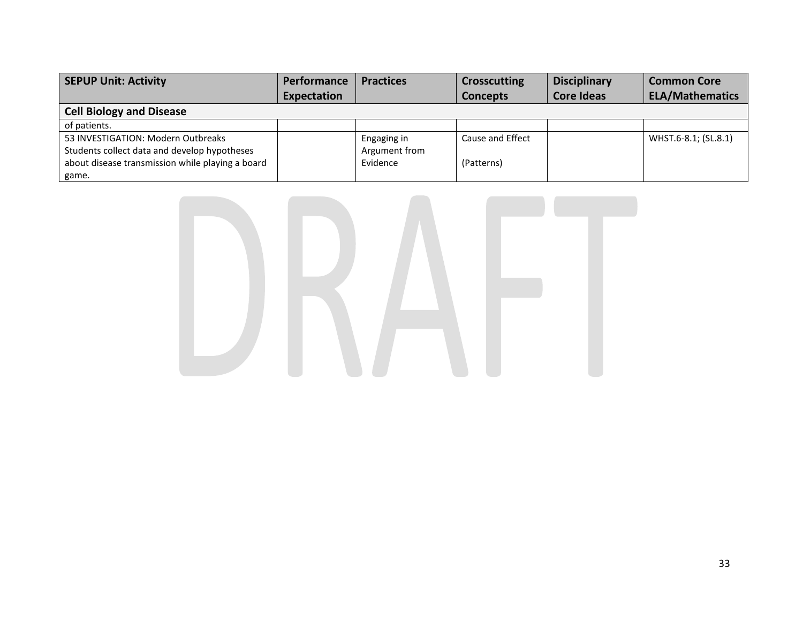| <b>SEPUP Unit: Activity</b>                      | <b>Performance</b> | <b>Practices</b> | <b>Crosscutting</b> | <b>Disciplinary</b> | <b>Common Core</b>     |  |  |  |
|--------------------------------------------------|--------------------|------------------|---------------------|---------------------|------------------------|--|--|--|
|                                                  | Expectation        |                  | <b>Concepts</b>     | <b>Core Ideas</b>   | <b>ELA/Mathematics</b> |  |  |  |
| <b>Cell Biology and Disease</b>                  |                    |                  |                     |                     |                        |  |  |  |
| of patients.                                     |                    |                  |                     |                     |                        |  |  |  |
| 53 INVESTIGATION: Modern Outbreaks               |                    | Engaging in      | Cause and Effect    |                     | WHST.6-8.1; (SL.8.1)   |  |  |  |
| Students collect data and develop hypotheses     |                    | Argument from    |                     |                     |                        |  |  |  |
| about disease transmission while playing a board |                    | Evidence         | (Patterns)          |                     |                        |  |  |  |
| game.                                            |                    |                  |                     |                     |                        |  |  |  |

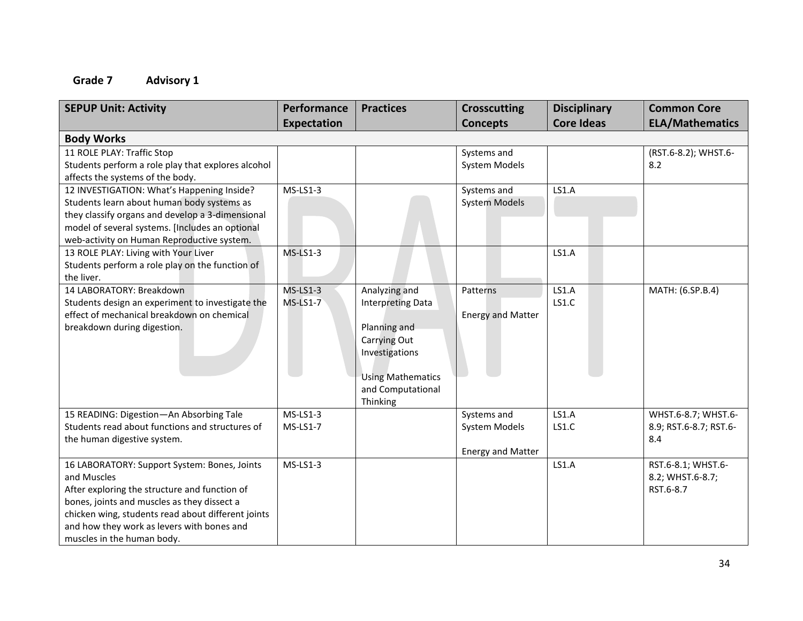| <b>SEPUP Unit: Activity</b>                        | Performance        | <b>Practices</b>         | <b>Crosscutting</b>      | <b>Disciplinary</b> | <b>Common Core</b>     |
|----------------------------------------------------|--------------------|--------------------------|--------------------------|---------------------|------------------------|
|                                                    | <b>Expectation</b> |                          | <b>Concepts</b>          | <b>Core Ideas</b>   | <b>ELA/Mathematics</b> |
| <b>Body Works</b>                                  |                    |                          |                          |                     |                        |
| 11 ROLE PLAY: Traffic Stop                         |                    |                          | Systems and              |                     | (RST.6-8.2); WHST.6-   |
| Students perform a role play that explores alcohol |                    |                          | <b>System Models</b>     |                     | 8.2                    |
| affects the systems of the body.                   |                    |                          |                          |                     |                        |
| 12 INVESTIGATION: What's Happening Inside?         | $MS-LS1-3$         |                          | Systems and              | LS1.A               |                        |
| Students learn about human body systems as         |                    |                          | <b>System Models</b>     |                     |                        |
| they classify organs and develop a 3-dimensional   |                    |                          |                          |                     |                        |
| model of several systems. [Includes an optional    |                    |                          |                          |                     |                        |
| web-activity on Human Reproductive system.         |                    |                          |                          |                     |                        |
| 13 ROLE PLAY: Living with Your Liver               | <b>MS-LS1-3</b>    |                          |                          | LS1.A               |                        |
| Students perform a role play on the function of    |                    |                          |                          |                     |                        |
| the liver.                                         |                    |                          |                          |                     |                        |
| 14 LABORATORY: Breakdown                           | $MS-LS1-3$         | Analyzing and            | Patterns                 | LS1.A               | MATH: (6.SP.B.4)       |
| Students design an experiment to investigate the   | <b>MS-LS1-7</b>    | <b>Interpreting Data</b> |                          | LS1.C               |                        |
| effect of mechanical breakdown on chemical         |                    |                          | <b>Energy and Matter</b> |                     |                        |
| breakdown during digestion.                        |                    | Planning and             |                          |                     |                        |
|                                                    |                    | Carrying Out             |                          |                     |                        |
|                                                    |                    | Investigations           |                          |                     |                        |
|                                                    |                    |                          |                          |                     |                        |
|                                                    |                    | <b>Using Mathematics</b> |                          |                     |                        |
|                                                    |                    | and Computational        |                          |                     |                        |
|                                                    |                    | Thinking                 |                          |                     |                        |
| 15 READING: Digestion-An Absorbing Tale            | $MS-LS1-3$         |                          | Systems and              | LS1.A               | WHST.6-8.7; WHST.6-    |
| Students read about functions and structures of    | $MS-LS1-7$         |                          | System Models            | LS1.C               | 8.9; RST.6-8.7; RST.6- |
| the human digestive system.                        |                    |                          |                          |                     | 8.4                    |
|                                                    |                    |                          | <b>Energy and Matter</b> |                     |                        |
| 16 LABORATORY: Support System: Bones, Joints       | $MS-LS1-3$         |                          |                          | LS1.A               | RST.6-8.1; WHST.6-     |
| and Muscles                                        |                    |                          |                          |                     | 8.2; WHST.6-8.7;       |
| After exploring the structure and function of      |                    |                          |                          |                     | RST.6-8.7              |
| bones, joints and muscles as they dissect a        |                    |                          |                          |                     |                        |
| chicken wing, students read about different joints |                    |                          |                          |                     |                        |
| and how they work as levers with bones and         |                    |                          |                          |                     |                        |
| muscles in the human body.                         |                    |                          |                          |                     |                        |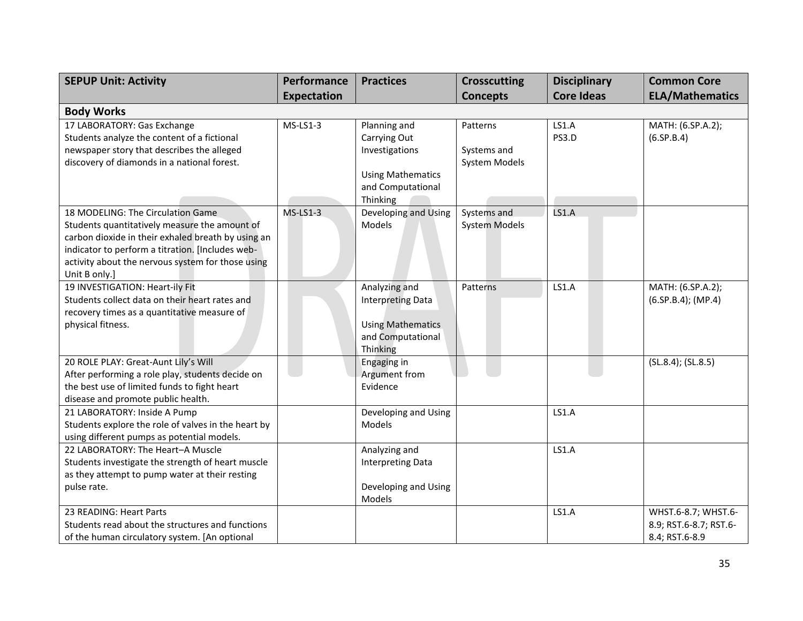| <b>SEPUP Unit: Activity</b>                                        | Performance        | <b>Practices</b>               | <b>Crosscutting</b>  | <b>Disciplinary</b> | <b>Common Core</b>     |
|--------------------------------------------------------------------|--------------------|--------------------------------|----------------------|---------------------|------------------------|
|                                                                    | <b>Expectation</b> |                                | <b>Concepts</b>      | <b>Core Ideas</b>   | <b>ELA/Mathematics</b> |
| <b>Body Works</b>                                                  |                    |                                |                      |                     |                        |
| 17 LABORATORY: Gas Exchange                                        | $MS-LS1-3$         | Planning and                   | Patterns             | LS1.A               | MATH: (6.SP.A.2);      |
| Students analyze the content of a fictional                        |                    | Carrying Out                   |                      | PS3.D               | (6.5P.B.4)             |
| newspaper story that describes the alleged                         |                    | Investigations                 | Systems and          |                     |                        |
| discovery of diamonds in a national forest.                        |                    |                                | System Models        |                     |                        |
|                                                                    |                    | <b>Using Mathematics</b>       |                      |                     |                        |
|                                                                    |                    | and Computational              |                      |                     |                        |
|                                                                    |                    | Thinking                       |                      |                     |                        |
| 18 MODELING: The Circulation Game                                  | $MS-LS1-3$         | Developing and Using           | Systems and          | <b>LS1.A</b>        |                        |
| Students quantitatively measure the amount of                      |                    | Models                         | <b>System Models</b> |                     |                        |
| carbon dioxide in their exhaled breath by using an                 |                    |                                |                      |                     |                        |
| indicator to perform a titration. [Includes web-                   |                    |                                |                      |                     |                        |
| activity about the nervous system for those using<br>Unit B only.] |                    |                                |                      |                     |                        |
| 19 INVESTIGATION: Heart-ily Fit                                    |                    | Analyzing and                  | Patterns             | LS1.A               | MATH: (6.SP.A.2);      |
| Students collect data on their heart rates and                     |                    | <b>Interpreting Data</b>       |                      |                     | $(6.5P.B.4)$ ; (MP.4)  |
| recovery times as a quantitative measure of                        |                    |                                |                      |                     |                        |
| physical fitness.                                                  |                    | <b>Using Mathematics</b>       |                      |                     |                        |
|                                                                    |                    | and Computational              |                      |                     |                        |
|                                                                    |                    | Thinking                       |                      |                     |                        |
| 20 ROLE PLAY: Great-Aunt Lily's Will                               |                    | Engaging in                    |                      |                     | (SL.8.4); (SL.8.5)     |
| After performing a role play, students decide on                   |                    | Argument from                  |                      |                     |                        |
| the best use of limited funds to fight heart                       |                    | Evidence                       |                      |                     |                        |
| disease and promote public health.                                 |                    |                                |                      |                     |                        |
| 21 LABORATORY: Inside A Pump                                       |                    | Developing and Using           |                      | <b>LS1.A</b>        |                        |
| Students explore the role of valves in the heart by                |                    | Models                         |                      |                     |                        |
| using different pumps as potential models.                         |                    |                                |                      |                     |                        |
| 22 LABORATORY: The Heart-A Muscle                                  |                    | Analyzing and                  |                      | LS1.A               |                        |
| Students investigate the strength of heart muscle                  |                    | <b>Interpreting Data</b>       |                      |                     |                        |
| as they attempt to pump water at their resting                     |                    |                                |                      |                     |                        |
| pulse rate.                                                        |                    | Developing and Using<br>Models |                      |                     |                        |
| 23 READING: Heart Parts                                            |                    |                                |                      | <b>LS1.A</b>        | WHST.6-8.7; WHST.6-    |
| Students read about the structures and functions                   |                    |                                |                      |                     | 8.9; RST.6-8.7; RST.6- |
| of the human circulatory system. [An optional                      |                    |                                |                      |                     | 8.4; RST.6-8.9         |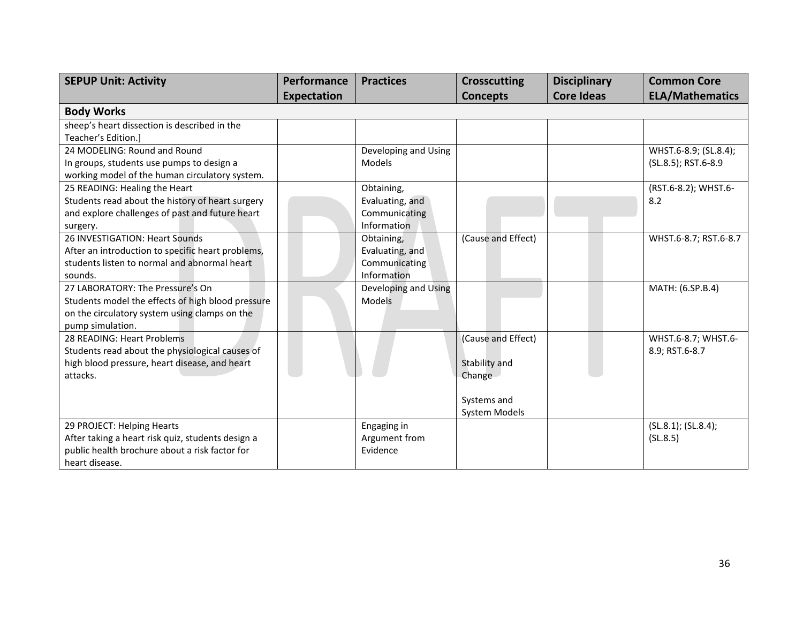| <b>SEPUP Unit: Activity</b>                       | Performance        | <b>Practices</b>     | <b>Crosscutting</b> | <b>Disciplinary</b> | <b>Common Core</b>     |
|---------------------------------------------------|--------------------|----------------------|---------------------|---------------------|------------------------|
|                                                   | <b>Expectation</b> |                      | <b>Concepts</b>     | <b>Core Ideas</b>   | <b>ELA/Mathematics</b> |
| <b>Body Works</b>                                 |                    |                      |                     |                     |                        |
| sheep's heart dissection is described in the      |                    |                      |                     |                     |                        |
| Teacher's Edition.]                               |                    |                      |                     |                     |                        |
| 24 MODELING: Round and Round                      |                    | Developing and Using |                     |                     | WHST.6-8.9; (SL.8.4);  |
| In groups, students use pumps to design a         |                    | Models               |                     |                     | (SL.8.5); RST.6-8.9    |
| working model of the human circulatory system.    |                    |                      |                     |                     |                        |
| 25 READING: Healing the Heart                     |                    | Obtaining,           |                     |                     | (RST.6-8.2); WHST.6-   |
| Students read about the history of heart surgery  |                    | Evaluating, and      |                     |                     | 8.2                    |
| and explore challenges of past and future heart   |                    | Communicating        |                     |                     |                        |
| surgery.                                          |                    | Information          |                     |                     |                        |
| 26 INVESTIGATION: Heart Sounds                    |                    | Obtaining,           | (Cause and Effect)  |                     | WHST.6-8.7; RST.6-8.7  |
| After an introduction to specific heart problems, |                    | Evaluating, and      |                     |                     |                        |
| students listen to normal and abnormal heart      |                    | Communicating        |                     |                     |                        |
| sounds.                                           |                    | Information          |                     |                     |                        |
| 27 LABORATORY: The Pressure's On                  |                    | Developing and Using |                     |                     | MATH: (6.SP.B.4)       |
| Students model the effects of high blood pressure |                    | Models               |                     |                     |                        |
| on the circulatory system using clamps on the     |                    |                      |                     |                     |                        |
| pump simulation.                                  |                    |                      |                     |                     |                        |
| 28 READING: Heart Problems                        |                    |                      | (Cause and Effect)  |                     | WHST.6-8.7; WHST.6-    |
| Students read about the physiological causes of   |                    |                      |                     |                     | 8.9; RST.6-8.7         |
| high blood pressure, heart disease, and heart     |                    |                      | Stability and       |                     |                        |
| attacks.                                          |                    |                      | Change              |                     |                        |
|                                                   |                    |                      |                     |                     |                        |
|                                                   |                    |                      | Systems and         |                     |                        |
|                                                   |                    |                      | System Models       |                     |                        |
| 29 PROJECT: Helping Hearts                        |                    | Engaging in          |                     |                     | (SL.8.1); (SL.8.4);    |
| After taking a heart risk quiz, students design a |                    | Argument from        |                     |                     | (SL.8.5)               |
| public health brochure about a risk factor for    |                    | Evidence             |                     |                     |                        |
| heart disease.                                    |                    |                      |                     |                     |                        |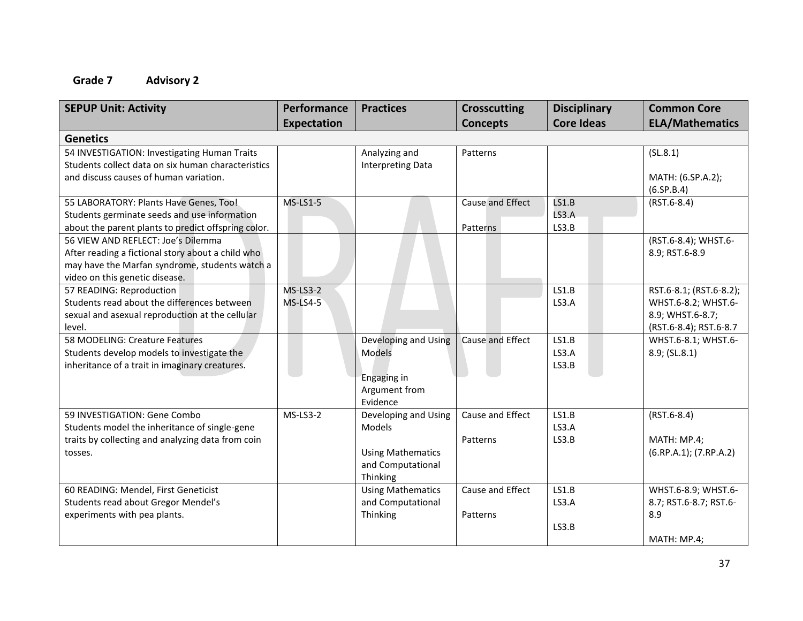| <b>SEPUP Unit: Activity</b>                         | Performance        | <b>Practices</b>         | <b>Crosscutting</b> | <b>Disciplinary</b> | <b>Common Core</b>      |
|-----------------------------------------------------|--------------------|--------------------------|---------------------|---------------------|-------------------------|
|                                                     | <b>Expectation</b> |                          | <b>Concepts</b>     | <b>Core Ideas</b>   | <b>ELA/Mathematics</b>  |
| <b>Genetics</b>                                     |                    |                          |                     |                     |                         |
| 54 INVESTIGATION: Investigating Human Traits        |                    | Analyzing and            | Patterns            |                     | (SL.8.1)                |
| Students collect data on six human characteristics  |                    | <b>Interpreting Data</b> |                     |                     |                         |
| and discuss causes of human variation.              |                    |                          |                     |                     | MATH: (6.SP.A.2);       |
|                                                     |                    |                          |                     |                     | (6.5P.B.4)              |
| 55 LABORATORY: Plants Have Genes, Too!              | $MS-LS1-5$         |                          | Cause and Effect    | <b>LS1.B</b>        | $(RST.6-8.4)$           |
| Students germinate seeds and use information        |                    |                          |                     | <b>LS3.A</b>        |                         |
| about the parent plants to predict offspring color. |                    |                          | Patterns            | LS3.B               |                         |
| 56 VIEW AND REFLECT: Joe's Dilemma                  |                    |                          |                     |                     | (RST.6-8.4); WHST.6-    |
| After reading a fictional story about a child who   |                    |                          |                     |                     | 8.9; RST.6-8.9          |
| may have the Marfan syndrome, students watch a      |                    |                          |                     |                     |                         |
| video on this genetic disease.                      |                    |                          |                     |                     |                         |
| 57 READING: Reproduction                            | <b>MS-LS3-2</b>    |                          |                     | LS1.B               | RST.6-8.1; (RST.6-8.2); |
| Students read about the differences between         | <b>MS-LS4-5</b>    |                          |                     | LS3.A               | WHST.6-8.2; WHST.6-     |
| sexual and asexual reproduction at the cellular     |                    |                          |                     |                     | 8.9; WHST.6-8.7;        |
| level.                                              |                    |                          |                     |                     | (RST.6-8.4); RST.6-8.7  |
| 58 MODELING: Creature Features                      |                    | Developing and Using     | Cause and Effect    | LS1.B               | WHST.6-8.1; WHST.6-     |
| Students develop models to investigate the          |                    | Models                   |                     | LS3.A               | 8.9; (SL.8.1)           |
| inheritance of a trait in imaginary creatures.      |                    | Engaging in              |                     | LS3.B               |                         |
|                                                     |                    | Argument from            |                     |                     |                         |
|                                                     |                    | Evidence                 |                     |                     |                         |
| 59 INVESTIGATION: Gene Combo                        | MS-LS3-2           | Developing and Using     | Cause and Effect    | LS1.B               | $(RST.6-8.4)$           |
| Students model the inheritance of single-gene       |                    | Models                   |                     | LS3.A               |                         |
| traits by collecting and analyzing data from coin   |                    |                          | Patterns            | LS3.B               | MATH: MP.4;             |
| tosses.                                             |                    | <b>Using Mathematics</b> |                     |                     | (6.RP.A.1); (7.RP.A.2)  |
|                                                     |                    | and Computational        |                     |                     |                         |
|                                                     |                    | Thinking                 |                     |                     |                         |
| 60 READING: Mendel, First Geneticist                |                    | <b>Using Mathematics</b> | Cause and Effect    | LS1.B               | WHST.6-8.9; WHST.6-     |
| Students read about Gregor Mendel's                 |                    | and Computational        |                     | LS3.A               | 8.7; RST.6-8.7; RST.6-  |
| experiments with pea plants.                        |                    | Thinking                 | Patterns            |                     | 8.9                     |
|                                                     |                    |                          |                     | LS3.B               |                         |
|                                                     |                    |                          |                     |                     | MATH: MP.4;             |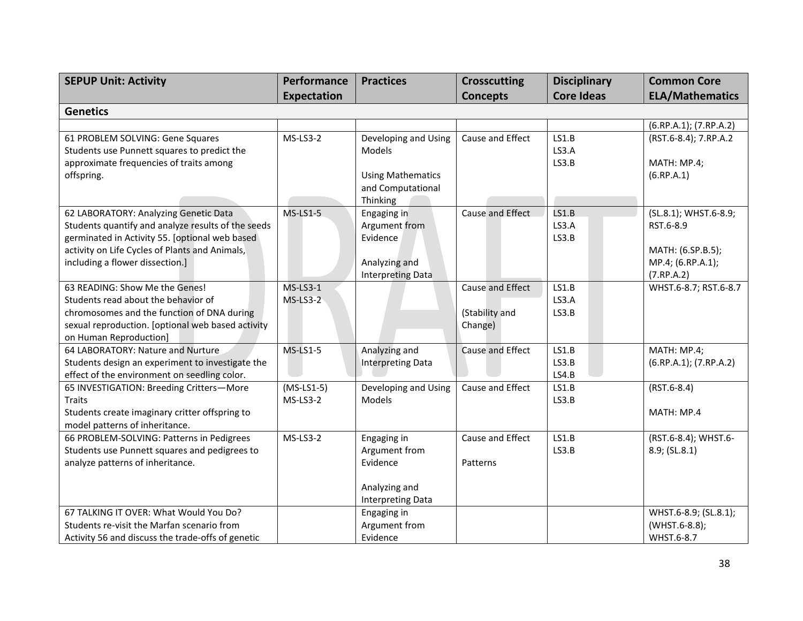| <b>SEPUP Unit: Activity</b>                                                                                                                                                                                                        | Performance               | <b>Practices</b>                                                                            | <b>Crosscutting</b>                           | <b>Disciplinary</b>     | <b>Common Core</b>                                                                         |
|------------------------------------------------------------------------------------------------------------------------------------------------------------------------------------------------------------------------------------|---------------------------|---------------------------------------------------------------------------------------------|-----------------------------------------------|-------------------------|--------------------------------------------------------------------------------------------|
|                                                                                                                                                                                                                                    | <b>Expectation</b>        |                                                                                             | <b>Concepts</b>                               | <b>Core Ideas</b>       | <b>ELA/Mathematics</b>                                                                     |
| <b>Genetics</b>                                                                                                                                                                                                                    |                           |                                                                                             |                                               |                         |                                                                                            |
|                                                                                                                                                                                                                                    |                           |                                                                                             |                                               |                         | (6.RP.A.1); (7.RP.A.2)                                                                     |
| 61 PROBLEM SOLVING: Gene Squares<br>Students use Punnett squares to predict the<br>approximate frequencies of traits among<br>offspring.                                                                                           | $MS-LS3-2$                | Developing and Using<br>Models<br><b>Using Mathematics</b><br>and Computational<br>Thinking | Cause and Effect                              | LS1.B<br>LS3.A<br>LS3.B | (RST.6-8.4); 7.RP.A.2<br>MATH: MP.4;<br>(6.RP.A.1)                                         |
| 62 LABORATORY: Analyzing Genetic Data<br>Students quantify and analyze results of the seeds<br>germinated in Activity 55. [optional web based<br>activity on Life Cycles of Plants and Animals,<br>including a flower dissection.] | $MS-LS1-5$                | Engaging in<br>Argument from<br>Evidence<br>Analyzing and<br><b>Interpreting Data</b>       | Cause and Effect                              | LS1.B<br>LS3.A<br>LS3.B | (SL.8.1); WHST.6-8.9;<br>RST.6-8.9<br>MATH: (6.SP.B.5);<br>MP.4; (6.RP.A.1);<br>(7.RP.A.2) |
| 63 READING: Show Me the Genes!<br>Students read about the behavior of<br>chromosomes and the function of DNA during<br>sexual reproduction. [optional web based activity<br>on Human Reproduction]                                 | $MS$ -LS3-1<br>$MS-LS3-2$ |                                                                                             | Cause and Effect<br>(Stability and<br>Change) | LS1.B<br>LS3.A<br>LS3.B | WHST.6-8.7; RST.6-8.7                                                                      |
| 64 LABORATORY: Nature and Nurture<br>Students design an experiment to investigate the<br>effect of the environment on seedling color.                                                                                              | <b>MS-LS1-5</b>           | Analyzing and<br><b>Interpreting Data</b>                                                   | Cause and Effect                              | LS1.B<br>LS3.B<br>LS4.B | MATH: MP.4;<br>(6.RP.A.1); (7.RP.A.2)                                                      |
| 65 INVESTIGATION: Breeding Critters-More<br><b>Traits</b><br>Students create imaginary critter offspring to<br>model patterns of inheritance.                                                                                      | $(MS-LS1-5)$<br>MS-LS3-2  | Developing and Using<br>Models                                                              | Cause and Effect                              | LS1.B<br>LS3.B          | $(RST.6-8.4)$<br>MATH: MP.4                                                                |
| 66 PROBLEM-SOLVING: Patterns in Pedigrees<br>Students use Punnett squares and pedigrees to<br>analyze patterns of inheritance.                                                                                                     | $MS-LS3-2$                | Engaging in<br>Argument from<br>Evidence<br>Analyzing and<br><b>Interpreting Data</b>       | Cause and Effect<br>Patterns                  | LS1.B<br>LS3.B          | (RST.6-8.4); WHST.6-<br>8.9; (SL.8.1)                                                      |
| 67 TALKING IT OVER: What Would You Do?<br>Students re-visit the Marfan scenario from<br>Activity 56 and discuss the trade-offs of genetic                                                                                          |                           | Engaging in<br>Argument from<br>Evidence                                                    |                                               |                         | WHST.6-8.9; (SL.8.1);<br>(WHST.6-8.8);<br>WHST.6-8.7                                       |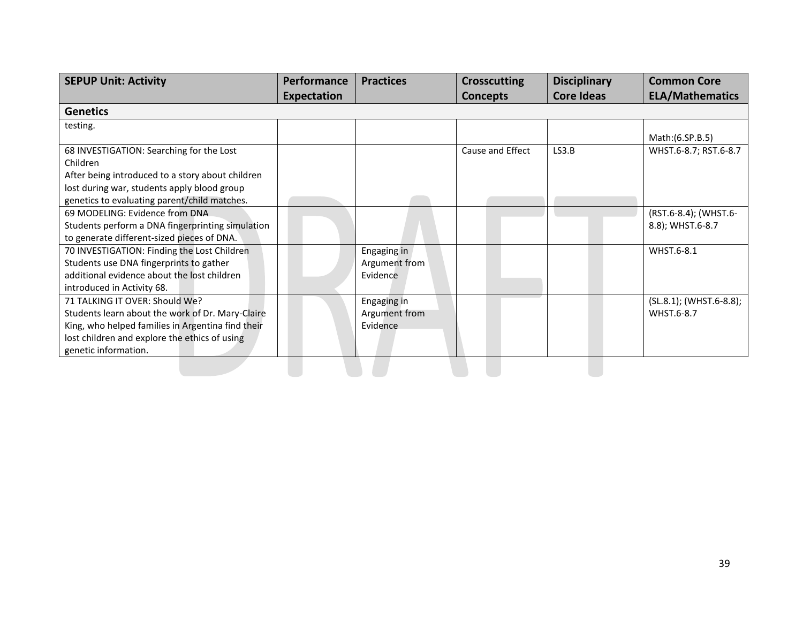| <b>SEPUP Unit: Activity</b>                       | <b>Performance</b> | <b>Practices</b> | <b>Crosscutting</b> | <b>Disciplinary</b> | <b>Common Core</b>      |
|---------------------------------------------------|--------------------|------------------|---------------------|---------------------|-------------------------|
|                                                   | <b>Expectation</b> |                  | <b>Concepts</b>     | <b>Core Ideas</b>   | <b>ELA/Mathematics</b>  |
| <b>Genetics</b>                                   |                    |                  |                     |                     |                         |
| testing.                                          |                    |                  |                     |                     |                         |
|                                                   |                    |                  |                     |                     | Math: (6.SP.B.5)        |
| 68 INVESTIGATION: Searching for the Lost          |                    |                  | Cause and Effect    | LS3.B               | WHST.6-8.7; RST.6-8.7   |
| Children                                          |                    |                  |                     |                     |                         |
| After being introduced to a story about children  |                    |                  |                     |                     |                         |
| lost during war, students apply blood group       |                    |                  |                     |                     |                         |
| genetics to evaluating parent/child matches.      |                    |                  |                     |                     |                         |
| 69 MODELING: Evidence from DNA                    |                    |                  |                     |                     | (RST.6-8.4); (WHST.6-   |
| Students perform a DNA fingerprinting simulation  |                    |                  |                     |                     | 8.8); WHST.6-8.7        |
| to generate different-sized pieces of DNA.        |                    |                  |                     |                     |                         |
| 70 INVESTIGATION: Finding the Lost Children       |                    | Engaging in      |                     |                     | WHST.6-8.1              |
| Students use DNA fingerprints to gather           |                    | Argument from    |                     |                     |                         |
| additional evidence about the lost children       |                    | Evidence         |                     |                     |                         |
| introduced in Activity 68.                        |                    |                  |                     |                     |                         |
| 71 TALKING IT OVER: Should We?                    |                    | Engaging in      |                     |                     | (SL.8.1); (WHST.6-8.8); |
| Students learn about the work of Dr. Mary-Claire  |                    | Argument from    |                     |                     | WHST.6-8.7              |
| King, who helped families in Argentina find their |                    | Evidence         |                     |                     |                         |
| lost children and explore the ethics of using     |                    |                  |                     |                     |                         |
| genetic information.                              |                    |                  |                     |                     |                         |
|                                                   |                    |                  |                     |                     |                         |
|                                                   |                    |                  |                     |                     |                         |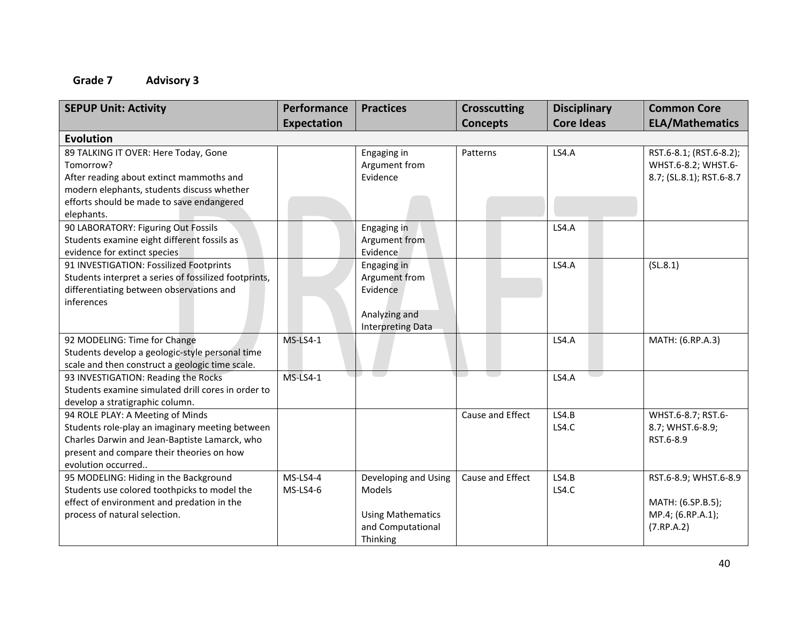| <b>SEPUP Unit: Activity</b>                                                                                                                                                                             | Performance<br>Expectation | <b>Practices</b>                                                                            | <b>Crosscutting</b><br><b>Concepts</b> | <b>Disciplinary</b><br><b>Core Ideas</b> | <b>Common Core</b><br><b>ELA/Mathematics</b>                                  |
|---------------------------------------------------------------------------------------------------------------------------------------------------------------------------------------------------------|----------------------------|---------------------------------------------------------------------------------------------|----------------------------------------|------------------------------------------|-------------------------------------------------------------------------------|
| <b>Evolution</b>                                                                                                                                                                                        |                            |                                                                                             |                                        |                                          |                                                                               |
| 89 TALKING IT OVER: Here Today, Gone<br>Tomorrow?<br>After reading about extinct mammoths and<br>modern elephants, students discuss whether<br>efforts should be made to save endangered<br>elephants.  |                            | Engaging in<br>Argument from<br>Evidence                                                    | Patterns                               | LS4.A                                    | RST.6-8.1; (RST.6-8.2);<br>WHST.6-8.2; WHST.6-<br>8.7; (SL.8.1); RST.6-8.7    |
| 90 LABORATORY: Figuring Out Fossils<br>Students examine eight different fossils as<br>evidence for extinct species                                                                                      |                            | Engaging in<br>Argument from<br>Evidence                                                    |                                        | LS4.A                                    |                                                                               |
| 91 INVESTIGATION: Fossilized Footprints<br>Students interpret a series of fossilized footprints,<br>differentiating between observations and<br>inferences                                              |                            | Engaging in<br>Argument from<br>Evidence<br>Analyzing and<br>Interpreting Data              |                                        | <b>LS4.A</b>                             | (SL.8.1)                                                                      |
| 92 MODELING: Time for Change<br>Students develop a geologic-style personal time<br>scale and then construct a geologic time scale.                                                                      | <b>MS-LS4-1</b>            |                                                                                             |                                        | <b>LS4.A</b>                             | MATH: (6.RP.A.3)                                                              |
| 93 INVESTIGATION: Reading the Rocks<br>Students examine simulated drill cores in order to<br>develop a stratigraphic column.                                                                            | <b>MS-LS4-1</b>            |                                                                                             |                                        | <b>LS4.A</b>                             |                                                                               |
| 94 ROLE PLAY: A Meeting of Minds<br>Students role-play an imaginary meeting between<br>Charles Darwin and Jean-Baptiste Lamarck, who<br>present and compare their theories on how<br>evolution occurred |                            |                                                                                             | Cause and Effect                       | LS4.B<br>LS4.C                           | WHST.6-8.7; RST.6-<br>8.7; WHST.6-8.9;<br>RST.6-8.9                           |
| 95 MODELING: Hiding in the Background<br>Students use colored toothpicks to model the<br>effect of environment and predation in the<br>process of natural selection.                                    | MS-LS4-4<br>MS-LS4-6       | Developing and Using<br>Models<br><b>Using Mathematics</b><br>and Computational<br>Thinking | Cause and Effect                       | LS4.B<br>LS4.C                           | RST.6-8.9; WHST.6-8.9<br>MATH: (6.SP.B.5);<br>MP.4; (6.RP.A.1);<br>(7.RP.A.2) |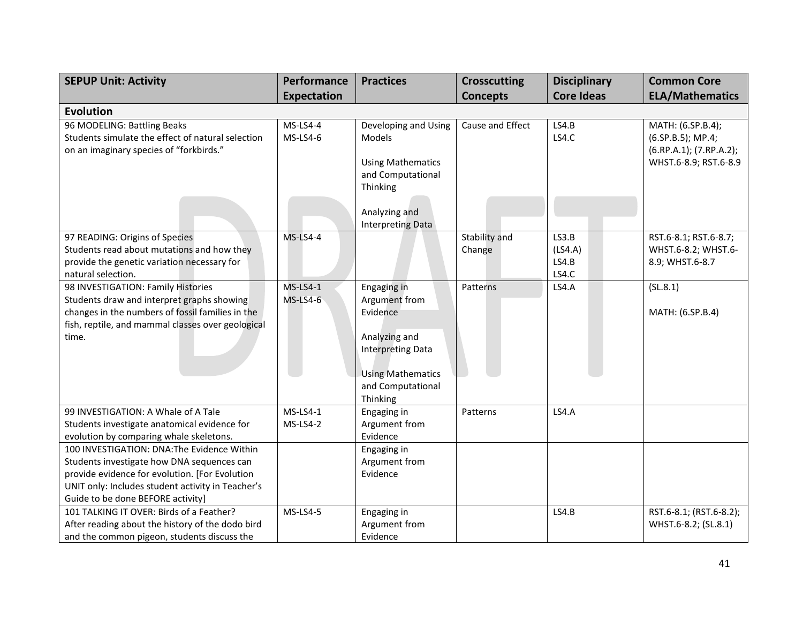| <b>SEPUP Unit: Activity</b>                       | Performance        | <b>Practices</b>                              | <b>Crosscutting</b> | <b>Disciplinary</b> | <b>Common Core</b>      |
|---------------------------------------------------|--------------------|-----------------------------------------------|---------------------|---------------------|-------------------------|
|                                                   | <b>Expectation</b> |                                               | <b>Concepts</b>     | <b>Core Ideas</b>   | <b>ELA/Mathematics</b>  |
| <b>Evolution</b>                                  |                    |                                               |                     |                     |                         |
| 96 MODELING: Battling Beaks                       | $MS-LS4-4$         | Developing and Using                          | Cause and Effect    | LS4.B               | MATH: (6.SP.B.4);       |
| Students simulate the effect of natural selection | <b>MS-LS4-6</b>    | Models                                        |                     | LS4.C               | $(6.5P.B.5)$ ; MP.4;    |
| on an imaginary species of "forkbirds."           |                    |                                               |                     |                     | (6.RP.A.1); (7.RP.A.2); |
|                                                   |                    | <b>Using Mathematics</b>                      |                     |                     | WHST.6-8.9; RST.6-8.9   |
|                                                   |                    | and Computational                             |                     |                     |                         |
|                                                   |                    | Thinking                                      |                     |                     |                         |
|                                                   |                    |                                               |                     |                     |                         |
|                                                   |                    | Analyzing and<br>Interpreting Data            |                     |                     |                         |
| 97 READING: Origins of Species                    | <b>MS-LS4-4</b>    |                                               | Stability and       | LS3.B               | RST.6-8.1; RST.6-8.7;   |
| Students read about mutations and how they        |                    |                                               | Change              | (LSA.A)             | WHST.6-8.2; WHST.6-     |
| provide the genetic variation necessary for       |                    |                                               |                     | LS4.B               | 8.9; WHST.6-8.7         |
| natural selection.                                |                    |                                               |                     | LS4.C               |                         |
| 98 INVESTIGATION: Family Histories                | $MS-LS4-1$         | Engaging in                                   | <b>Patterns</b>     | LS4.A               | (SL.8.1)                |
| Students draw and interpret graphs showing        | <b>MS-LS4-6</b>    | Argument from                                 |                     |                     |                         |
| changes in the numbers of fossil families in the  |                    | Evidence                                      |                     |                     | MATH: (6.SP.B.4)        |
| fish, reptile, and mammal classes over geological |                    |                                               |                     |                     |                         |
| time.                                             |                    | Analyzing and                                 |                     |                     |                         |
|                                                   |                    | <b>Interpreting Data</b>                      |                     |                     |                         |
|                                                   |                    |                                               |                     |                     |                         |
|                                                   |                    | <b>Using Mathematics</b><br>and Computational |                     |                     |                         |
|                                                   |                    | Thinking                                      |                     |                     |                         |
| 99 INVESTIGATION: A Whale of A Tale               | $MS-LS4-1$         | Engaging in                                   | Patterns            | LS4.A               |                         |
| Students investigate anatomical evidence for      | MS-LS4-2           | Argument from                                 |                     |                     |                         |
| evolution by comparing whale skeletons.           |                    | Evidence                                      |                     |                     |                         |
| 100 INVESTIGATION: DNA: The Evidence Within       |                    | Engaging in                                   |                     |                     |                         |
| Students investigate how DNA sequences can        |                    | Argument from                                 |                     |                     |                         |
| provide evidence for evolution. [For Evolution    |                    | Evidence                                      |                     |                     |                         |
| UNIT only: Includes student activity in Teacher's |                    |                                               |                     |                     |                         |
| Guide to be done BEFORE activity]                 |                    |                                               |                     |                     |                         |
| 101 TALKING IT OVER: Birds of a Feather?          | <b>MS-LS4-5</b>    | Engaging in                                   |                     | LS4.B               | RST.6-8.1; (RST.6-8.2); |
| After reading about the history of the dodo bird  |                    | Argument from                                 |                     |                     | WHST.6-8.2; (SL.8.1)    |
| and the common pigeon, students discuss the       |                    | Evidence                                      |                     |                     |                         |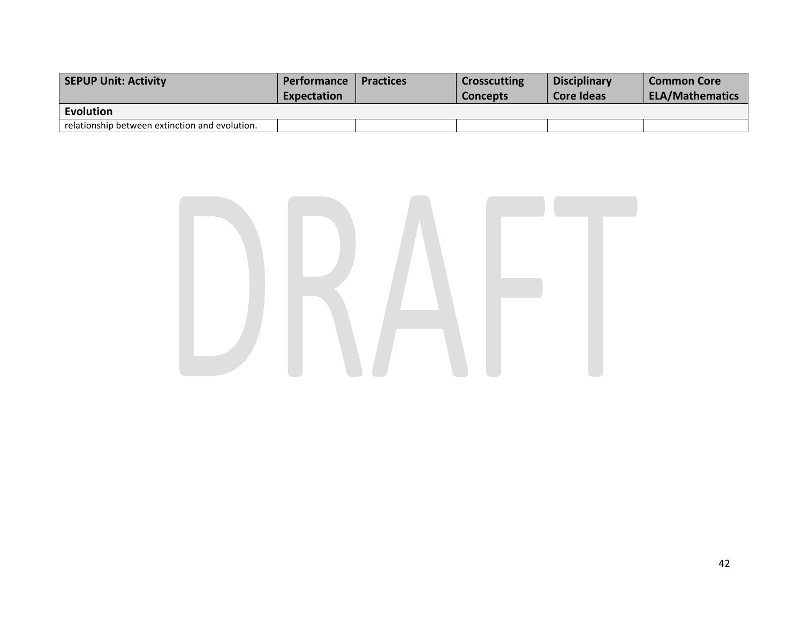| <b>SEPUP Unit: Activity</b>                    | <b>Performance</b><br>Expectation | <b>Practices</b> | <b>Crosscutting</b><br><b>Concepts</b> | <b>Disciplinary</b><br>Core Ideas | <b>Common Core</b><br><b>ELA/Mathematics</b> |
|------------------------------------------------|-----------------------------------|------------------|----------------------------------------|-----------------------------------|----------------------------------------------|
| Evolution                                      |                                   |                  |                                        |                                   |                                              |
| relationship between extinction and evolution. |                                   |                  |                                        |                                   |                                              |

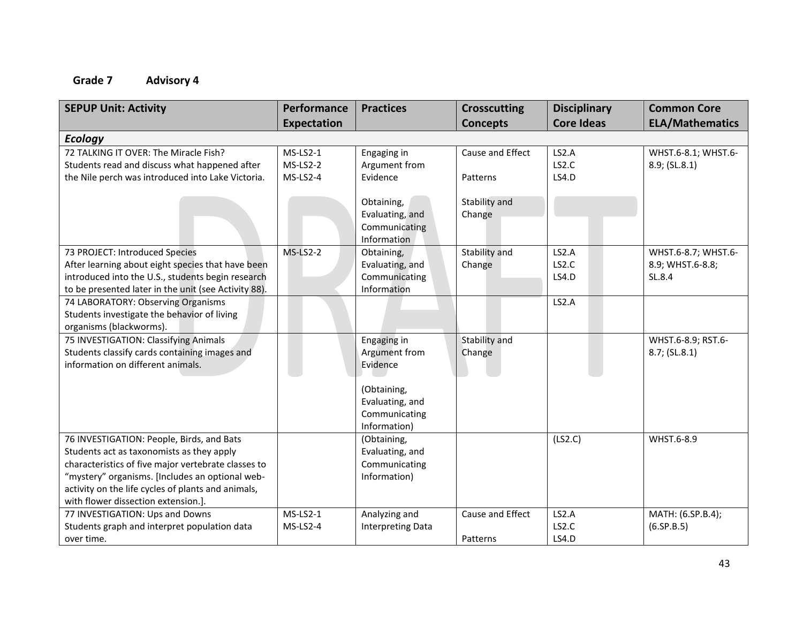| <b>SEPUP Unit: Activity</b>                                                                                                                                                                                                                                                                   | Performance<br><b>Expectation</b>      | <b>Practices</b>                                                | <b>Crosscutting</b><br><b>Concepts</b> | <b>Disciplinary</b><br><b>Core Ideas</b> | <b>Common Core</b><br><b>ELA/Mathematics</b>      |
|-----------------------------------------------------------------------------------------------------------------------------------------------------------------------------------------------------------------------------------------------------------------------------------------------|----------------------------------------|-----------------------------------------------------------------|----------------------------------------|------------------------------------------|---------------------------------------------------|
| <b>Ecology</b>                                                                                                                                                                                                                                                                                |                                        |                                                                 |                                        |                                          |                                                   |
| 72 TALKING IT OVER: The Miracle Fish?<br>Students read and discuss what happened after<br>the Nile perch was introduced into Lake Victoria.                                                                                                                                                   | $MS-LS2-1$<br>$MS-LS2-2$<br>$MS-LS2-4$ | Engaging in<br>Argument from<br>Evidence                        | Cause and Effect<br>Patterns           | LS2.A<br>LS2.C<br>LS4.D                  | WHST.6-8.1; WHST.6-<br>8.9; (SL.8.1)              |
|                                                                                                                                                                                                                                                                                               |                                        | Obtaining,<br>Evaluating, and<br>Communicating<br>Information   | Stability and<br>Change                |                                          |                                                   |
| 73 PROJECT: Introduced Species<br>After learning about eight species that have been<br>introduced into the U.S., students begin research<br>to be presented later in the unit (see Activity 88).                                                                                              | $MS-LS2-2$                             | Obtaining,<br>Evaluating, and<br>Communicating<br>Information   | Stability and<br>Change                | LS2.A<br>LS2.C<br>LS4.D                  | WHST.6-8.7; WHST.6-<br>8.9; WHST.6-8.8;<br>SL.8.4 |
| 74 LABORATORY: Observing Organisms<br>Students investigate the behavior of living<br>organisms (blackworms).                                                                                                                                                                                  |                                        |                                                                 |                                        | LS2.A                                    |                                                   |
| 75 INVESTIGATION: Classifying Animals<br>Students classify cards containing images and<br>information on different animals.                                                                                                                                                                   |                                        | Engaging in<br>Argument from<br>Evidence                        | Stability and<br>Change                |                                          | WHST.6-8.9; RST.6-<br>8.7; (SL.8.1)               |
|                                                                                                                                                                                                                                                                                               |                                        | (Obtaining,<br>Evaluating, and<br>Communicating<br>Information) |                                        |                                          |                                                   |
| 76 INVESTIGATION: People, Birds, and Bats<br>Students act as taxonomists as they apply<br>characteristics of five major vertebrate classes to<br>"mystery" organisms. [Includes an optional web-<br>activity on the life cycles of plants and animals,<br>with flower dissection extension.]. |                                        | (Obtaining,<br>Evaluating, and<br>Communicating<br>Information) |                                        | (LS2.C)                                  | WHST.6-8.9                                        |
| 77 INVESTIGATION: Ups and Downs<br>Students graph and interpret population data<br>over time.                                                                                                                                                                                                 | $MS-LS2-1$<br>$MS-LS2-4$               | Analyzing and<br><b>Interpreting Data</b>                       | Cause and Effect<br>Patterns           | LS2.A<br>LS2.C<br>LS4.D                  | MATH: (6.SP.B.4);<br>(6.5P.B.5)                   |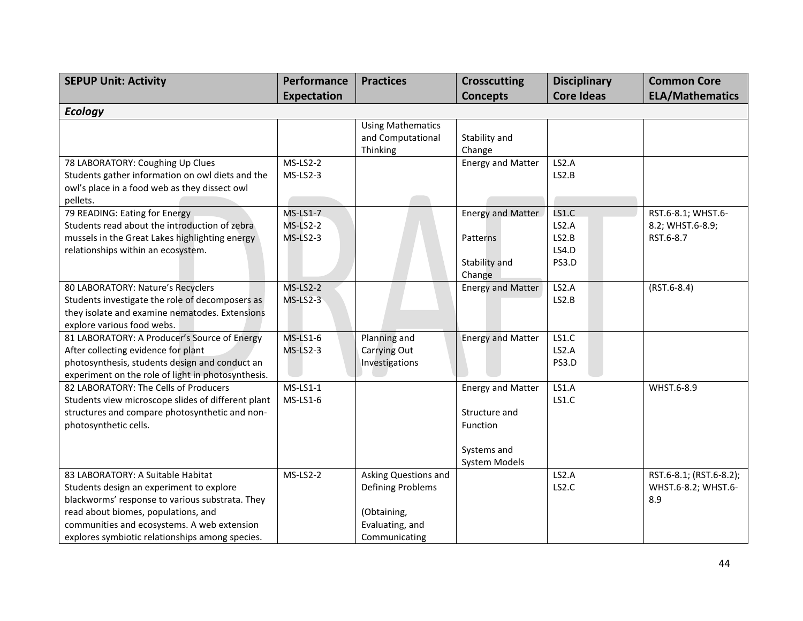| <b>SEPUP Unit: Activity</b>                                                           | Performance     | <b>Practices</b>                              | <b>Crosscutting</b>      | <b>Disciplinary</b> | <b>Common Core</b>      |
|---------------------------------------------------------------------------------------|-----------------|-----------------------------------------------|--------------------------|---------------------|-------------------------|
|                                                                                       | Expectation     |                                               | <b>Concepts</b>          | <b>Core Ideas</b>   | <b>ELA/Mathematics</b>  |
| <b>Ecology</b>                                                                        |                 |                                               |                          |                     |                         |
|                                                                                       |                 | <b>Using Mathematics</b><br>and Computational | Stability and            |                     |                         |
|                                                                                       |                 | Thinking                                      | Change                   |                     |                         |
| 78 LABORATORY: Coughing Up Clues                                                      | $MS-LS2-2$      |                                               | <b>Energy and Matter</b> | LS2.A               |                         |
| Students gather information on owl diets and the                                      | MS-LS2-3        |                                               |                          | LS2.B               |                         |
| owl's place in a food web as they dissect owl                                         |                 |                                               |                          |                     |                         |
| pellets.                                                                              |                 |                                               |                          |                     |                         |
| 79 READING: Eating for Energy                                                         | <b>MS-LS1-7</b> |                                               | <b>Energy and Matter</b> | LS1.C               | RST.6-8.1; WHST.6-      |
| Students read about the introduction of zebra                                         | $MS-LS2-2$      |                                               |                          | LS2.A               | 8.2; WHST.6-8.9;        |
| mussels in the Great Lakes highlighting energy                                        | $MS-LS2-3$      |                                               | Patterns                 | LS2.B               | RST.6-8.7               |
| relationships within an ecosystem.                                                    |                 |                                               |                          | LS4.D               |                         |
|                                                                                       |                 |                                               | Stability and            | PS3.D               |                         |
|                                                                                       |                 |                                               | Change                   |                     |                         |
| 80 LABORATORY: Nature's Recyclers                                                     | <b>MS-LS2-2</b> |                                               | <b>Energy and Matter</b> | LS2.A               | $(RST.6-8.4)$           |
| Students investigate the role of decomposers as                                       | $MS-LS2-3$      |                                               |                          | LS2.B               |                         |
| they isolate and examine nematodes. Extensions                                        |                 |                                               |                          |                     |                         |
| explore various food webs.                                                            | $MS-LS1-6$      |                                               |                          | LS1.C               |                         |
| 81 LABORATORY: A Producer's Source of Energy                                          | $MS-LS2-3$      | Planning and                                  | <b>Energy and Matter</b> | LS2.A               |                         |
| After collecting evidence for plant<br>photosynthesis, students design and conduct an |                 | Carrying Out<br>Investigations                |                          | PS3.D               |                         |
| experiment on the role of light in photosynthesis.                                    |                 |                                               |                          |                     |                         |
| 82 LABORATORY: The Cells of Producers                                                 | $MS-LS1-1$      |                                               | <b>Energy and Matter</b> | LS1.A               | WHST.6-8.9              |
| Students view microscope slides of different plant                                    | $MS-LS1-6$      |                                               |                          | LS1.C               |                         |
| structures and compare photosynthetic and non-                                        |                 |                                               | Structure and            |                     |                         |
| photosynthetic cells.                                                                 |                 |                                               | Function                 |                     |                         |
|                                                                                       |                 |                                               |                          |                     |                         |
|                                                                                       |                 |                                               | Systems and              |                     |                         |
|                                                                                       |                 |                                               | System Models            |                     |                         |
| 83 LABORATORY: A Suitable Habitat                                                     | $MS-LS2-2$      | Asking Questions and                          |                          | LS2.A               | RST.6-8.1; (RST.6-8.2); |
| Students design an experiment to explore                                              |                 | Defining Problems                             |                          | LS2.C               | WHST.6-8.2; WHST.6-     |
| blackworms' response to various substrata. They                                       |                 |                                               |                          |                     | 8.9                     |
| read about biomes, populations, and                                                   |                 | (Obtaining,                                   |                          |                     |                         |
| communities and ecosystems. A web extension                                           |                 | Evaluating, and                               |                          |                     |                         |
| explores symbiotic relationships among species.                                       |                 | Communicating                                 |                          |                     |                         |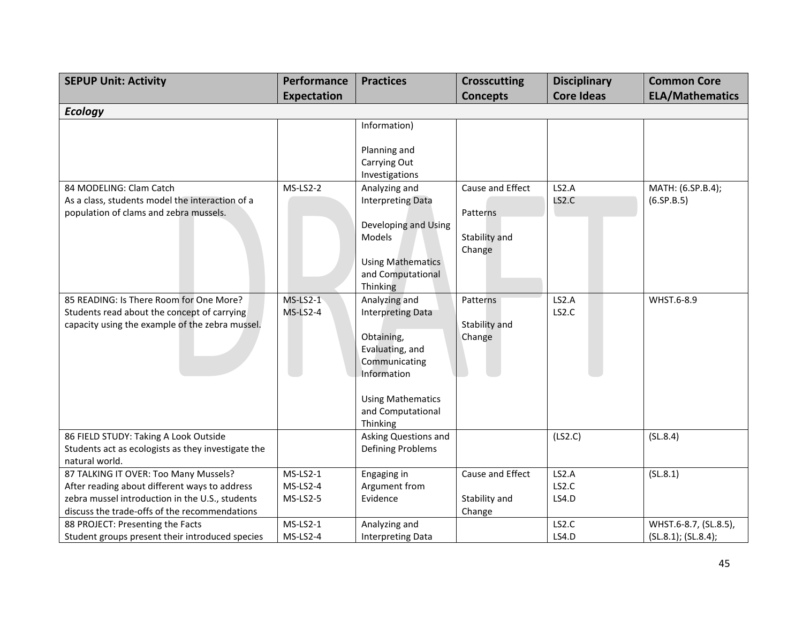| <b>SEPUP Unit: Activity</b>                                                                                                                                                                | Performance                        | <b>Practices</b>                                                                                                                                                        | <b>Crosscutting</b>                                     | <b>Disciplinary</b>     | <b>Common Core</b>                           |
|--------------------------------------------------------------------------------------------------------------------------------------------------------------------------------------------|------------------------------------|-------------------------------------------------------------------------------------------------------------------------------------------------------------------------|---------------------------------------------------------|-------------------------|----------------------------------------------|
|                                                                                                                                                                                            | <b>Expectation</b>                 |                                                                                                                                                                         | <b>Concepts</b>                                         | <b>Core Ideas</b>       | <b>ELA/Mathematics</b>                       |
| <b>Ecology</b>                                                                                                                                                                             |                                    |                                                                                                                                                                         |                                                         |                         |                                              |
|                                                                                                                                                                                            |                                    | Information)<br>Planning and<br>Carrying Out                                                                                                                            |                                                         |                         |                                              |
| 84 MODELING: Clam Catch<br>As a class, students model the interaction of a<br>population of clams and zebra mussels.                                                                       | $MS-LS2-2$                         | Investigations<br>Analyzing and<br><b>Interpreting Data</b><br>Developing and Using<br>Models<br><b>Using Mathematics</b><br>and Computational<br>Thinking              | Cause and Effect<br>Patterns<br>Stability and<br>Change | LS2.A<br>LS2.C          | MATH: (6.SP.B.4);<br>(6.5P.B.5)              |
| 85 READING: Is There Room for One More?<br>Students read about the concept of carrying<br>capacity using the example of the zebra mussel.                                                  | $MS-LS2-1$<br>$MS-LS2-4$           | Analyzing and<br><b>Interpreting Data</b><br>Obtaining,<br>Evaluating, and<br>Communicating<br>Information<br><b>Using Mathematics</b><br>and Computational<br>Thinking | Patterns<br>Stability and<br>Change                     | LS2.A<br>LS2.C          | WHST.6-8.9                                   |
| 86 FIELD STUDY: Taking A Look Outside<br>Students act as ecologists as they investigate the<br>natural world.                                                                              |                                    | Asking Questions and<br>Defining Problems                                                                                                                               |                                                         | (LS2.C)                 | (SL.8.4)                                     |
| 87 TALKING IT OVER: Too Many Mussels?<br>After reading about different ways to address<br>zebra mussel introduction in the U.S., students<br>discuss the trade-offs of the recommendations | $MS-LS2-1$<br>MS-LS2-4<br>MS-LS2-5 | Engaging in<br>Argument from<br>Evidence                                                                                                                                | Cause and Effect<br>Stability and<br>Change             | LS2.A<br>LS2.C<br>LS4.D | (SL.8.1)                                     |
| 88 PROJECT: Presenting the Facts<br>Student groups present their introduced species                                                                                                        | $MS-LS2-1$<br>$MS-LS2-4$           | Analyzing and<br><b>Interpreting Data</b>                                                                                                                               |                                                         | LS2.C<br>LS4.D          | WHST.6-8.7, (SL.8.5),<br>(SL.8.1); (SL.8.4); |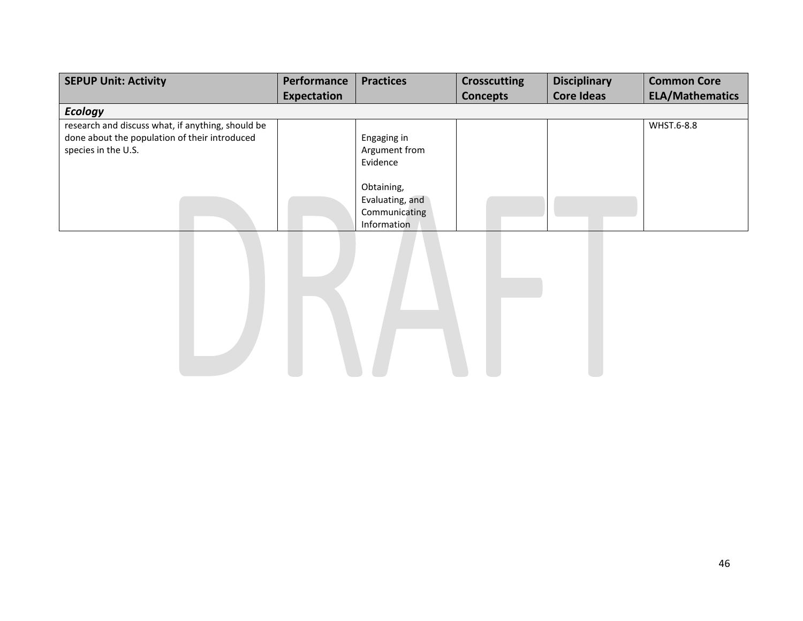| <b>SEPUP Unit: Activity</b>                       | Performance | <b>Practices</b>   | <b>Crosscutting</b> | <b>Disciplinary</b> | <b>Common Core</b>     |
|---------------------------------------------------|-------------|--------------------|---------------------|---------------------|------------------------|
|                                                   | Expectation |                    | <b>Concepts</b>     | <b>Core Ideas</b>   | <b>ELA/Mathematics</b> |
| <b>Ecology</b>                                    |             |                    |                     |                     |                        |
| research and discuss what, if anything, should be |             |                    |                     |                     | WHST.6-8.8             |
| done about the population of their introduced     |             | Engaging in        |                     |                     |                        |
| species in the U.S.                               |             | Argument from      |                     |                     |                        |
|                                                   |             | Evidence           |                     |                     |                        |
|                                                   |             | Obtaining,         |                     |                     |                        |
|                                                   |             | Evaluating, and    |                     |                     |                        |
|                                                   |             | Communicating      |                     |                     |                        |
|                                                   |             | <b>Information</b> |                     |                     |                        |

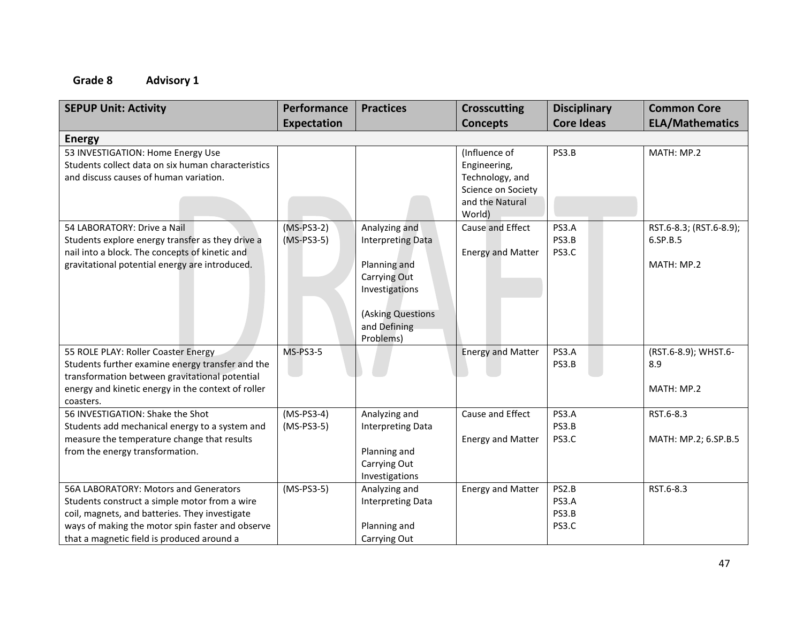| <b>SEPUP Unit: Activity</b>                                                                          | Performance     | <b>Practices</b>         | <b>Crosscutting</b>      | <b>Disciplinary</b> | <b>Common Core</b>      |
|------------------------------------------------------------------------------------------------------|-----------------|--------------------------|--------------------------|---------------------|-------------------------|
|                                                                                                      | Expectation     |                          | <b>Concepts</b>          | <b>Core Ideas</b>   | <b>ELA/Mathematics</b>  |
| <b>Energy</b>                                                                                        |                 |                          |                          |                     |                         |
| 53 INVESTIGATION: Home Energy Use                                                                    |                 |                          | (Influence of            | PS3.B               | MATH: MP.2              |
| Students collect data on six human characteristics                                                   |                 |                          | Engineering,             |                     |                         |
| and discuss causes of human variation.                                                               |                 |                          | Technology, and          |                     |                         |
|                                                                                                      |                 |                          | Science on Society       |                     |                         |
|                                                                                                      |                 |                          | and the Natural          |                     |                         |
|                                                                                                      |                 |                          | World)                   |                     |                         |
| 54 LABORATORY: Drive a Nail                                                                          | $(MS-PS3-2)$    | Analyzing and            | Cause and Effect         | PS3.A               | RST.6-8.3; (RST.6-8.9); |
| Students explore energy transfer as they drive a                                                     | $(MS-PS3-5)$    | <b>Interpreting Data</b> |                          | PS3.B               | 6.SP.B.5                |
| nail into a block. The concepts of kinetic and                                                       |                 |                          | <b>Energy and Matter</b> | PS3.C               |                         |
| gravitational potential energy are introduced.                                                       |                 | Planning and             |                          |                     | MATH: MP.2              |
|                                                                                                      |                 | Carrying Out             |                          |                     |                         |
|                                                                                                      |                 | Investigations           |                          |                     |                         |
|                                                                                                      |                 |                          |                          |                     |                         |
|                                                                                                      |                 | (Asking Questions        |                          |                     |                         |
|                                                                                                      |                 | and Defining             |                          |                     |                         |
|                                                                                                      |                 | Problems)                |                          |                     |                         |
| 55 ROLE PLAY: Roller Coaster Energy                                                                  | <b>MS-PS3-5</b> |                          | <b>Energy and Matter</b> | PS3.A               | (RST.6-8.9); WHST.6-    |
| Students further examine energy transfer and the                                                     |                 |                          |                          | PS3.B               | 8.9                     |
| transformation between gravitational potential<br>energy and kinetic energy in the context of roller |                 |                          |                          |                     | MATH: MP.2              |
| coasters.                                                                                            |                 |                          |                          |                     |                         |
| 56 INVESTIGATION: Shake the Shot                                                                     | $(MS-PS3-4)$    | Analyzing and            | Cause and Effect         | PS3.A               | RST.6-8.3               |
| Students add mechanical energy to a system and                                                       | $(MS-PS3-5)$    | <b>Interpreting Data</b> |                          | PS3.B               |                         |
| measure the temperature change that results                                                          |                 |                          | <b>Energy and Matter</b> | PS3.C               | MATH: MP.2; 6.SP.B.5    |
| from the energy transformation.                                                                      |                 | Planning and             |                          |                     |                         |
|                                                                                                      |                 | Carrying Out             |                          |                     |                         |
|                                                                                                      |                 | Investigations           |                          |                     |                         |
| 56A LABORATORY: Motors and Generators                                                                | $(MS-PS3-5)$    | Analyzing and            | <b>Energy and Matter</b> | PS2.B               | RST.6-8.3               |
| Students construct a simple motor from a wire                                                        |                 | <b>Interpreting Data</b> |                          | PS3.A               |                         |
| coil, magnets, and batteries. They investigate                                                       |                 |                          |                          | PS3.B               |                         |
| ways of making the motor spin faster and observe                                                     |                 | Planning and             |                          | PS3.C               |                         |
| that a magnetic field is produced around a                                                           |                 | Carrying Out             |                          |                     |                         |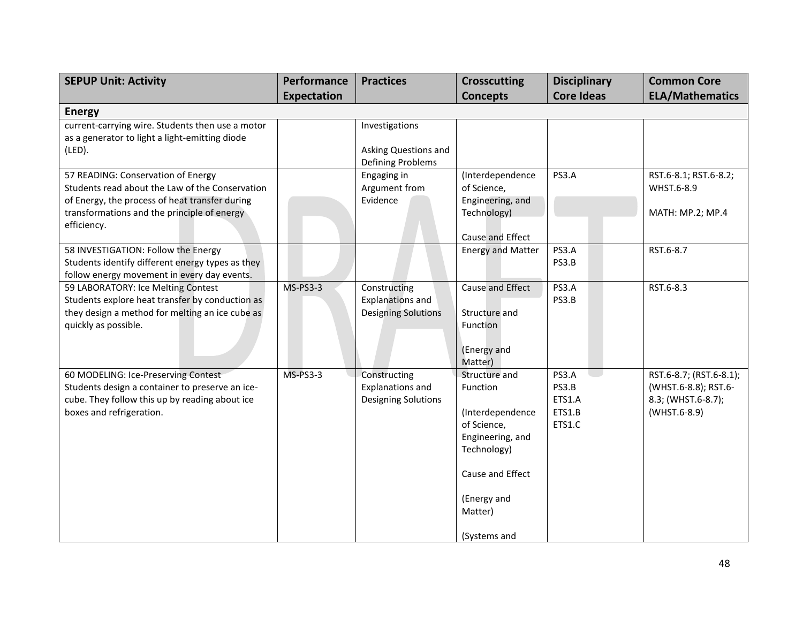| <b>SEPUP Unit: Activity</b>                                                                                                                                                                           | Performance        | <b>Practices</b>                                                      | <b>Crosscutting</b>                                                                                                                                           | <b>Disciplinary</b>                          | <b>Common Core</b>                                                                    |
|-------------------------------------------------------------------------------------------------------------------------------------------------------------------------------------------------------|--------------------|-----------------------------------------------------------------------|---------------------------------------------------------------------------------------------------------------------------------------------------------------|----------------------------------------------|---------------------------------------------------------------------------------------|
|                                                                                                                                                                                                       | <b>Expectation</b> |                                                                       | <b>Concepts</b>                                                                                                                                               | <b>Core Ideas</b>                            | <b>ELA/Mathematics</b>                                                                |
| <b>Energy</b>                                                                                                                                                                                         |                    |                                                                       |                                                                                                                                                               |                                              |                                                                                       |
| current-carrying wire. Students then use a motor<br>as a generator to light a light-emitting diode<br>(LED).                                                                                          |                    | Investigations<br>Asking Questions and                                |                                                                                                                                                               |                                              |                                                                                       |
| 57 READING: Conservation of Energy<br>Students read about the Law of the Conservation<br>of Energy, the process of heat transfer during<br>transformations and the principle of energy<br>efficiency. |                    | Defining Problems<br>Engaging in<br>Argument from<br>Evidence         | (Interdependence<br>of Science,<br>Engineering, and<br>Technology)<br>Cause and Effect                                                                        | PS3.A                                        | RST.6-8.1; RST.6-8.2;<br>WHST.6-8.9<br>MATH: MP.2; MP.4                               |
| 58 INVESTIGATION: Follow the Energy<br>Students identify different energy types as they<br>follow energy movement in every day events.                                                                |                    |                                                                       | <b>Energy and Matter</b>                                                                                                                                      | PS3.A<br>PS3.B                               | RST.6-8.7                                                                             |
| 59 LABORATORY: Ice Melting Contest<br>Students explore heat transfer by conduction as<br>they design a method for melting an ice cube as<br>quickly as possible.                                      | <b>MS-PS3-3</b>    | Constructing<br><b>Explanations and</b><br><b>Designing Solutions</b> | Cause and Effect<br>Structure and<br>Function<br>(Energy and<br>Matter)                                                                                       | PS3.A<br>PS3.B                               | RST.6-8.3                                                                             |
| 60 MODELING: Ice-Preserving Contest<br>Students design a container to preserve an ice-<br>cube. They follow this up by reading about ice<br>boxes and refrigeration.                                  | MS-PS3-3           | Constructing<br><b>Explanations and</b><br><b>Designing Solutions</b> | Structure and<br>Function<br>(Interdependence<br>of Science,<br>Engineering, and<br>Technology)<br>Cause and Effect<br>(Energy and<br>Matter)<br>(Systems and | PS3.A<br>PS3.B<br>ETS1.A<br>ETS1.B<br>ETS1.C | RST.6-8.7; (RST.6-8.1);<br>(WHST.6-8.8); RST.6-<br>8.3; (WHST.6-8.7);<br>(WHST.6-8.9) |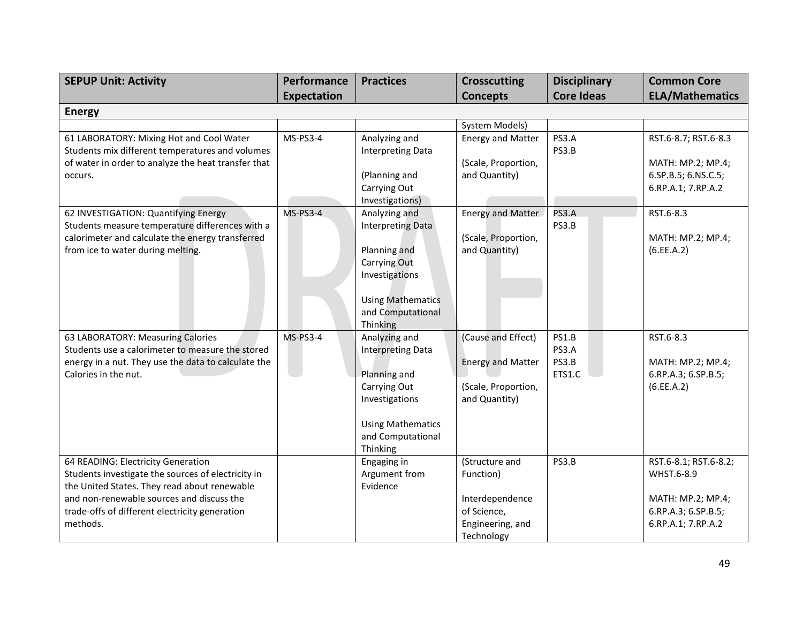| <b>SEPUP Unit: Activity</b>                                                                 | Performance        | <b>Practices</b>                          | <b>Crosscutting</b>      | <b>Disciplinary</b> | <b>Common Core</b>     |
|---------------------------------------------------------------------------------------------|--------------------|-------------------------------------------|--------------------------|---------------------|------------------------|
|                                                                                             | <b>Expectation</b> |                                           | <b>Concepts</b>          | <b>Core Ideas</b>   | <b>ELA/Mathematics</b> |
| <b>Energy</b>                                                                               |                    |                                           |                          |                     |                        |
|                                                                                             |                    |                                           | System Models)           |                     |                        |
| 61 LABORATORY: Mixing Hot and Cool Water<br>Students mix different temperatures and volumes | MS-PS3-4           | Analyzing and<br><b>Interpreting Data</b> | <b>Energy and Matter</b> | PS3.A<br>PS3.B      | RST.6-8.7; RST.6-8.3   |
| of water in order to analyze the heat transfer that                                         |                    |                                           | (Scale, Proportion,      |                     | MATH: MP.2; MP.4;      |
| occurs.                                                                                     |                    | (Planning and                             | and Quantity)            |                     | 6.SP.B.5; 6.NS.C.5;    |
|                                                                                             |                    | Carrying Out                              |                          |                     | 6.RP.A.1; 7.RP.A.2     |
|                                                                                             |                    | Investigations)                           |                          |                     |                        |
| 62 INVESTIGATION: Quantifying Energy                                                        | <b>MS-PS3-4</b>    | Analyzing and                             | <b>Energy and Matter</b> | PS3.A               | RST.6-8.3              |
| Students measure temperature differences with a                                             |                    | Interpreting Data                         |                          | PS3.B               |                        |
| calorimeter and calculate the energy transferred                                            |                    |                                           | (Scale, Proportion,      |                     | MATH: MP.2; MP.4;      |
| from ice to water during melting.                                                           |                    | Planning and<br>Carrying Out              | and Quantity)            |                     | (6.EE.A.2)             |
|                                                                                             |                    | Investigations                            |                          |                     |                        |
|                                                                                             |                    |                                           |                          |                     |                        |
|                                                                                             |                    | <b>Using Mathematics</b>                  |                          |                     |                        |
|                                                                                             |                    | and Computational                         |                          |                     |                        |
|                                                                                             |                    | Thinking                                  |                          |                     |                        |
| 63 LABORATORY: Measuring Calories                                                           | <b>MS-PS3-4</b>    | Analyzing and                             | (Cause and Effect)       | PS1.B               | RST.6-8.3              |
| Students use a calorimeter to measure the stored                                            |                    | <b>Interpreting Data</b>                  |                          | PS3.A               |                        |
| energy in a nut. They use the data to calculate the                                         |                    |                                           | <b>Energy and Matter</b> | PS3.B               | MATH: MP.2; MP.4;      |
| Calories in the nut.                                                                        |                    | Planning and                              |                          | ETS1.C              | 6.RP.A.3; 6.SP.B.5;    |
|                                                                                             |                    | Carrying Out                              | (Scale, Proportion,      |                     | (6.EE.A.2)             |
|                                                                                             |                    | Investigations                            | and Quantity)            |                     |                        |
|                                                                                             |                    | <b>Using Mathematics</b>                  |                          |                     |                        |
|                                                                                             |                    | and Computational                         |                          |                     |                        |
|                                                                                             |                    | Thinking                                  |                          |                     |                        |
| 64 READING: Electricity Generation                                                          |                    | Engaging in                               | (Structure and           | PS3.B               | RST.6-8.1; RST.6-8.2;  |
| Students investigate the sources of electricity in                                          |                    | Argument from                             | Function)                |                     | WHST.6-8.9             |
| the United States. They read about renewable                                                |                    | Evidence                                  |                          |                     |                        |
| and non-renewable sources and discuss the                                                   |                    |                                           | Interdependence          |                     | MATH: MP.2; MP.4;      |
| trade-offs of different electricity generation                                              |                    |                                           | of Science,              |                     | 6.RP.A.3; 6.SP.B.5;    |
| methods.                                                                                    |                    |                                           | Engineering, and         |                     | 6.RP.A.1; 7.RP.A.2     |
|                                                                                             |                    |                                           | Technology               |                     |                        |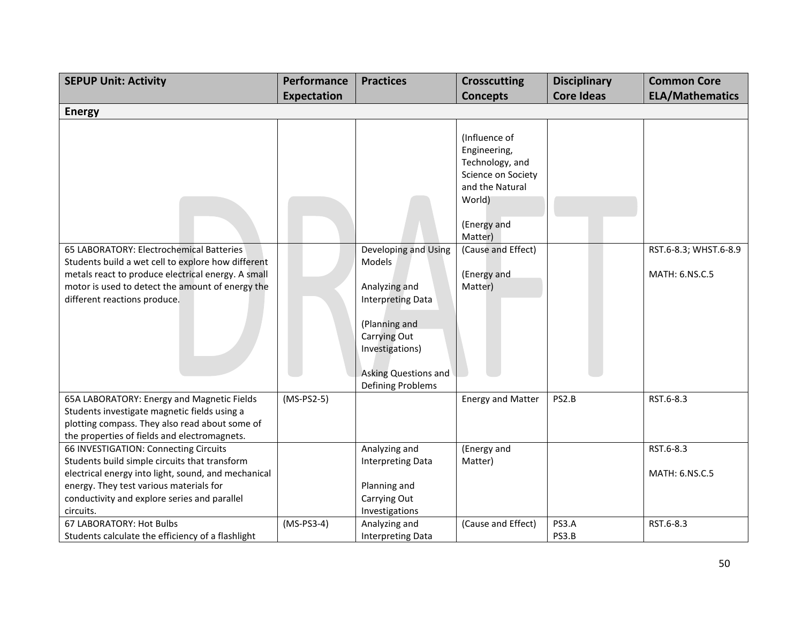| <b>SEPUP Unit: Activity</b>                                                                                                                                                                                                                           | Performance        | <b>Practices</b>                                                                                                                                                             | <b>Crosscutting</b>                                                                                                           | <b>Disciplinary</b> | <b>Common Core</b>                      |
|-------------------------------------------------------------------------------------------------------------------------------------------------------------------------------------------------------------------------------------------------------|--------------------|------------------------------------------------------------------------------------------------------------------------------------------------------------------------------|-------------------------------------------------------------------------------------------------------------------------------|---------------------|-----------------------------------------|
|                                                                                                                                                                                                                                                       | <b>Expectation</b> |                                                                                                                                                                              | <b>Concepts</b>                                                                                                               | <b>Core Ideas</b>   | <b>ELA/Mathematics</b>                  |
| <b>Energy</b>                                                                                                                                                                                                                                         |                    |                                                                                                                                                                              |                                                                                                                               |                     |                                         |
|                                                                                                                                                                                                                                                       |                    |                                                                                                                                                                              | (Influence of<br>Engineering,<br>Technology, and<br>Science on Society<br>and the Natural<br>World)<br>(Energy and<br>Matter) |                     |                                         |
| 65 LABORATORY: Electrochemical Batteries<br>Students build a wet cell to explore how different<br>metals react to produce electrical energy. A small<br>motor is used to detect the amount of energy the<br>different reactions produce.              |                    | Developing and Using<br>Models<br>Analyzing and<br><b>Interpreting Data</b><br>(Planning and<br>Carrying Out<br>Investigations)<br>Asking Questions and<br>Defining Problems | (Cause and Effect)<br>(Energy and<br>Matter)                                                                                  |                     | RST.6-8.3; WHST.6-8.9<br>MATH: 6.NS.C.5 |
| 65A LABORATORY: Energy and Magnetic Fields<br>Students investigate magnetic fields using a<br>plotting compass. They also read about some of<br>the properties of fields and electromagnets.                                                          | $(MS-PS2-5)$       |                                                                                                                                                                              | <b>Energy and Matter</b>                                                                                                      | PS2.B               | RST.6-8.3                               |
| 66 INVESTIGATION: Connecting Circuits<br>Students build simple circuits that transform<br>electrical energy into light, sound, and mechanical<br>energy. They test various materials for<br>conductivity and explore series and parallel<br>circuits. |                    | Analyzing and<br><b>Interpreting Data</b><br>Planning and<br>Carrying Out<br>Investigations                                                                                  | (Energy and<br>Matter)                                                                                                        |                     | RST.6-8.3<br>MATH: 6.NS.C.5             |
| 67 LABORATORY: Hot Bulbs<br>Students calculate the efficiency of a flashlight                                                                                                                                                                         | $(MS-PS3-4)$       | Analyzing and<br><b>Interpreting Data</b>                                                                                                                                    | (Cause and Effect)                                                                                                            | PS3.A<br>PS3.B      | RST.6-8.3                               |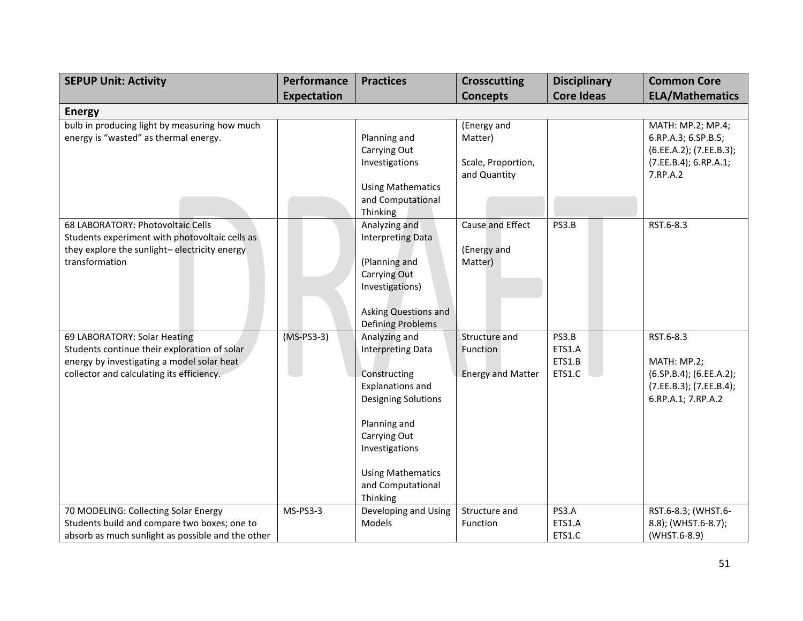| <b>SEPUP Unit: Activity</b>                                                                                                                                             | Performance        | <b>Practices</b>                                                                                                                                                                                                                  | <b>Crosscutting</b>                                          | <b>Disciplinary</b>                 | <b>Common Core</b>                                                                                         |
|-------------------------------------------------------------------------------------------------------------------------------------------------------------------------|--------------------|-----------------------------------------------------------------------------------------------------------------------------------------------------------------------------------------------------------------------------------|--------------------------------------------------------------|-------------------------------------|------------------------------------------------------------------------------------------------------------|
|                                                                                                                                                                         | <b>Expectation</b> |                                                                                                                                                                                                                                   | <b>Concepts</b>                                              | <b>Core Ideas</b>                   | <b>ELA/Mathematics</b>                                                                                     |
| <b>Energy</b>                                                                                                                                                           |                    |                                                                                                                                                                                                                                   |                                                              |                                     |                                                                                                            |
| bulb in producing light by measuring how much<br>energy is "wasted" as thermal energy.                                                                                  |                    | Planning and<br>Carrying Out<br>Investigations<br><b>Using Mathematics</b>                                                                                                                                                        | (Energy and<br>Matter)<br>Scale, Proportion,<br>and Quantity |                                     | MATH: MP.2; MP.4;<br>6.RP.A.3; 6.SP.B.5;<br>(6.EE.A.2); (7.EE.B.3);<br>(7.EE.B.4); 6.RP.A.1;<br>7.RP.A.2   |
|                                                                                                                                                                         |                    | and Computational<br>Thinking                                                                                                                                                                                                     |                                                              |                                     |                                                                                                            |
| 68 LABORATORY: Photovoltaic Cells<br>Students experiment with photovoltaic cells as<br>they explore the sunlight-electricity energy<br>transformation                   |                    | Analyzing and<br><b>Interpreting Data</b><br>(Planning and<br>Carrying Out<br>Investigations)<br><b>Asking Questions and</b><br><b>Defining Problems</b>                                                                          | Cause and Effect<br>(Energy and<br>Matter)                   | PS3.B                               | RST.6-8.3                                                                                                  |
| 69 LABORATORY: Solar Heating<br>Students continue their exploration of solar<br>energy by investigating a model solar heat<br>collector and calculating its efficiency. | $(MS-PS3-3)$       | Analyzing and<br><b>Interpreting Data</b><br>Constructing<br><b>Explanations and</b><br><b>Designing Solutions</b><br>Planning and<br>Carrying Out<br>Investigations<br><b>Using Mathematics</b><br>and Computational<br>Thinking | Structure and<br>Function<br><b>Energy and Matter</b>        | PS3.B<br>ETS1.A<br>ETS1.B<br>ETS1.C | RST.6-8.3<br>MATH: MP.2;<br>$(6.5P.B.4)$ ; $(6.EE.A.2)$ ;<br>(7.EE.B.3); (7.EE.B.4);<br>6.RP.A.1; 7.RP.A.2 |
| 70 MODELING: Collecting Solar Energy<br>Students build and compare two boxes; one to<br>absorb as much sunlight as possible and the other                               | MS-PS3-3           | Developing and Using<br>Models                                                                                                                                                                                                    | Structure and<br>Function                                    | PS3.A<br>ETS1.A<br>ETS1.C           | RST.6-8.3; (WHST.6-<br>8.8); (WHST.6-8.7);<br>(WHST.6-8.9)                                                 |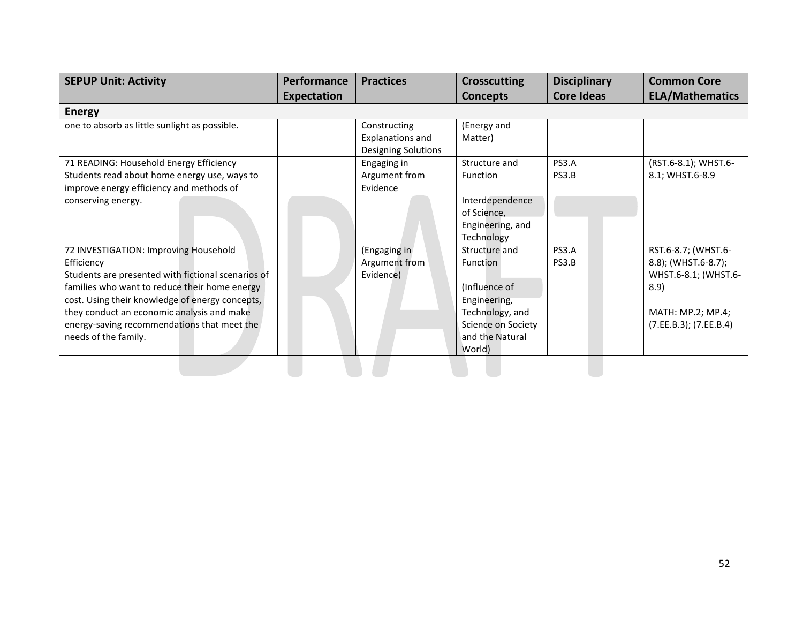| <b>SEPUP Unit: Activity</b>                                                                                                                                                                                                                                                                                                        | Performance        | <b>Practices</b>                                                      | <b>Crosscutting</b>                                                                                                                            | <b>Disciplinary</b> | <b>Common Core</b>                                                                                                        |
|------------------------------------------------------------------------------------------------------------------------------------------------------------------------------------------------------------------------------------------------------------------------------------------------------------------------------------|--------------------|-----------------------------------------------------------------------|------------------------------------------------------------------------------------------------------------------------------------------------|---------------------|---------------------------------------------------------------------------------------------------------------------------|
|                                                                                                                                                                                                                                                                                                                                    | <b>Expectation</b> |                                                                       | <b>Concepts</b>                                                                                                                                | <b>Core Ideas</b>   | <b>ELA/Mathematics</b>                                                                                                    |
| <b>Energy</b>                                                                                                                                                                                                                                                                                                                      |                    |                                                                       |                                                                                                                                                |                     |                                                                                                                           |
| one to absorb as little sunlight as possible.                                                                                                                                                                                                                                                                                      |                    | Constructing<br><b>Explanations and</b><br><b>Designing Solutions</b> | (Energy and<br>Matter)                                                                                                                         |                     |                                                                                                                           |
| 71 READING: Household Energy Efficiency<br>Students read about home energy use, ways to<br>improve energy efficiency and methods of                                                                                                                                                                                                |                    | Engaging in<br>Argument from<br>Evidence                              | Structure and<br>Function                                                                                                                      | PS3.A<br>PS3.B      | (RST.6-8.1); WHST.6-<br>8.1; WHST.6-8.9                                                                                   |
| conserving energy.                                                                                                                                                                                                                                                                                                                 |                    |                                                                       | Interdependence<br>of Science,<br>Engineering, and<br>Technology                                                                               |                     |                                                                                                                           |
| 72 INVESTIGATION: Improving Household<br>Efficiency<br>Students are presented with fictional scenarios of<br>families who want to reduce their home energy<br>cost. Using their knowledge of energy concepts,<br>they conduct an economic analysis and make<br>energy-saving recommendations that meet the<br>needs of the family. |                    | (Engaging in<br>Argument from<br>Evidence)                            | Structure and<br><b>Function</b><br>(Influence of<br>Engineering,<br>Technology, and<br><b>Science on Society</b><br>and the Natural<br>World) | PS3.A<br>PS3.B      | RST.6-8.7; (WHST.6-<br>8.8); (WHST.6-8.7);<br>WHST.6-8.1; (WHST.6-<br>8.9)<br>MATH: MP.2; MP.4;<br>(7.EE.B.3); (7.EE.B.4) |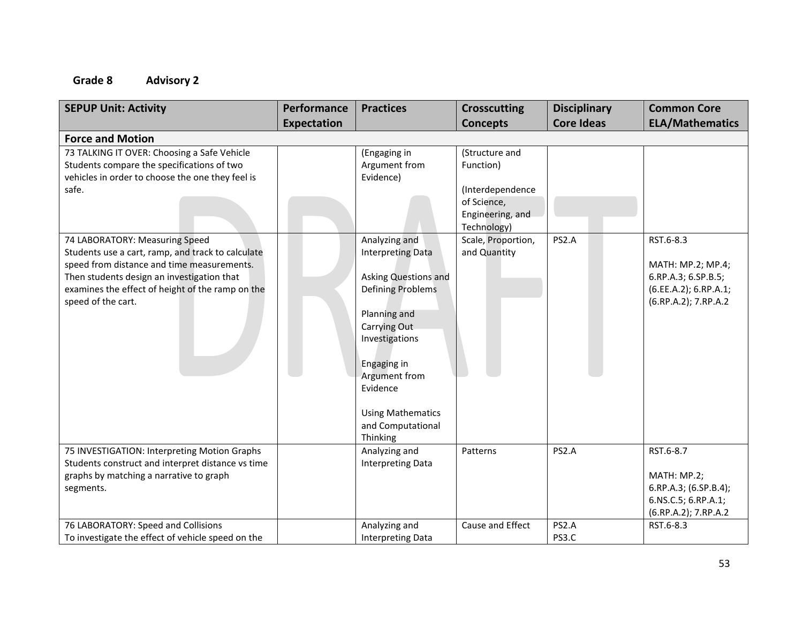| <b>SEPUP Unit: Activity</b>                                                                       | Performance        | <b>Practices</b>                          | <b>Crosscutting</b>             | <b>Disciplinary</b> | <b>Common Core</b>                            |
|---------------------------------------------------------------------------------------------------|--------------------|-------------------------------------------|---------------------------------|---------------------|-----------------------------------------------|
| <b>Force and Motion</b>                                                                           | <b>Expectation</b> |                                           | <b>Concepts</b>                 | <b>Core Ideas</b>   | <b>ELA/Mathematics</b>                        |
| 73 TALKING IT OVER: Choosing a Safe Vehicle                                                       |                    | (Engaging in                              | (Structure and                  |                     |                                               |
| Students compare the specifications of two<br>vehicles in order to choose the one they feel is    |                    | Argument from<br>Evidence)                | Function)                       |                     |                                               |
| safe.                                                                                             |                    |                                           | (Interdependence                |                     |                                               |
|                                                                                                   |                    |                                           | of Science,<br>Engineering, and |                     |                                               |
|                                                                                                   |                    |                                           | Technology)                     |                     |                                               |
| 74 LABORATORY: Measuring Speed                                                                    |                    | Analyzing and                             | Scale, Proportion,              | PS2.A               | RST.6-8.3                                     |
| Students use a cart, ramp, and track to calculate<br>speed from distance and time measurements.   |                    | <b>Interpreting Data</b>                  | and Quantity                    |                     | MATH: MP.2; MP.4;                             |
| Then students design an investigation that                                                        |                    | Asking Questions and                      |                                 |                     | 6.RP.A.3; 6.SP.B.5;                           |
| examines the effect of height of the ramp on the<br>speed of the cart.                            |                    | <b>Defining Problems</b>                  |                                 |                     | (6.EE.A.2); 6.RP.A.1;<br>(6.RP.A.2); 7.RP.A.2 |
|                                                                                                   |                    | Planning and                              |                                 |                     |                                               |
|                                                                                                   |                    | Carrying Out                              |                                 |                     |                                               |
|                                                                                                   |                    | Investigations                            |                                 |                     |                                               |
|                                                                                                   |                    | Engaging in                               |                                 |                     |                                               |
|                                                                                                   |                    | Argument from                             |                                 |                     |                                               |
|                                                                                                   |                    | Evidence                                  |                                 |                     |                                               |
|                                                                                                   |                    | <b>Using Mathematics</b>                  |                                 |                     |                                               |
|                                                                                                   |                    | and Computational                         |                                 |                     |                                               |
|                                                                                                   |                    | Thinking                                  |                                 | PS2.A               | RST.6-8.7                                     |
| 75 INVESTIGATION: Interpreting Motion Graphs<br>Students construct and interpret distance vs time |                    | Analyzing and<br><b>Interpreting Data</b> | Patterns                        |                     |                                               |
| graphs by matching a narrative to graph                                                           |                    |                                           |                                 |                     | MATH: MP.2;                                   |
| segments.                                                                                         |                    |                                           |                                 |                     | 6.RP.A.3; (6.SP.B.4);                         |
|                                                                                                   |                    |                                           |                                 |                     | 6.NS.C.5; 6.RP.A.1;                           |
|                                                                                                   |                    |                                           |                                 |                     | (6.RP.A.2); 7.RP.A.2                          |
| 76 LABORATORY: Speed and Collisions                                                               |                    | Analyzing and                             | Cause and Effect                | PS2.A               | RST.6-8.3                                     |
| To investigate the effect of vehicle speed on the                                                 |                    | <b>Interpreting Data</b>                  |                                 | PS3.C               |                                               |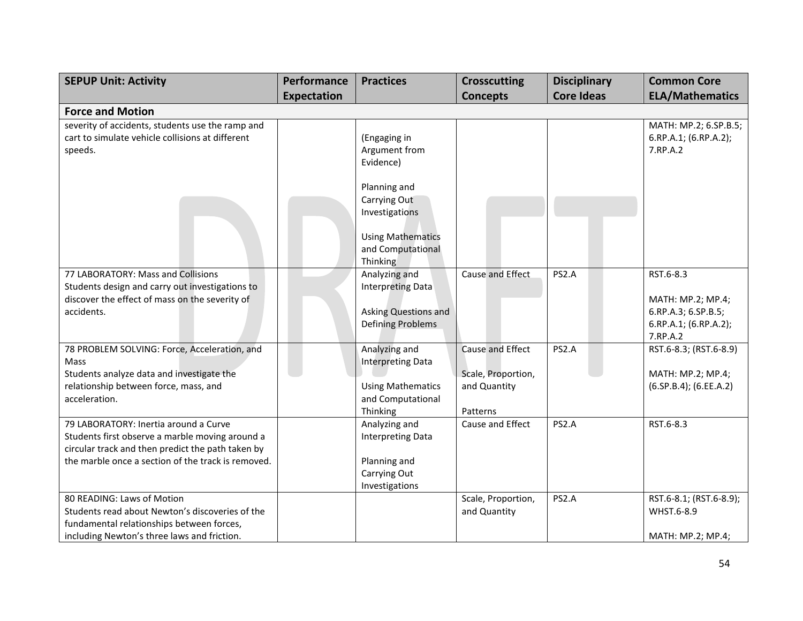| <b>SEPUP Unit: Activity</b>                                                                                                                                                                         | Performance | <b>Practices</b>                                                                                            | <b>Crosscutting</b>                                                | <b>Disciplinary</b> | <b>Common Core</b>                                                                         |
|-----------------------------------------------------------------------------------------------------------------------------------------------------------------------------------------------------|-------------|-------------------------------------------------------------------------------------------------------------|--------------------------------------------------------------------|---------------------|--------------------------------------------------------------------------------------------|
|                                                                                                                                                                                                     | Expectation |                                                                                                             | <b>Concepts</b>                                                    | <b>Core Ideas</b>   | <b>ELA/Mathematics</b>                                                                     |
| <b>Force and Motion</b>                                                                                                                                                                             |             |                                                                                                             |                                                                    |                     |                                                                                            |
| severity of accidents, students use the ramp and<br>cart to simulate vehicle collisions at different<br>speeds.                                                                                     |             | (Engaging in<br>Argument from<br>Evidence)                                                                  |                                                                    |                     | MATH: MP.2; 6.SP.B.5;<br>6.RP.A.1; (6.RP.A.2);<br>7.RP.A.2                                 |
|                                                                                                                                                                                                     |             | Planning and<br>Carrying Out<br>Investigations<br><b>Using Mathematics</b><br>and Computational<br>Thinking |                                                                    |                     |                                                                                            |
| 77 LABORATORY: Mass and Collisions<br>Students design and carry out investigations to<br>discover the effect of mass on the severity of<br>accidents.                                               |             | Analyzing and<br><b>Interpreting Data</b><br>Asking Questions and<br><b>Defining Problems</b>               | Cause and Effect                                                   | PS2.A               | RST.6-8.3<br>MATH: MP.2; MP.4;<br>6.RP.A.3; 6.SP.B.5;<br>6.RP.A.1; (6.RP.A.2);<br>7.RP.A.2 |
| 78 PROBLEM SOLVING: Force, Acceleration, and<br>Mass<br>Students analyze data and investigate the<br>relationship between force, mass, and<br>acceleration.                                         |             | Analyzing and<br><b>Interpreting Data</b><br><b>Using Mathematics</b><br>and Computational<br>Thinking      | Cause and Effect<br>Scale, Proportion,<br>and Quantity<br>Patterns | PS2.A               | RST.6-8.3; (RST.6-8.9)<br>MATH: MP.2; MP.4;<br>(6.SP.B.4); (6.EE.A.2)                      |
| 79 LABORATORY: Inertia around a Curve<br>Students first observe a marble moving around a<br>circular track and then predict the path taken by<br>the marble once a section of the track is removed. |             | Analyzing and<br><b>Interpreting Data</b><br>Planning and<br>Carrying Out<br>Investigations                 | Cause and Effect                                                   | PS2.A               | RST.6-8.3                                                                                  |
| 80 READING: Laws of Motion<br>Students read about Newton's discoveries of the<br>fundamental relationships between forces,<br>including Newton's three laws and friction.                           |             |                                                                                                             | Scale, Proportion,<br>and Quantity                                 | PS2.A               | RST.6-8.1; (RST.6-8.9);<br>WHST.6-8.9<br>MATH: MP.2; MP.4;                                 |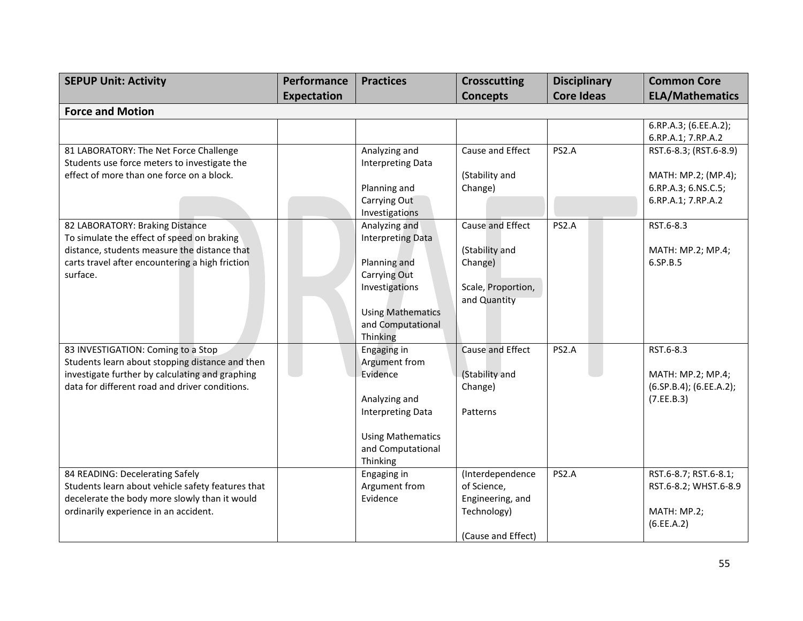| <b>SEPUP Unit: Activity</b>                                                                                                                                                                  | Performance        | <b>Practices</b>                                                                                                                                         | <b>Crosscutting</b>                                                                      | <b>Disciplinary</b> | <b>Common Core</b>                                                                         |
|----------------------------------------------------------------------------------------------------------------------------------------------------------------------------------------------|--------------------|----------------------------------------------------------------------------------------------------------------------------------------------------------|------------------------------------------------------------------------------------------|---------------------|--------------------------------------------------------------------------------------------|
|                                                                                                                                                                                              | <b>Expectation</b> |                                                                                                                                                          | <b>Concepts</b>                                                                          | <b>Core Ideas</b>   | <b>ELA/Mathematics</b>                                                                     |
| <b>Force and Motion</b>                                                                                                                                                                      |                    |                                                                                                                                                          |                                                                                          |                     |                                                                                            |
|                                                                                                                                                                                              |                    |                                                                                                                                                          |                                                                                          |                     | 6.RP.A.3; (6.EE.A.2);<br>6.RP.A.1; 7.RP.A.2                                                |
| 81 LABORATORY: The Net Force Challenge<br>Students use force meters to investigate the<br>effect of more than one force on a block.                                                          |                    | Analyzing and<br><b>Interpreting Data</b><br>Planning and<br>Carrying Out<br>Investigations                                                              | Cause and Effect<br>(Stability and<br>Change)                                            | PS2.A               | RST.6-8.3; (RST.6-8.9)<br>MATH: MP.2; (MP.4);<br>6.RP.A.3; 6.NS.C.5;<br>6.RP.A.1; 7.RP.A.2 |
| 82 LABORATORY: Braking Distance<br>To simulate the effect of speed on braking<br>distance, students measure the distance that<br>carts travel after encountering a high friction<br>surface. |                    | Analyzing and<br><b>Interpreting Data</b><br>Planning and<br>Carrying Out<br>Investigations<br><b>Using Mathematics</b><br>and Computational<br>Thinking | Cause and Effect<br>(Stability and<br>Change)<br>Scale, Proportion,<br>and Quantity      | PS2.A               | RST.6-8.3<br>MATH: MP.2; MP.4;<br>6.SP.B.5                                                 |
| 83 INVESTIGATION: Coming to a Stop<br>Students learn about stopping distance and then<br>investigate further by calculating and graphing<br>data for different road and driver conditions.   |                    | Engaging in<br>Argument from<br>Evidence<br>Analyzing and<br><b>Interpreting Data</b><br><b>Using Mathematics</b><br>and Computational<br>Thinking       | Cause and Effect<br>(Stability and<br>Change)<br>Patterns                                | PS2.A               | RST.6-8.3<br>MATH: MP.2; MP.4;<br>$(6.5P.B.4)$ ; $(6.EE.A.2)$ ;<br>(7.EE.B.3)              |
| 84 READING: Decelerating Safely<br>Students learn about vehicle safety features that<br>decelerate the body more slowly than it would<br>ordinarily experience in an accident.               |                    | Engaging in<br>Argument from<br>Evidence                                                                                                                 | (Interdependence<br>of Science,<br>Engineering, and<br>Technology)<br>(Cause and Effect) | PS2.A               | RST.6-8.7; RST.6-8.1;<br>RST.6-8.2; WHST.6-8.9<br>MATH: MP.2;<br>(6.EE.A.2)                |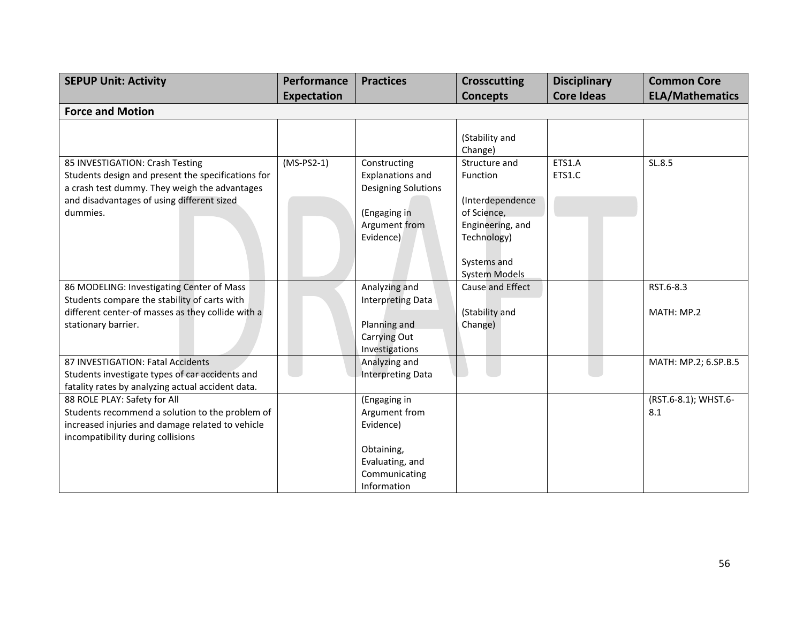| <b>SEPUP Unit: Activity</b>                                                                                                                                                                      | Performance<br><b>Expectation</b> | <b>Practices</b>                                                                                             | <b>Crosscutting</b><br><b>Concepts</b>                                                          | <b>Disciplinary</b><br><b>Core Ideas</b> | <b>Common Core</b><br><b>ELA/Mathematics</b> |
|--------------------------------------------------------------------------------------------------------------------------------------------------------------------------------------------------|-----------------------------------|--------------------------------------------------------------------------------------------------------------|-------------------------------------------------------------------------------------------------|------------------------------------------|----------------------------------------------|
| <b>Force and Motion</b>                                                                                                                                                                          |                                   |                                                                                                              |                                                                                                 |                                          |                                              |
|                                                                                                                                                                                                  |                                   |                                                                                                              | (Stability and<br>Change)                                                                       |                                          |                                              |
| 85 INVESTIGATION: Crash Testing<br>Students design and present the specifications for<br>a crash test dummy. They weigh the advantages<br>and disadvantages of using different sized<br>dummies. | $(MS-PS2-1)$                      | Constructing<br><b>Explanations and</b><br>Designing Solutions<br>(Engaging in<br>Argument from<br>Evidence) | Structure and<br>Function<br>(Interdependence<br>of Science,<br>Engineering, and<br>Technology) | ETS1.A<br>ETS1.C                         | SL.8.5                                       |
|                                                                                                                                                                                                  |                                   |                                                                                                              | Systems and<br><b>System Models</b>                                                             |                                          |                                              |
| 86 MODELING: Investigating Center of Mass<br>Students compare the stability of carts with<br>different center-of masses as they collide with a<br>stationary barrier.                            |                                   | Analyzing and<br><b>Interpreting Data</b><br>Planning and<br>Carrying Out<br>Investigations                  | Cause and Effect<br>(Stability and<br>Change)                                                   |                                          | RST.6-8.3<br>MATH: MP.2                      |
| 87 INVESTIGATION: Fatal Accidents<br>Students investigate types of car accidents and<br>fatality rates by analyzing actual accident data.                                                        |                                   | Analyzing and<br><b>Interpreting Data</b>                                                                    |                                                                                                 |                                          | MATH: MP.2; 6.SP.B.5                         |
| 88 ROLE PLAY: Safety for All<br>Students recommend a solution to the problem of<br>increased injuries and damage related to vehicle<br>incompatibility during collisions                         |                                   | (Engaging in<br>Argument from<br>Evidence)<br>Obtaining,<br>Evaluating, and<br>Communicating<br>Information  |                                                                                                 |                                          | (RST.6-8.1); WHST.6-<br>8.1                  |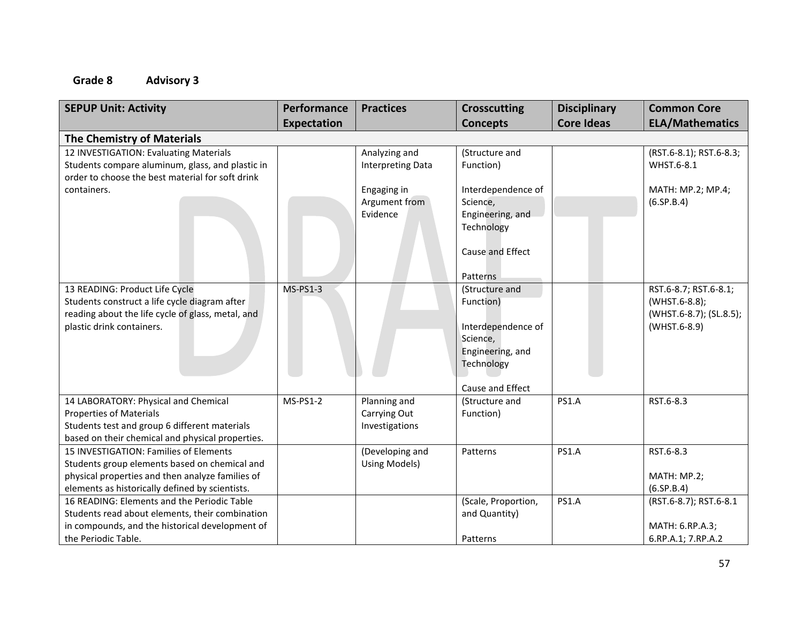| <b>SEPUP Unit: Activity</b>                       | Performance        | <b>Practices</b>         | <b>Crosscutting</b> | <b>Disciplinary</b> | <b>Common Core</b>      |
|---------------------------------------------------|--------------------|--------------------------|---------------------|---------------------|-------------------------|
|                                                   | <b>Expectation</b> |                          | <b>Concepts</b>     | <b>Core Ideas</b>   | <b>ELA/Mathematics</b>  |
| <b>The Chemistry of Materials</b>                 |                    |                          |                     |                     |                         |
| 12 INVESTIGATION: Evaluating Materials            |                    | Analyzing and            | (Structure and      |                     | (RST.6-8.1); RST.6-8.3; |
| Students compare aluminum, glass, and plastic in  |                    | <b>Interpreting Data</b> | Function)           |                     | WHST.6-8.1              |
| order to choose the best material for soft drink  |                    |                          |                     |                     |                         |
| containers.                                       |                    | Engaging in              | Interdependence of  |                     | MATH: MP.2; MP.4;       |
|                                                   |                    | Argument from            | Science,            |                     | (6.5P.B.4)              |
|                                                   |                    | Evidence                 | Engineering, and    |                     |                         |
|                                                   |                    |                          | Technology          |                     |                         |
|                                                   |                    |                          |                     |                     |                         |
|                                                   |                    |                          | Cause and Effect    |                     |                         |
|                                                   |                    |                          | Patterns            |                     |                         |
| 13 READING: Product Life Cycle                    | <b>MS-PS1-3</b>    |                          | (Structure and      |                     | RST.6-8.7; RST.6-8.1;   |
| Students construct a life cycle diagram after     |                    |                          | Function)           |                     | (WHST.6-8.8);           |
| reading about the life cycle of glass, metal, and |                    |                          |                     |                     | (WHST.6-8.7); (SL.8.5); |
| plastic drink containers.                         |                    |                          | Interdependence of  |                     | (WHST.6-8.9)            |
|                                                   |                    |                          | Science,            |                     |                         |
|                                                   |                    |                          | Engineering, and    |                     |                         |
|                                                   |                    |                          | Technology          |                     |                         |
|                                                   |                    |                          | Cause and Effect    |                     |                         |
| 14 LABORATORY: Physical and Chemical              | <b>MS-PS1-2</b>    | Planning and             | (Structure and      | <b>PS1.A</b>        | RST.6-8.3               |
| <b>Properties of Materials</b>                    |                    | Carrying Out             | Function)           |                     |                         |
| Students test and group 6 different materials     |                    | Investigations           |                     |                     |                         |
| based on their chemical and physical properties.  |                    |                          |                     |                     |                         |
| 15 INVESTIGATION: Families of Elements            |                    | (Developing and          | Patterns            | <b>PS1.A</b>        | RST.6-8.3               |
| Students group elements based on chemical and     |                    | Using Models)            |                     |                     |                         |
| physical properties and then analyze families of  |                    |                          |                     |                     | MATH: MP.2;             |
| elements as historically defined by scientists.   |                    |                          |                     |                     | (6.5P.B.4)              |
| 16 READING: Elements and the Periodic Table       |                    |                          | (Scale, Proportion, | <b>PS1.A</b>        | (RST.6-8.7); RST.6-8.1  |
| Students read about elements, their combination   |                    |                          | and Quantity)       |                     |                         |
| in compounds, and the historical development of   |                    |                          |                     |                     | MATH: 6.RP.A.3;         |
| the Periodic Table.                               |                    |                          | Patterns            |                     | 6.RP.A.1; 7.RP.A.2      |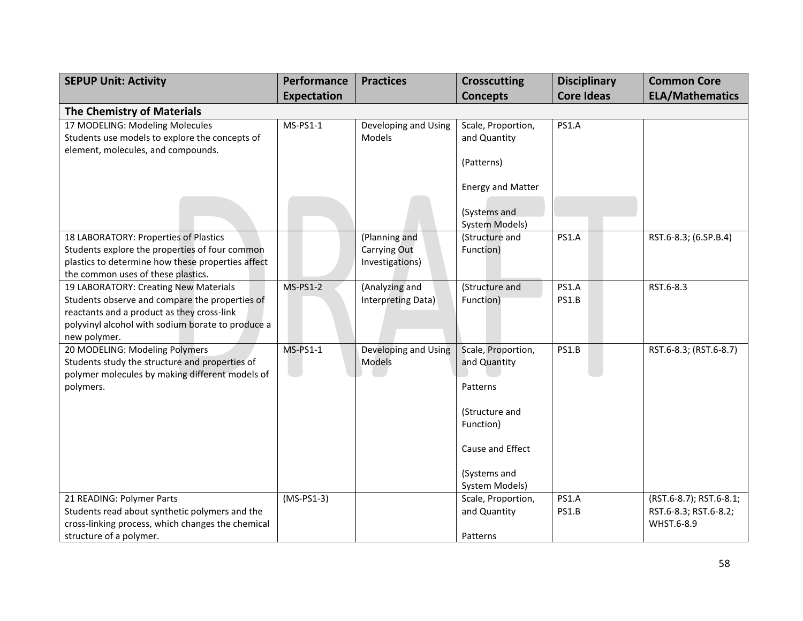| <b>SEPUP Unit: Activity</b>                                                             | Performance     | <b>Practices</b>                     | <b>Crosscutting</b>                | <b>Disciplinary</b> | <b>Common Core</b>      |
|-----------------------------------------------------------------------------------------|-----------------|--------------------------------------|------------------------------------|---------------------|-------------------------|
|                                                                                         | Expectation     |                                      | <b>Concepts</b>                    | <b>Core Ideas</b>   | <b>ELA/Mathematics</b>  |
| <b>The Chemistry of Materials</b>                                                       |                 |                                      |                                    |                     |                         |
| 17 MODELING: Modeling Molecules<br>Students use models to explore the concepts of       | $MS-PS1-1$      | Developing and Using<br>Models       | Scale, Proportion,<br>and Quantity | <b>PS1.A</b>        |                         |
| element, molecules, and compounds.                                                      |                 |                                      |                                    |                     |                         |
|                                                                                         |                 |                                      | (Patterns)                         |                     |                         |
|                                                                                         |                 |                                      | <b>Energy and Matter</b>           |                     |                         |
|                                                                                         |                 |                                      | (Systems and<br>System Models)     |                     |                         |
| 18 LABORATORY: Properties of Plastics                                                   |                 | (Planning and                        | (Structure and                     | <b>PS1.A</b>        | RST.6-8.3; (6.SP.B.4)   |
| Students explore the properties of four common                                          |                 | Carrying Out                         | Function)                          |                     |                         |
| plastics to determine how these properties affect                                       |                 | Investigations)                      |                                    |                     |                         |
| the common uses of these plastics.                                                      |                 |                                      |                                    |                     |                         |
| 19 LABORATORY: Creating New Materials<br>Students observe and compare the properties of | <b>MS-PS1-2</b> | (Analyzing and<br>Interpreting Data) | (Structure and<br>Function)        | PS1.A<br>PS1.B      | RST.6-8.3               |
| reactants and a product as they cross-link                                              |                 |                                      |                                    |                     |                         |
| polyvinyl alcohol with sodium borate to produce a                                       |                 |                                      |                                    |                     |                         |
| new polymer.                                                                            |                 |                                      |                                    |                     |                         |
| 20 MODELING: Modeling Polymers                                                          | MS-PS1-1        | Developing and Using                 | Scale, Proportion,                 | <b>PS1.B</b>        | RST.6-8.3; (RST.6-8.7)  |
| Students study the structure and properties of                                          |                 | Models                               | and Quantity                       |                     |                         |
| polymer molecules by making different models of                                         |                 |                                      |                                    |                     |                         |
| polymers.                                                                               |                 |                                      | Patterns                           |                     |                         |
|                                                                                         |                 |                                      | (Structure and                     |                     |                         |
|                                                                                         |                 |                                      | Function)                          |                     |                         |
|                                                                                         |                 |                                      |                                    |                     |                         |
|                                                                                         |                 |                                      | Cause and Effect                   |                     |                         |
|                                                                                         |                 |                                      | (Systems and                       |                     |                         |
|                                                                                         |                 |                                      | System Models)                     |                     |                         |
| 21 READING: Polymer Parts                                                               | $(MS-PS1-3)$    |                                      | Scale, Proportion,                 | <b>PS1.A</b>        | (RST.6-8.7); RST.6-8.1; |
| Students read about synthetic polymers and the                                          |                 |                                      | and Quantity                       | <b>PS1.B</b>        | RST.6-8.3; RST.6-8.2;   |
| cross-linking process, which changes the chemical                                       |                 |                                      |                                    |                     | WHST.6-8.9              |
| structure of a polymer.                                                                 |                 |                                      | Patterns                           |                     |                         |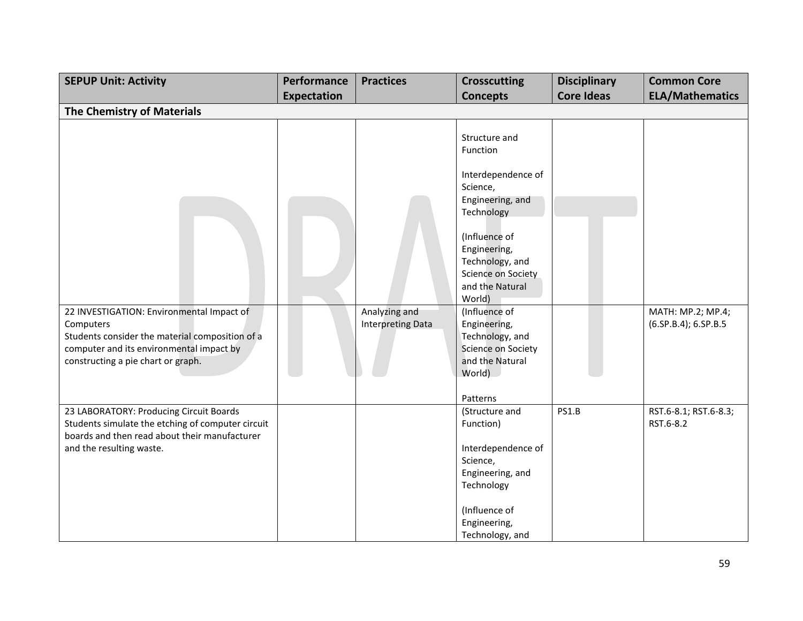| <b>SEPUP Unit: Activity</b>                                                                                                                                                                 | Performance        | <b>Practices</b>                          | <b>Crosscutting</b>                                                                                                                                                     | <b>Disciplinary</b> | <b>Common Core</b>                        |
|---------------------------------------------------------------------------------------------------------------------------------------------------------------------------------------------|--------------------|-------------------------------------------|-------------------------------------------------------------------------------------------------------------------------------------------------------------------------|---------------------|-------------------------------------------|
|                                                                                                                                                                                             | <b>Expectation</b> |                                           | <b>Concepts</b>                                                                                                                                                         | <b>Core Ideas</b>   | <b>ELA/Mathematics</b>                    |
| <b>The Chemistry of Materials</b>                                                                                                                                                           |                    |                                           |                                                                                                                                                                         |                     |                                           |
|                                                                                                                                                                                             |                    |                                           | Structure and<br>Function<br>Interdependence of<br>Science,<br>Engineering, and<br>Technology<br>(Influence of<br>Engineering,<br>Technology, and<br>Science on Society |                     |                                           |
|                                                                                                                                                                                             |                    |                                           | and the Natural<br>World)                                                                                                                                               |                     |                                           |
| 22 INVESTIGATION: Environmental Impact of<br>Computers<br>Students consider the material composition of a<br>computer and its environmental impact by<br>constructing a pie chart or graph. |                    | Analyzing and<br><b>Interpreting Data</b> | (Influence of<br>Engineering,<br>Technology, and<br>Science on Society<br>and the Natural<br>World)                                                                     |                     | MATH: MP.2; MP.4;<br>(6.SP.B.4); 6.SP.B.5 |
|                                                                                                                                                                                             |                    |                                           | Patterns                                                                                                                                                                |                     |                                           |
| 23 LABORATORY: Producing Circuit Boards<br>Students simulate the etching of computer circuit<br>boards and then read about their manufacturer<br>and the resulting waste.                   |                    |                                           | (Structure and<br>Function)<br>Interdependence of<br>Science,<br>Engineering, and<br>Technology                                                                         | PS1.B               | RST.6-8.1; RST.6-8.3;<br>RST.6-8.2        |
|                                                                                                                                                                                             |                    |                                           | (Influence of<br>Engineering,<br>Technology, and                                                                                                                        |                     |                                           |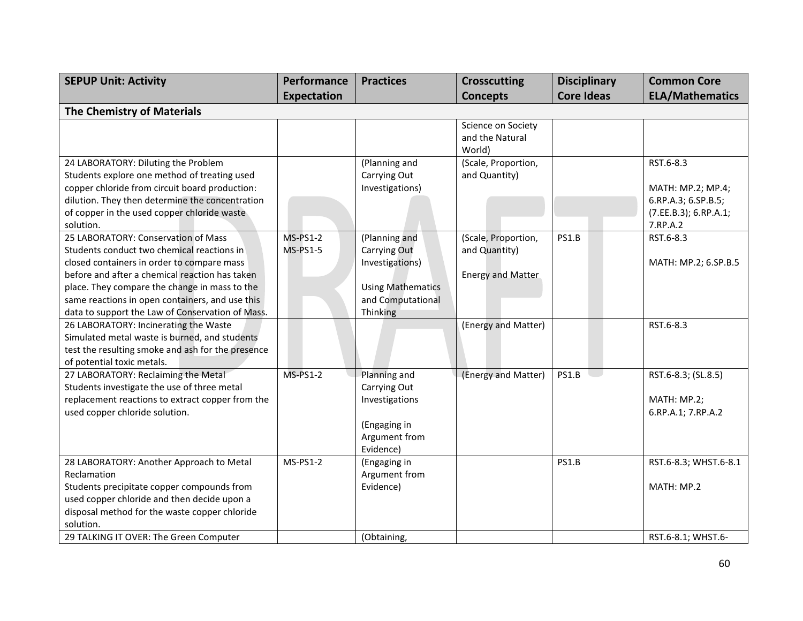| <b>SEPUP Unit: Activity</b>                       | Performance     | <b>Practices</b>         | <b>Crosscutting</b> | <b>Disciplinary</b> | <b>Common Core</b>     |  |  |
|---------------------------------------------------|-----------------|--------------------------|---------------------|---------------------|------------------------|--|--|
|                                                   | Expectation     |                          | <b>Concepts</b>     | <b>Core Ideas</b>   | <b>ELA/Mathematics</b> |  |  |
| <b>The Chemistry of Materials</b>                 |                 |                          |                     |                     |                        |  |  |
|                                                   |                 |                          | Science on Society  |                     |                        |  |  |
|                                                   |                 |                          | and the Natural     |                     |                        |  |  |
|                                                   |                 |                          | World)              |                     |                        |  |  |
| 24 LABORATORY: Diluting the Problem               |                 | (Planning and            | (Scale, Proportion, |                     | RST.6-8.3              |  |  |
| Students explore one method of treating used      |                 | Carrying Out             | and Quantity)       |                     |                        |  |  |
| copper chloride from circuit board production:    |                 | Investigations)          |                     |                     | MATH: MP.2; MP.4;      |  |  |
| dilution. They then determine the concentration   |                 |                          |                     |                     | 6.RP.A.3; 6.SP.B.5;    |  |  |
| of copper in the used copper chloride waste       |                 |                          |                     |                     | (7.EE.B.3); 6.RP.A.1;  |  |  |
| solution.                                         |                 |                          |                     |                     | 7.RP.A.2               |  |  |
| 25 LABORATORY: Conservation of Mass               | <b>MS-PS1-2</b> | (Planning and            | (Scale, Proportion, | <b>PS1.B</b>        | RST.6-8.3              |  |  |
| Students conduct two chemical reactions in        | <b>MS-PS1-5</b> | Carrying Out             | and Quantity)       |                     |                        |  |  |
| closed containers in order to compare mass        |                 | Investigations)          |                     |                     | MATH: MP.2; 6.SP.B.5   |  |  |
| before and after a chemical reaction has taken    |                 |                          | Energy and Matter   |                     |                        |  |  |
| place. They compare the change in mass to the     |                 | <b>Using Mathematics</b> |                     |                     |                        |  |  |
| same reactions in open containers, and use this   |                 | and Computational        |                     |                     |                        |  |  |
| data to support the Law of Conservation of Mass.  |                 | Thinking                 |                     |                     |                        |  |  |
| 26 LABORATORY: Incinerating the Waste             |                 |                          | (Energy and Matter) |                     | RST.6-8.3              |  |  |
| Simulated metal waste is burned, and students     |                 |                          |                     |                     |                        |  |  |
| test the resulting smoke and ash for the presence |                 |                          |                     |                     |                        |  |  |
| of potential toxic metals.                        |                 |                          |                     |                     |                        |  |  |
| 27 LABORATORY: Reclaiming the Metal               | <b>MS-PS1-2</b> | Planning and             | (Energy and Matter) | PS1.B               | RST.6-8.3; (SL.8.5)    |  |  |
| Students investigate the use of three metal       |                 | Carrying Out             |                     |                     |                        |  |  |
| replacement reactions to extract copper from the  |                 | Investigations           |                     |                     | MATH: MP.2;            |  |  |
| used copper chloride solution.                    |                 |                          |                     |                     | 6.RP.A.1; 7.RP.A.2     |  |  |
|                                                   |                 | (Engaging in             |                     |                     |                        |  |  |
|                                                   |                 | Argument from            |                     |                     |                        |  |  |
|                                                   |                 | Evidence)                |                     |                     |                        |  |  |
| 28 LABORATORY: Another Approach to Metal          | $MS-PS1-2$      | (Engaging in             |                     | PS1.B               | RST.6-8.3; WHST.6-8.1  |  |  |
| Reclamation                                       |                 | Argument from            |                     |                     |                        |  |  |
| Students precipitate copper compounds from        |                 | Evidence)                |                     |                     | MATH: MP.2             |  |  |
| used copper chloride and then decide upon a       |                 |                          |                     |                     |                        |  |  |
| disposal method for the waste copper chloride     |                 |                          |                     |                     |                        |  |  |
| solution.                                         |                 |                          |                     |                     |                        |  |  |
| 29 TALKING IT OVER: The Green Computer            |                 | (Obtaining,              |                     |                     | RST.6-8.1; WHST.6-     |  |  |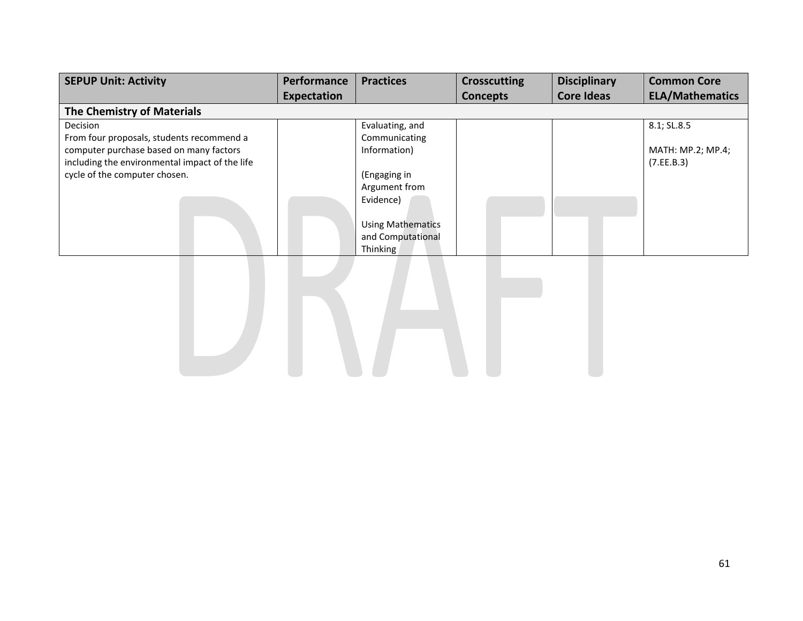| <b>SEPUP Unit: Activity</b>                    | Performance | <b>Practices</b>         | <b>Crosscutting</b> | <b>Disciplinary</b> | <b>Common Core</b>     |  |  |
|------------------------------------------------|-------------|--------------------------|---------------------|---------------------|------------------------|--|--|
|                                                | Expectation |                          | <b>Concepts</b>     | <b>Core Ideas</b>   | <b>ELA/Mathematics</b> |  |  |
| The Chemistry of Materials                     |             |                          |                     |                     |                        |  |  |
| <b>Decision</b>                                |             | Evaluating, and          |                     |                     | 8.1; SL.8.5            |  |  |
| From four proposals, students recommend a      |             | Communicating            |                     |                     |                        |  |  |
| computer purchase based on many factors        |             | Information)             |                     |                     | MATH: MP.2; MP.4;      |  |  |
| including the environmental impact of the life |             |                          |                     |                     | (7.EE.B.3)             |  |  |
| cycle of the computer chosen.                  |             | (Engaging in             |                     |                     |                        |  |  |
|                                                |             | Argument from            |                     |                     |                        |  |  |
|                                                |             | Evidence)                |                     |                     |                        |  |  |
|                                                |             | <b>Using Mathematics</b> |                     |                     |                        |  |  |
|                                                |             | and Computational        |                     |                     |                        |  |  |
|                                                |             | Thinking                 |                     |                     |                        |  |  |

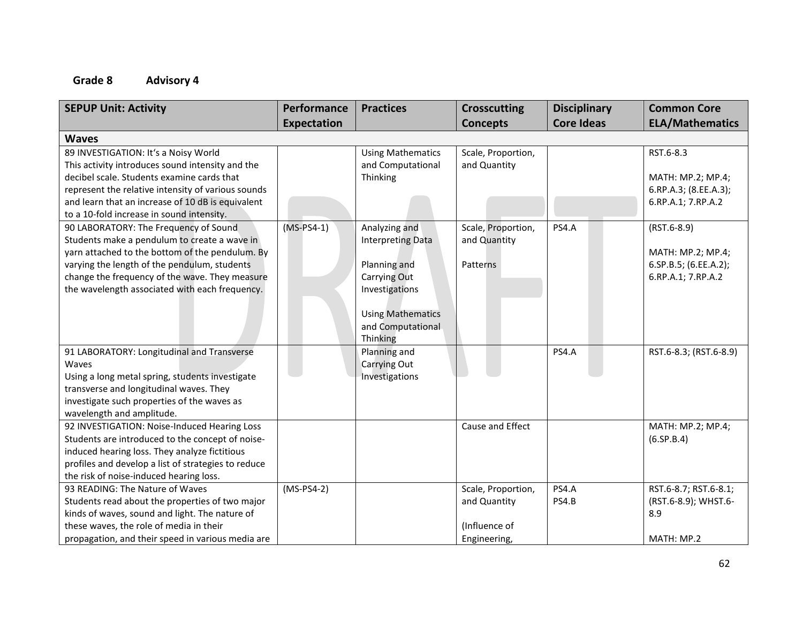| <b>SEPUP Unit: Activity</b>                         | Performance        | <b>Practices</b>         | <b>Crosscutting</b> | <b>Disciplinary</b> | <b>Common Core</b>     |
|-----------------------------------------------------|--------------------|--------------------------|---------------------|---------------------|------------------------|
|                                                     | <b>Expectation</b> |                          | <b>Concepts</b>     | <b>Core Ideas</b>   | <b>ELA/Mathematics</b> |
| <b>Waves</b>                                        |                    |                          |                     |                     |                        |
| 89 INVESTIGATION: It's a Noisy World                |                    | <b>Using Mathematics</b> | Scale, Proportion,  |                     | RST.6-8.3              |
| This activity introduces sound intensity and the    |                    | and Computational        | and Quantity        |                     |                        |
| decibel scale. Students examine cards that          |                    | Thinking                 |                     |                     | MATH: MP.2; MP.4;      |
| represent the relative intensity of various sounds  |                    |                          |                     |                     | 6.RP.A.3; (8.EE.A.3);  |
| and learn that an increase of 10 dB is equivalent   |                    |                          |                     |                     | 6.RP.A.1; 7.RP.A.2     |
| to a 10-fold increase in sound intensity.           |                    |                          |                     |                     |                        |
| 90 LABORATORY: The Frequency of Sound               | $(MS-PS4-1)$       | Analyzing and            | Scale, Proportion,  | <b>PS4.A</b>        | $(RST.6-8.9)$          |
| Students make a pendulum to create a wave in        |                    | <b>Interpreting Data</b> | and Quantity        |                     |                        |
| yarn attached to the bottom of the pendulum. By     |                    |                          |                     |                     | MATH: MP.2; MP.4;      |
| varying the length of the pendulum, students        |                    | Planning and             | Patterns            |                     | 6.SP.B.5; (6.EE.A.2);  |
| change the frequency of the wave. They measure      |                    | Carrying Out             |                     |                     | 6.RP.A.1; 7.RP.A.2     |
| the wavelength associated with each frequency.      |                    | Investigations           |                     |                     |                        |
|                                                     |                    |                          |                     |                     |                        |
|                                                     |                    | <b>Using Mathematics</b> |                     |                     |                        |
|                                                     |                    | and Computational        |                     |                     |                        |
|                                                     |                    | Thinking                 |                     |                     |                        |
| 91 LABORATORY: Longitudinal and Transverse          |                    | Planning and             |                     | PS4.A               | RST.6-8.3; (RST.6-8.9) |
| Waves                                               |                    | Carrying Out             |                     |                     |                        |
| Using a long metal spring, students investigate     |                    | Investigations           |                     |                     |                        |
| transverse and longitudinal waves. They             |                    |                          |                     |                     |                        |
| investigate such properties of the waves as         |                    |                          |                     |                     |                        |
| wavelength and amplitude.                           |                    |                          |                     |                     |                        |
| 92 INVESTIGATION: Noise-Induced Hearing Loss        |                    |                          | Cause and Effect    |                     | MATH: MP.2; MP.4;      |
| Students are introduced to the concept of noise-    |                    |                          |                     |                     | (6.5P.B.4)             |
| induced hearing loss. They analyze fictitious       |                    |                          |                     |                     |                        |
| profiles and develop a list of strategies to reduce |                    |                          |                     |                     |                        |
| the risk of noise-induced hearing loss.             |                    |                          |                     |                     |                        |
| 93 READING: The Nature of Waves                     | $(MS-PS4-2)$       |                          | Scale, Proportion,  | <b>PS4.A</b>        | RST.6-8.7; RST.6-8.1;  |
| Students read about the properties of two major     |                    |                          | and Quantity        | PS4.B               | (RST.6-8.9); WHST.6-   |
| kinds of waves, sound and light. The nature of      |                    |                          |                     |                     | 8.9                    |
| these waves, the role of media in their             |                    |                          | (Influence of       |                     |                        |
| propagation, and their speed in various media are   |                    |                          | Engineering,        |                     | MATH: MP.2             |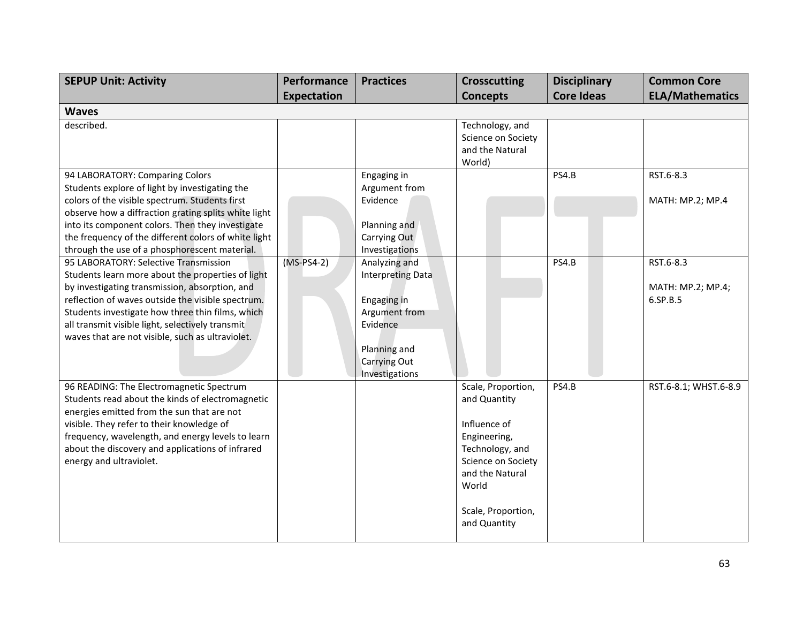| <b>SEPUP Unit: Activity</b>                                                                                                                                                                                                                                                                                                                                   | Performance  | <b>Practices</b>                                                                                                                        | <b>Crosscutting</b>                                                                                                                                                           | <b>Disciplinary</b> | <b>Common Core</b>                         |  |  |
|---------------------------------------------------------------------------------------------------------------------------------------------------------------------------------------------------------------------------------------------------------------------------------------------------------------------------------------------------------------|--------------|-----------------------------------------------------------------------------------------------------------------------------------------|-------------------------------------------------------------------------------------------------------------------------------------------------------------------------------|---------------------|--------------------------------------------|--|--|
|                                                                                                                                                                                                                                                                                                                                                               | Expectation  |                                                                                                                                         | <b>Concepts</b>                                                                                                                                                               | <b>Core Ideas</b>   | <b>ELA/Mathematics</b>                     |  |  |
| <b>Waves</b>                                                                                                                                                                                                                                                                                                                                                  |              |                                                                                                                                         |                                                                                                                                                                               |                     |                                            |  |  |
| described.                                                                                                                                                                                                                                                                                                                                                    |              |                                                                                                                                         | Technology, and<br>Science on Society<br>and the Natural<br>World)                                                                                                            |                     |                                            |  |  |
| 94 LABORATORY: Comparing Colors<br>Students explore of light by investigating the<br>colors of the visible spectrum. Students first<br>observe how a diffraction grating splits white light<br>into its component colors. Then they investigate<br>the frequency of the different colors of white light<br>through the use of a phosphorescent material.      |              | Engaging in<br>Argument from<br>Evidence<br>Planning and<br>Carrying Out<br>Investigations                                              |                                                                                                                                                                               | PS4.B               | RST.6-8.3<br>MATH: MP.2; MP.4              |  |  |
| 95 LABORATORY: Selective Transmission<br>Students learn more about the properties of light<br>by investigating transmission, absorption, and<br>reflection of waves outside the visible spectrum.<br>Students investigate how three thin films, which<br>all transmit visible light, selectively transmit<br>waves that are not visible, such as ultraviolet. | $(MS-PS4-2)$ | Analyzing and<br><b>Interpreting Data</b><br>Engaging in<br>Argument from<br>Evidence<br>Planning and<br>Carrying Out<br>Investigations |                                                                                                                                                                               | PS4.B               | RST.6-8.3<br>MATH: MP.2; MP.4;<br>6.SP.B.5 |  |  |
| 96 READING: The Electromagnetic Spectrum<br>Students read about the kinds of electromagnetic<br>energies emitted from the sun that are not<br>visible. They refer to their knowledge of<br>frequency, wavelength, and energy levels to learn<br>about the discovery and applications of infrared<br>energy and ultraviolet.                                   |              |                                                                                                                                         | Scale, Proportion,<br>and Quantity<br>Influence of<br>Engineering,<br>Technology, and<br>Science on Society<br>and the Natural<br>World<br>Scale, Proportion,<br>and Quantity | PS4.B               | RST.6-8.1; WHST.6-8.9                      |  |  |